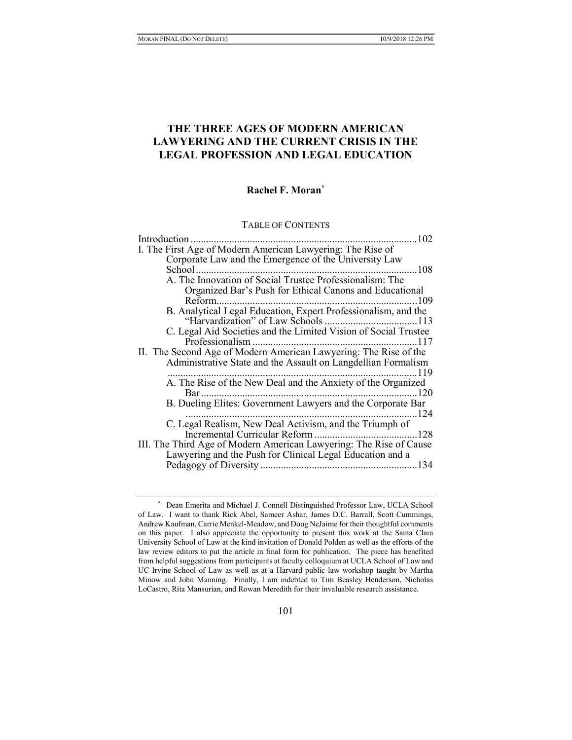# THE THREE AGES OF MODERN AMERICAN LAWYERING AND THE CURRENT CRISIS IN THE LEGAL PROFESSION AND LEGAL EDUCATION

# Rachel F. Moran\*

#### TABLE OF CONTENTS

| Introduction.                                                      | .102         |
|--------------------------------------------------------------------|--------------|
| I. The First Age of Modern American Lawyering: The Rise of         |              |
| Corporate Law and the Emergence of the University Law              |              |
| School                                                             | 108          |
| A. The Innovation of Social Trustee Professionalism: The           |              |
| Organized Bar's Push for Ethical Canons and Educational            |              |
| Reform.                                                            | 109          |
| B. Analytical Legal Education, Expert Professionalism, and the     |              |
|                                                                    |              |
| C. Legal Aid Societies and the Limited Vision of Social Trustee    |              |
|                                                                    |              |
| II. The Second Age of Modern American Lawyering: The Rise of the   |              |
| Administrative State and the Assault on Langdellian Formalism      |              |
|                                                                    | 119          |
| A. The Rise of the New Deal and the Anxiety of the Organized       |              |
|                                                                    | $\ldots$ 120 |
| B. Dueling Elites: Government Lawyers and the Corporate Bar        |              |
|                                                                    | .124         |
| C. Legal Realism, New Deal Activism, and the Triumph of            |              |
|                                                                    |              |
| III. The Third Age of Modern American Lawyering: The Rise of Cause |              |
| Lawyering and the Push for Clinical Legal Education and a          |              |
|                                                                    | 134          |

 <sup>\*</sup> Dean Emerita and Michael J. Connell Distinguished Professor Law, UCLA School of Law. I want to thank Rick Abel, Sameer Ashar, James D.C. Barrall, Scott Cummings, Andrew Kaufman, Carrie Menkel-Meadow, and Doug NeJaime for their thoughtful comments on this paper. I also appreciate the opportunity to present this work at the Santa Clara University School of Law at the kind invitation of Donald Polden as well as the efforts of the law review editors to put the article in final form for publication. The piece has benefited from helpful suggestions from participants at faculty colloquium at UCLA School of Law and UC Irvine School of Law as well as at a Harvard public law workshop taught by Martha Minow and John Manning. Finally, I am indebted to Tim Beasley Henderson, Nicholas LoCastro, Rita Mansurian, and Rowan Meredith for their invaluable research assistance.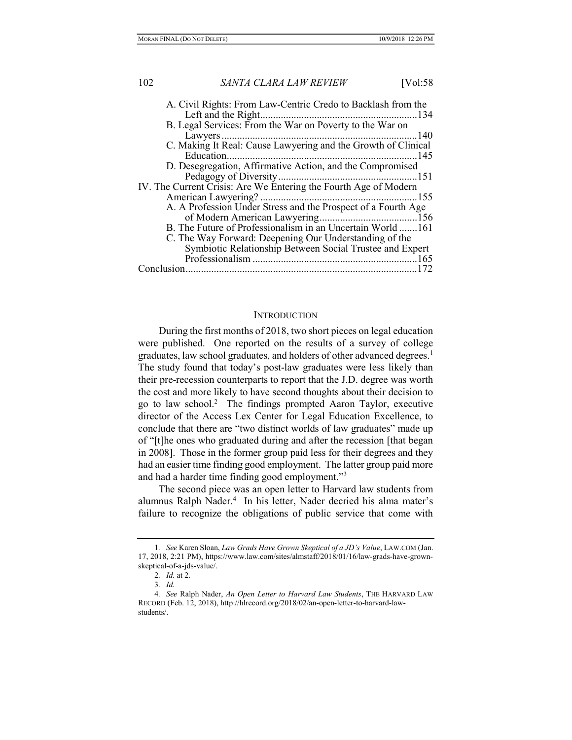| A. Civil Rights: From Law-Centric Credo to Backlash from the     |
|------------------------------------------------------------------|
|                                                                  |
| B. Legal Services: From the War on Poverty to the War on         |
| .140                                                             |
| C. Making It Real: Cause Lawyering and the Growth of Clinical    |
| Education                                                        |
| D. Desegregation, Affirmative Action, and the Compromised        |
|                                                                  |
| IV. The Current Crisis: Are We Entering the Fourth Age of Modern |
|                                                                  |
| A. A Profession Under Stress and the Prospect of a Fourth Age    |
|                                                                  |
| B. The Future of Professionalism in an Uncertain World 161       |
| C. The Way Forward: Deepening Our Understanding of the           |
| Symbiotic Relationship Between Social Trustee and Expert         |
|                                                                  |
| Conclusion                                                       |

#### **INTRODUCTION**

During the first months of 2018, two short pieces on legal education were published. One reported on the results of a survey of college graduates, law school graduates, and holders of other advanced degrees.<sup>1</sup> The study found that today's post-law graduates were less likely than their pre-recession counterparts to report that the J.D. degree was worth the cost and more likely to have second thoughts about their decision to go to law school.<sup>2</sup> The findings prompted Aaron Taylor, executive director of the Access Lex Center for Legal Education Excellence, to conclude that there are "two distinct worlds of law graduates" made up of "[t]he ones who graduated during and after the recession [that began in 2008]. Those in the former group paid less for their degrees and they had an easier time finding good employment. The latter group paid more and had a harder time finding good employment."<sup>3</sup>

The second piece was an open letter to Harvard law students from alumnus Ralph Nader.<sup>4</sup> In his letter, Nader decried his alma mater's failure to recognize the obligations of public service that come with

<sup>1</sup>. See Karen Sloan, Law Grads Have Grown Skeptical of a JD's Value, LAW.COM (Jan. 17, 2018, 2:21 PM), https://www.law.com/sites/almstaff/2018/01/16/law-grads-have-grownskeptical-of-a-jds-value/.

<sup>2</sup>. Id. at 2.

<sup>3</sup>. Id.

<sup>4.</sup> See Ralph Nader, An Open Letter to Harvard Law Students, THE HARVARD LAW RECORD (Feb. 12, 2018), http://hlrecord.org/2018/02/an-open-letter-to-harvard-lawstudents/.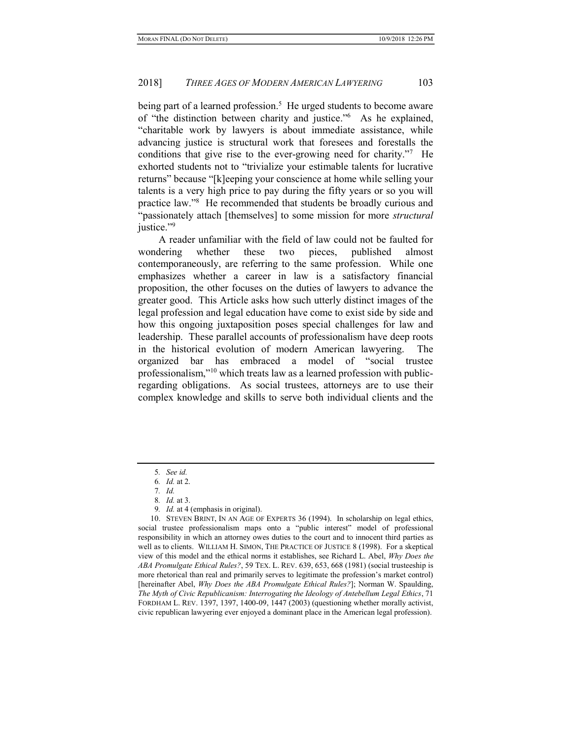being part of a learned profession.<sup>5</sup> He urged students to become aware of "the distinction between charity and justice."<sup>6</sup> As he explained, "charitable work by lawyers is about immediate assistance, while advancing justice is structural work that foresees and forestalls the conditions that give rise to the ever-growing need for charity."<sup>7</sup> He exhorted students not to "trivialize your estimable talents for lucrative returns" because "[k]eeping your conscience at home while selling your talents is a very high price to pay during the fifty years or so you will practice law."<sup>8</sup> He recommended that students be broadly curious and "passionately attach [themselves] to some mission for more structural justice."<sup>9</sup>

A reader unfamiliar with the field of law could not be faulted for wondering whether these two pieces, published almost contemporaneously, are referring to the same profession. While one emphasizes whether a career in law is a satisfactory financial proposition, the other focuses on the duties of lawyers to advance the greater good. This Article asks how such utterly distinct images of the legal profession and legal education have come to exist side by side and how this ongoing juxtaposition poses special challenges for law and leadership. These parallel accounts of professionalism have deep roots in the historical evolution of modern American lawyering. The organized bar has embraced a model of "social trustee professionalism,"10 which treats law as a learned profession with publicregarding obligations. As social trustees, attorneys are to use their complex knowledge and skills to serve both individual clients and the

<sup>5</sup>. See id.

<sup>6</sup>. Id. at 2.

<sup>7</sup>. Id.

<sup>8</sup>. Id. at 3.

<sup>9</sup>. Id. at 4 (emphasis in original).

 <sup>10.</sup> STEVEN BRINT, IN AN AGE OF EXPERTS 36 (1994). In scholarship on legal ethics, social trustee professionalism maps onto a "public interest" model of professional responsibility in which an attorney owes duties to the court and to innocent third parties as well as to clients. WILLIAM H. SIMON, THE PRACTICE OF JUSTICE 8 (1998). For a skeptical view of this model and the ethical norms it establishes, see Richard L. Abel, Why Does the ABA Promulgate Ethical Rules?, 59 TEX. L. REV. 639, 653, 668 (1981) (social trusteeship is more rhetorical than real and primarily serves to legitimate the profession's market control) [hereinafter Abel, Why Does the ABA Promulgate Ethical Rules?]; Norman W. Spaulding, The Myth of Civic Republicanism: Interrogating the Ideology of Antebellum Legal Ethics, 71 FORDHAM L. REV. 1397, 1397, 1400-09, 1447 (2003) (questioning whether morally activist, civic republican lawyering ever enjoyed a dominant place in the American legal profession).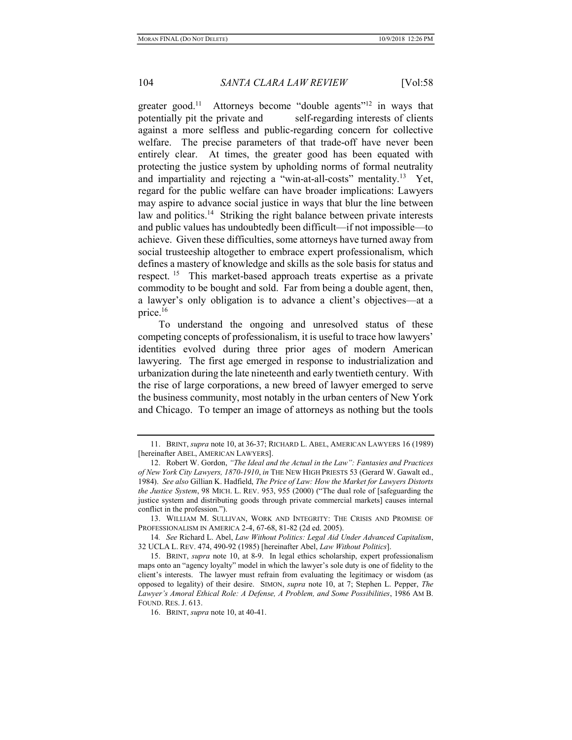greater good.<sup>11</sup> Attorneys become "double agents"<sup>12</sup> in ways that potentially pit the private and self-regarding interests of clients against a more selfless and public-regarding concern for collective welfare. The precise parameters of that trade-off have never been entirely clear. At times, the greater good has been equated with protecting the justice system by upholding norms of formal neutrality and impartiality and rejecting a "win-at-all-costs" mentality.<sup>13</sup> Yet, regard for the public welfare can have broader implications: Lawyers may aspire to advance social justice in ways that blur the line between law and politics.<sup>14</sup> Striking the right balance between private interests and public values has undoubtedly been difficult—if not impossible—to achieve. Given these difficulties, some attorneys have turned away from social trusteeship altogether to embrace expert professionalism, which defines a mastery of knowledge and skills as the sole basis for status and respect.<sup>15</sup> This market-based approach treats expertise as a private commodity to be bought and sold. Far from being a double agent, then, a lawyer's only obligation is to advance a client's objectives—at a price.<sup>16</sup>

To understand the ongoing and unresolved status of these competing concepts of professionalism, it is useful to trace how lawyers' identities evolved during three prior ages of modern American lawyering. The first age emerged in response to industrialization and urbanization during the late nineteenth and early twentieth century. With the rise of large corporations, a new breed of lawyer emerged to serve the business community, most notably in the urban centers of New York and Chicago. To temper an image of attorneys as nothing but the tools

 <sup>11.</sup> BRINT, supra note 10, at 36-37; RICHARD L. ABEL, AMERICAN LAWYERS 16 (1989) [hereinafter ABEL, AMERICAN LAWYERS].

 <sup>12.</sup> Robert W. Gordon, "The Ideal and the Actual in the Law": Fantasies and Practices of New York City Lawyers, 1870-1910, in THE NEW HIGH PRIESTS 53 (Gerard W. Gawalt ed., 1984). See also Gillian K. Hadfield, The Price of Law: How the Market for Lawyers Distorts the Justice System, 98 MICH. L. REV. 953, 955 (2000) ("The dual role of [safeguarding the justice system and distributing goods through private commercial markets] causes internal conflict in the profession.").

 <sup>13.</sup> WILLIAM M. SULLIVAN, WORK AND INTEGRITY: THE CRISIS AND PROMISE OF PROFESSIONALISM IN AMERICA 2-4, 67-68, 81-82 (2d ed. 2005).

<sup>14</sup>. See Richard L. Abel, Law Without Politics: Legal Aid Under Advanced Capitalism, 32 UCLA L. REV. 474, 490-92 (1985) [hereinafter Abel, Law Without Politics].

 <sup>15.</sup> BRINT, supra note 10, at 8-9. In legal ethics scholarship, expert professionalism maps onto an "agency loyalty" model in which the lawyer's sole duty is one of fidelity to the client's interests. The lawyer must refrain from evaluating the legitimacy or wisdom (as opposed to legality) of their desire. SIMON, supra note 10, at 7; Stephen L. Pepper, The Lawyer's Amoral Ethical Role: A Defense, A Problem, and Some Possibilities, 1986 AM B. FOUND. RES. J. 613.

 <sup>16.</sup> BRINT, supra note 10, at 40-41.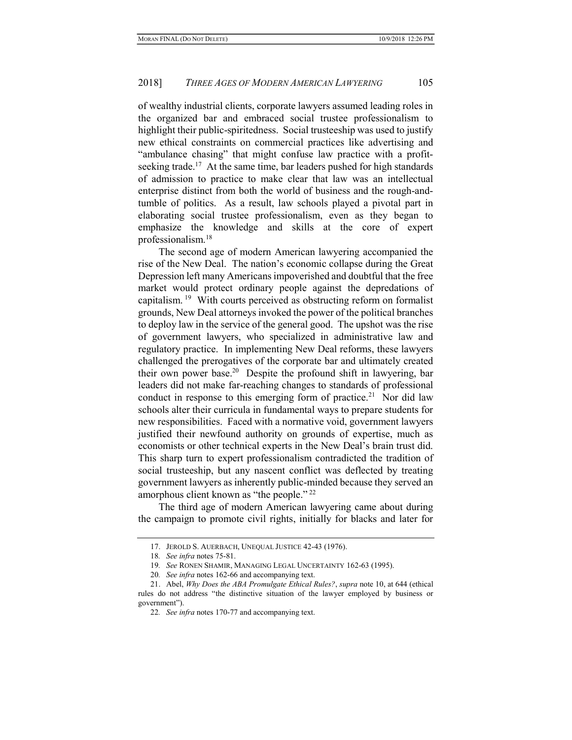of wealthy industrial clients, corporate lawyers assumed leading roles in the organized bar and embraced social trustee professionalism to highlight their public-spiritedness. Social trusteeship was used to justify new ethical constraints on commercial practices like advertising and "ambulance chasing" that might confuse law practice with a profitseeking trade.<sup>17</sup> At the same time, bar leaders pushed for high standards of admission to practice to make clear that law was an intellectual enterprise distinct from both the world of business and the rough-andtumble of politics. As a result, law schools played a pivotal part in elaborating social trustee professionalism, even as they began to emphasize the knowledge and skills at the core of expert professionalism.<sup>18</sup>

The second age of modern American lawyering accompanied the rise of the New Deal. The nation's economic collapse during the Great Depression left many Americans impoverished and doubtful that the free market would protect ordinary people against the depredations of capitalism.<sup>19</sup> With courts perceived as obstructing reform on formalist grounds, New Deal attorneys invoked the power of the political branches to deploy law in the service of the general good. The upshot was the rise of government lawyers, who specialized in administrative law and regulatory practice. In implementing New Deal reforms, these lawyers challenged the prerogatives of the corporate bar and ultimately created their own power base.<sup>20</sup> Despite the profound shift in lawyering, bar leaders did not make far-reaching changes to standards of professional conduct in response to this emerging form of practice.<sup>21</sup> Nor did law schools alter their curricula in fundamental ways to prepare students for new responsibilities. Faced with a normative void, government lawyers justified their newfound authority on grounds of expertise, much as economists or other technical experts in the New Deal's brain trust did. This sharp turn to expert professionalism contradicted the tradition of social trusteeship, but any nascent conflict was deflected by treating government lawyers as inherently public-minded because they served an amorphous client known as "the people."<sup>22</sup>

The third age of modern American lawyering came about during the campaign to promote civil rights, initially for blacks and later for

 <sup>17.</sup> JEROLD S. AUERBACH, UNEQUAL JUSTICE 42-43 (1976).

<sup>18</sup>. See infra notes 75-81.

<sup>19</sup>. See RONEN SHAMIR, MANAGING LEGAL UNCERTAINTY 162-63 (1995).

<sup>20</sup>. See infra notes 162-66 and accompanying text.

 <sup>21.</sup> Abel, Why Does the ABA Promulgate Ethical Rules?, supra note 10, at 644 (ethical rules do not address "the distinctive situation of the lawyer employed by business or government").

<sup>22</sup>. See infra notes 170-77 and accompanying text.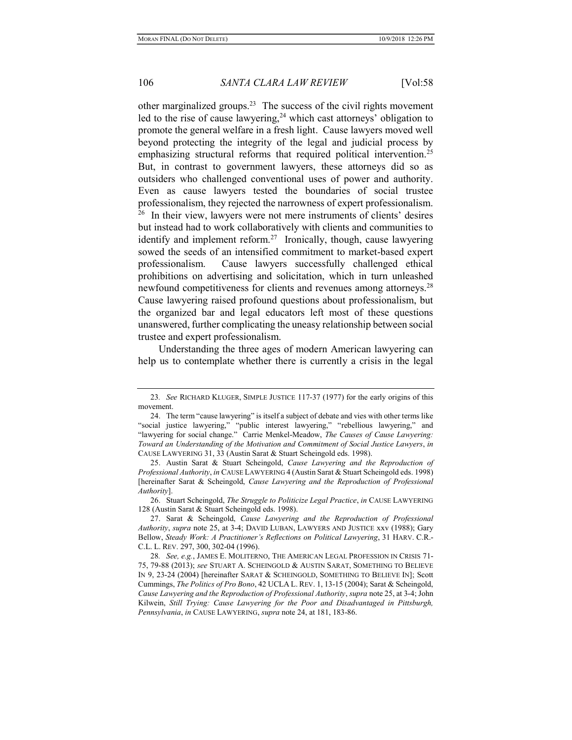other marginalized groups. $23$  The success of the civil rights movement led to the rise of cause lawyering,  $24$  which cast attorneys' obligation to promote the general welfare in a fresh light. Cause lawyers moved well beyond protecting the integrity of the legal and judicial process by emphasizing structural reforms that required political intervention.<sup>25</sup> But, in contrast to government lawyers, these attorneys did so as outsiders who challenged conventional uses of power and authority. Even as cause lawyers tested the boundaries of social trustee professionalism, they rejected the narrowness of expert professionalism.  $26$  In their view, lawyers were not mere instruments of clients' desires but instead had to work collaboratively with clients and communities to identify and implement reform.<sup>27</sup> Ironically, though, cause lawyering sowed the seeds of an intensified commitment to market-based expert professionalism. Cause lawyers successfully challenged ethical prohibitions on advertising and solicitation, which in turn unleashed newfound competitiveness for clients and revenues among attorneys.<sup>28</sup> Cause lawyering raised profound questions about professionalism, but the organized bar and legal educators left most of these questions unanswered, further complicating the uneasy relationship between social trustee and expert professionalism.

Understanding the three ages of modern American lawyering can help us to contemplate whether there is currently a crisis in the legal

<sup>23</sup>. See RICHARD KLUGER, SIMPLE JUSTICE 117-37 (1977) for the early origins of this movement.

 <sup>24.</sup> The term "cause lawyering" is itself a subject of debate and vies with other terms like "social justice lawyering," "public interest lawyering," "rebellious lawyering," and "lawyering for social change." Carrie Menkel-Meadow, The Causes of Cause Lawyering: Toward an Understanding of the Motivation and Commitment of Social Justice Lawyers, in CAUSE LAWYERING 31, 33 (Austin Sarat & Stuart Scheingold eds. 1998).

 <sup>25.</sup> Austin Sarat & Stuart Scheingold, Cause Lawyering and the Reproduction of Professional Authority, in CAUSE LAWYERING 4 (Austin Sarat & Stuart Scheingold eds. 1998) [hereinafter Sarat & Scheingold, Cause Lawyering and the Reproduction of Professional Authority].

 <sup>26.</sup> Stuart Scheingold, The Struggle to Politicize Legal Practice, in CAUSE LAWYERING 128 (Austin Sarat & Stuart Scheingold eds. 1998).

 <sup>27.</sup> Sarat & Scheingold, Cause Lawyering and the Reproduction of Professional Authority, supra note 25, at 3-4; DAVID LUBAN, LAWYERS AND JUSTICE xxv (1988); Gary Bellow, Steady Work: A Practitioner's Reflections on Political Lawyering, 31 HARV. C.R.- C.L. L. REV. 297, 300, 302-04 (1996).

<sup>28.</sup> See, e.g., JAMES E. MOLITERNO, THE AMERICAN LEGAL PROFESSION IN CRISIS 71-75, 79-88 (2013); see STUART A. SCHEINGOLD & AUSTIN SARAT, SOMETHING TO BELIEVE IN 9, 23-24 (2004) [hereinafter SARAT & SCHEINGOLD, SOMETHING TO BELIEVE IN]; Scott Cummings, The Politics of Pro Bono, 42 UCLA L. REV. 1, 13-15 (2004); Sarat & Scheingold, Cause Lawyering and the Reproduction of Professional Authority, supra note 25, at 3-4; John Kilwein, Still Trying: Cause Lawyering for the Poor and Disadvantaged in Pittsburgh, Pennsylvania, in CAUSE LAWYERING, supra note 24, at 181, 183-86.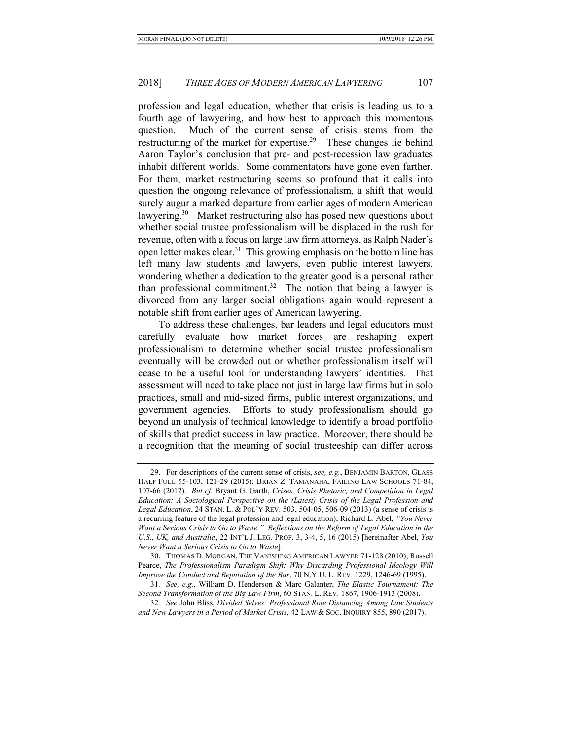profession and legal education, whether that crisis is leading us to a fourth age of lawyering, and how best to approach this momentous question. Much of the current sense of crisis stems from the restructuring of the market for expertise.<sup>29</sup> These changes lie behind Aaron Taylor's conclusion that pre- and post-recession law graduates inhabit different worlds. Some commentators have gone even farther. For them, market restructuring seems so profound that it calls into question the ongoing relevance of professionalism, a shift that would surely augur a marked departure from earlier ages of modern American lawyering.<sup>30</sup> Market restructuring also has posed new questions about whether social trustee professionalism will be displaced in the rush for revenue, often with a focus on large law firm attorneys, as Ralph Nader's open letter makes clear.<sup>31</sup> This growing emphasis on the bottom line has left many law students and lawyers, even public interest lawyers, wondering whether a dedication to the greater good is a personal rather than professional commitment.<sup>32</sup> The notion that being a lawyer is divorced from any larger social obligations again would represent a notable shift from earlier ages of American lawyering.

To address these challenges, bar leaders and legal educators must carefully evaluate how market forces are reshaping expert professionalism to determine whether social trustee professionalism eventually will be crowded out or whether professionalism itself will cease to be a useful tool for understanding lawyers' identities. That assessment will need to take place not just in large law firms but in solo practices, small and mid-sized firms, public interest organizations, and government agencies. Efforts to study professionalism should go beyond an analysis of technical knowledge to identify a broad portfolio of skills that predict success in law practice. Moreover, there should be a recognition that the meaning of social trusteeship can differ across

 <sup>29.</sup> For descriptions of the current sense of crisis, see, e.g., BENJAMIN BARTON, GLASS HALF FULL 55-103, 121-29 (2015); BRIAN Z. TAMANAHA, FAILING LAW SCHOOLS 71-84, 107-66 (2012). But cf. Bryant G. Garth, Crises, Crisis Rhetoric, and Competition in Legal Education: A Sociological Perspective on the (Latest) Crisis of the Legal Profession and Legal Education, 24 STAN. L. & POL'Y REV. 503, 504-05, 506-09 (2013) (a sense of crisis is a recurring feature of the legal profession and legal education); Richard L. Abel, "You Never Want a Serious Crisis to Go to Waste." Reflections on the Reform of Legal Education in the U.S., UK, and Australia, 22 INT'L J. LEG. PROF. 3, 3-4, 5, 16 (2015) [hereinafter Abel, You Never Want a Serious Crisis to Go to Waste].

 <sup>30.</sup> THOMAS D. MORGAN, THE VANISHING AMERICAN LAWYER 71-128 (2010); Russell Pearce, The Professionalism Paradigm Shift: Why Discarding Professional Ideology Will Improve the Conduct and Reputation of the Bar, 70 N.Y.U. L. REV. 1229, 1246-69 (1995).

<sup>31</sup>. See, e.g., William D. Henderson & Marc Galanter, The Elastic Tournament: The Second Transformation of the Big Law Firm, 60 STAN. L. REV. 1867, 1906-1913 (2008).

<sup>32</sup>. See John Bliss, Divided Selves: Professional Role Distancing Among Law Students and New Lawyers in a Period of Market Crisis, 42 LAW & SOC. INQUIRY 855, 890 (2017).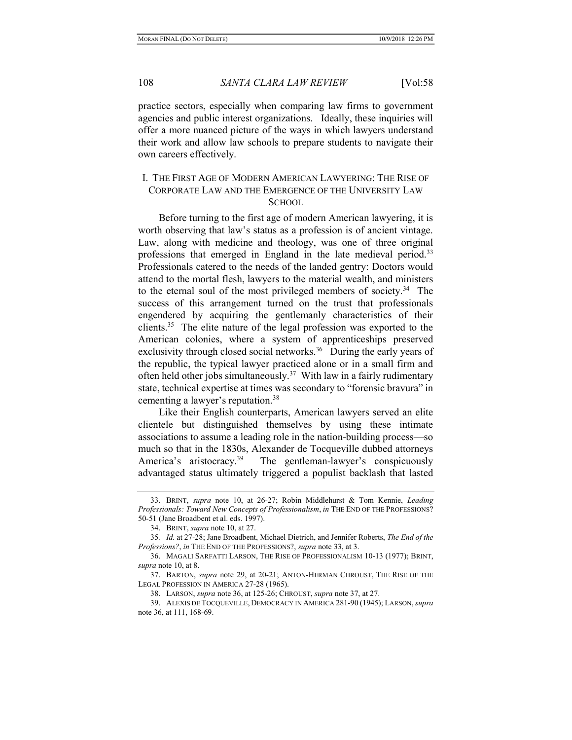practice sectors, especially when comparing law firms to government agencies and public interest organizations. Ideally, these inquiries will offer a more nuanced picture of the ways in which lawyers understand their work and allow law schools to prepare students to navigate their own careers effectively.

# I. THE FIRST AGE OF MODERN AMERICAN LAWYERING: THE RISE OF CORPORATE LAW AND THE EMERGENCE OF THE UNIVERSITY LAW **SCHOOL**

Before turning to the first age of modern American lawyering, it is worth observing that law's status as a profession is of ancient vintage. Law, along with medicine and theology, was one of three original professions that emerged in England in the late medieval period.<sup>33</sup> Professionals catered to the needs of the landed gentry: Doctors would attend to the mortal flesh, lawyers to the material wealth, and ministers to the eternal soul of the most privileged members of society.<sup>34</sup> The success of this arrangement turned on the trust that professionals engendered by acquiring the gentlemanly characteristics of their clients.<sup>35</sup> The elite nature of the legal profession was exported to the American colonies, where a system of apprenticeships preserved exclusivity through closed social networks. $36$  During the early years of the republic, the typical lawyer practiced alone or in a small firm and often held other jobs simultaneously.<sup>37</sup> With law in a fairly rudimentary state, technical expertise at times was secondary to "forensic bravura" in cementing a lawyer's reputation.<sup>38</sup>

Like their English counterparts, American lawyers served an elite clientele but distinguished themselves by using these intimate associations to assume a leading role in the nation-building process—so much so that in the 1830s, Alexander de Tocqueville dubbed attorneys America's aristocracy.<sup>39</sup> The gentleman-lawyer's conspicuously advantaged status ultimately triggered a populist backlash that lasted

 <sup>33.</sup> BRINT, supra note 10, at 26-27; Robin Middlehurst & Tom Kennie, Leading Professionals: Toward New Concepts of Professionalism, in THE END OF THE PROFESSIONS? 50-51 (Jane Broadbent et al. eds. 1997).

 <sup>34.</sup> BRINT, supra note 10, at 27.

<sup>35</sup>. Id. at 27-28; Jane Broadbent, Michael Dietrich, and Jennifer Roberts, The End of the Professions?, in THE END OF THE PROFESSIONS?, supra note 33, at 3.

 <sup>36.</sup> MAGALI SARFATTI LARSON, THE RISE OF PROFESSIONALISM 10-13 (1977); BRINT, supra note 10, at 8.

 <sup>37.</sup> BARTON, supra note 29, at 20-21; ANTON-HERMAN CHROUST, THE RISE OF THE LEGAL PROFESSION IN AMERICA 27-28 (1965).

 <sup>38.</sup> LARSON, supra note 36, at 125-26; CHROUST, supra note 37, at 27.

 <sup>39.</sup> ALEXIS DE TOCQUEVILLE, DEMOCRACY IN AMERICA 281-90 (1945); LARSON, supra note 36, at 111, 168-69.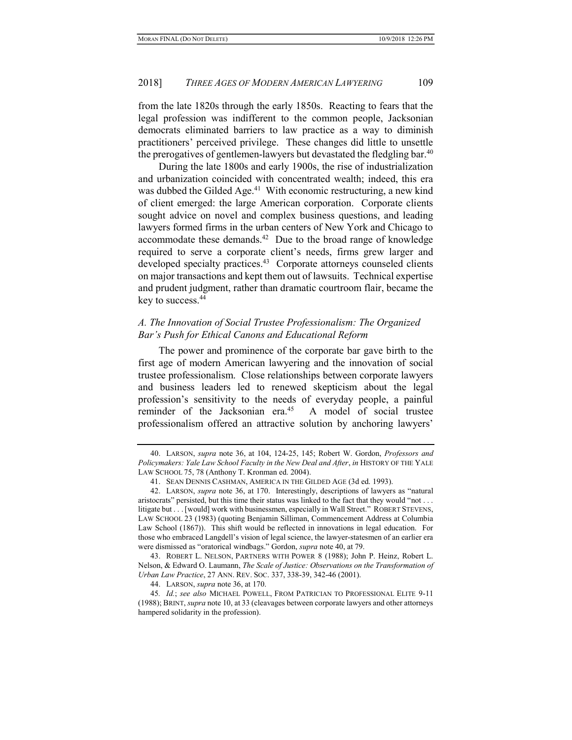from the late 1820s through the early 1850s. Reacting to fears that the legal profession was indifferent to the common people, Jacksonian democrats eliminated barriers to law practice as a way to diminish practitioners' perceived privilege. These changes did little to unsettle the prerogatives of gentlemen-lawyers but devastated the fledgling bar.<sup>40</sup>

During the late 1800s and early 1900s, the rise of industrialization and urbanization coincided with concentrated wealth; indeed, this era was dubbed the Gilded Age.<sup>41</sup> With economic restructuring, a new kind of client emerged: the large American corporation. Corporate clients sought advice on novel and complex business questions, and leading lawyers formed firms in the urban centers of New York and Chicago to accommodate these demands.<sup>42</sup> Due to the broad range of knowledge required to serve a corporate client's needs, firms grew larger and developed specialty practices.<sup>43</sup> Corporate attorneys counseled clients on major transactions and kept them out of lawsuits. Technical expertise and prudent judgment, rather than dramatic courtroom flair, became the key to success.<sup>44</sup>

# A. The Innovation of Social Trustee Professionalism: The Organized Bar's Push for Ethical Canons and Educational Reform

The power and prominence of the corporate bar gave birth to the first age of modern American lawyering and the innovation of social trustee professionalism. Close relationships between corporate lawyers and business leaders led to renewed skepticism about the legal profession's sensitivity to the needs of everyday people, a painful reminder of the Jacksonian era.<sup>45</sup> A model of social trustee professionalism offered an attractive solution by anchoring lawyers'

 <sup>40.</sup> LARSON, supra note 36, at 104, 124-25, 145; Robert W. Gordon, Professors and Policymakers: Yale Law School Faculty in the New Deal and After, in HISTORY OF THE YALE LAW SCHOOL 75, 78 (Anthony T. Kronman ed. 2004).

 <sup>41.</sup> SEAN DENNIS CASHMAN, AMERICA IN THE GILDED AGE (3d ed. 1993).

 <sup>42.</sup> LARSON, supra note 36, at 170. Interestingly, descriptions of lawyers as "natural aristocrats" persisted, but this time their status was linked to the fact that they would "not . . . litigate but . . . [would] work with businessmen, especially in Wall Street." ROBERT STEVENS, LAW SCHOOL 23 (1983) (quoting Benjamin Silliman, Commencement Address at Columbia Law School (1867)). This shift would be reflected in innovations in legal education. For those who embraced Langdell's vision of legal science, the lawyer-statesmen of an earlier era were dismissed as "oratorical windbags." Gordon, supra note 40, at 79.

 <sup>43.</sup> ROBERT L. NELSON, PARTNERS WITH POWER 8 (1988); John P. Heinz, Robert L. Nelson, & Edward O. Laumann, The Scale of Justice: Observations on the Transformation of Urban Law Practice, 27 ANN. REV. SOC. 337, 338-39, 342-46 (2001).

 <sup>44.</sup> LARSON, supra note 36, at 170.

<sup>45.</sup> Id.; see also MICHAEL POWELL, FROM PATRICIAN TO PROFESSIONAL ELITE 9-11 (1988); BRINT, supra note 10, at 33 (cleavages between corporate lawyers and other attorneys hampered solidarity in the profession).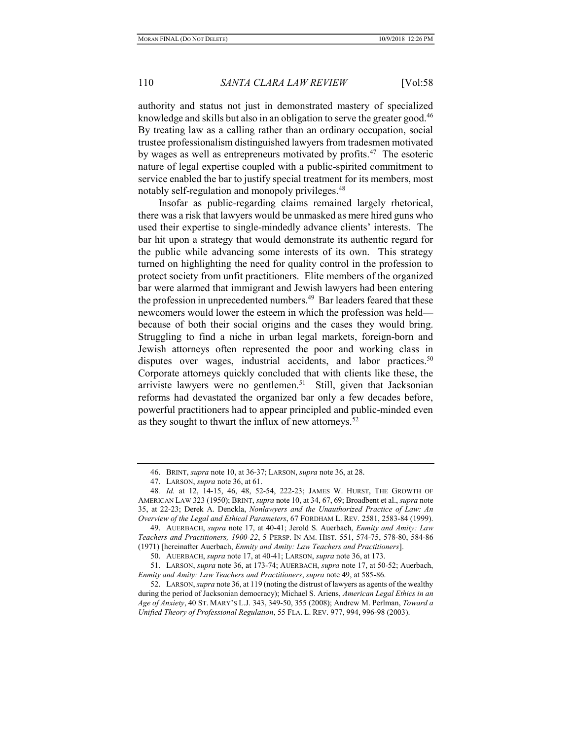authority and status not just in demonstrated mastery of specialized knowledge and skills but also in an obligation to serve the greater good.<sup>46</sup> By treating law as a calling rather than an ordinary occupation, social trustee professionalism distinguished lawyers from tradesmen motivated by wages as well as entrepreneurs motivated by profits.<sup>47</sup> The esoteric nature of legal expertise coupled with a public-spirited commitment to service enabled the bar to justify special treatment for its members, most notably self-regulation and monopoly privileges.<sup>48</sup>

Insofar as public-regarding claims remained largely rhetorical, there was a risk that lawyers would be unmasked as mere hired guns who used their expertise to single-mindedly advance clients' interests. The bar hit upon a strategy that would demonstrate its authentic regard for the public while advancing some interests of its own. This strategy turned on highlighting the need for quality control in the profession to protect society from unfit practitioners. Elite members of the organized bar were alarmed that immigrant and Jewish lawyers had been entering the profession in unprecedented numbers.<sup>49</sup> Bar leaders feared that these newcomers would lower the esteem in which the profession was held because of both their social origins and the cases they would bring. Struggling to find a niche in urban legal markets, foreign-born and Jewish attorneys often represented the poor and working class in disputes over wages, industrial accidents, and labor practices.<sup>50</sup> Corporate attorneys quickly concluded that with clients like these, the arriviste lawyers were no gentlemen.<sup>51</sup> Still, given that Jacksonian reforms had devastated the organized bar only a few decades before, powerful practitioners had to appear principled and public-minded even as they sought to thwart the influx of new attorneys.<sup>52</sup>

 <sup>46.</sup> BRINT, supra note 10, at 36-37; LARSON, supra note 36, at 28.

 <sup>47.</sup> LARSON, supra note 36, at 61.

<sup>48</sup>. Id. at 12, 14-15, 46, 48, 52-54, 222-23; JAMES W. HURST, THE GROWTH OF AMERICAN LAW 323 (1950); BRINT, supra note 10, at 34, 67, 69; Broadbent et al., supra note 35, at 22-23; Derek A. Denckla, Nonlawyers and the Unauthorized Practice of Law: An Overview of the Legal and Ethical Parameters, 67 FORDHAM L. REV. 2581, 2583-84 (1999).

<sup>49.</sup> AUERBACH, supra note 17, at 40-41; Jerold S. Auerbach, Enmity and Amity: Law Teachers and Practitioners, 1900-22, 5 PERSP. IN AM. HIST. 551, 574-75, 578-80, 584-86 (1971) [hereinafter Auerbach, Enmity and Amity: Law Teachers and Practitioners].

 <sup>50.</sup> AUERBACH, supra note 17, at 40-41; LARSON, supra note 36, at 173.

 <sup>51.</sup> LARSON, supra note 36, at 173-74; AUERBACH, supra note 17, at 50-52; Auerbach, Enmity and Amity: Law Teachers and Practitioners, supra note 49, at 585-86.

 <sup>52.</sup> LARSON, supra note 36, at 119 (noting the distrust of lawyers as agents of the wealthy during the period of Jacksonian democracy); Michael S. Ariens, *American Legal Ethics in an* Age of Anxiety, 40 ST. MARY'S L.J. 343, 349-50, 355 (2008); Andrew M. Perlman, Toward a Unified Theory of Professional Regulation, 55 FLA. L. REV. 977, 994, 996-98 (2003).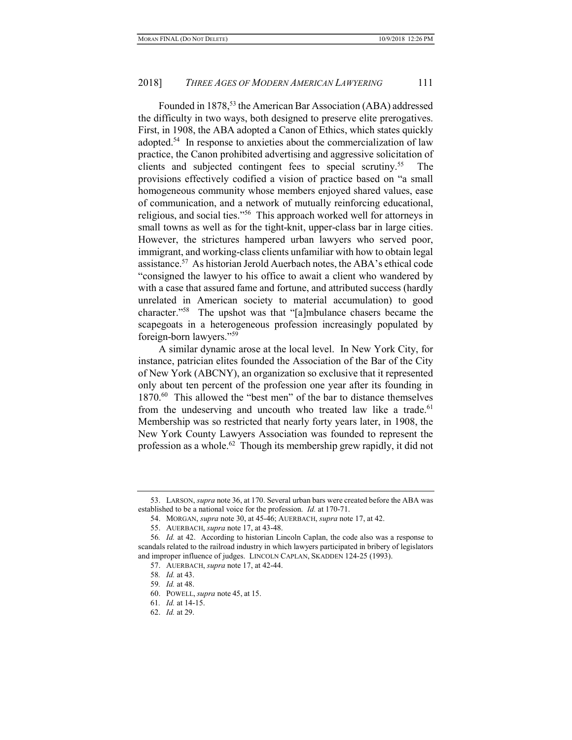Founded in 1878,<sup>53</sup> the American Bar Association (ABA) addressed the difficulty in two ways, both designed to preserve elite prerogatives. First, in 1908, the ABA adopted a Canon of Ethics, which states quickly adopted.<sup>54</sup> In response to anxieties about the commercialization of law practice, the Canon prohibited advertising and aggressive solicitation of clients and subjected contingent fees to special scrutiny.<sup>55</sup> The provisions effectively codified a vision of practice based on "a small homogeneous community whose members enjoyed shared values, ease of communication, and a network of mutually reinforcing educational, religious, and social ties."<sup>56</sup> This approach worked well for attorneys in small towns as well as for the tight-knit, upper-class bar in large cities. However, the strictures hampered urban lawyers who served poor, immigrant, and working-class clients unfamiliar with how to obtain legal assistance.<sup>57</sup> As historian Jerold Auerbach notes, the ABA's ethical code "consigned the lawyer to his office to await a client who wandered by with a case that assured fame and fortune, and attributed success (hardly unrelated in American society to material accumulation) to good character."<sup>58</sup> The upshot was that "[a]mbulance chasers became the scapegoats in a heterogeneous profession increasingly populated by foreign-born lawyers."<sup>59</sup>

A similar dynamic arose at the local level. In New York City, for instance, patrician elites founded the Association of the Bar of the City of New York (ABCNY), an organization so exclusive that it represented only about ten percent of the profession one year after its founding in 1870.<sup>60</sup> This allowed the "best men" of the bar to distance themselves from the undeserving and uncouth who treated law like a trade.<sup>61</sup> Membership was so restricted that nearly forty years later, in 1908, the New York County Lawyers Association was founded to represent the profession as a whole.<sup>62</sup> Though its membership grew rapidly, it did not

 <sup>53.</sup> LARSON, supra note 36, at 170. Several urban bars were created before the ABA was established to be a national voice for the profession. *Id.* at 170-71.

 <sup>54.</sup> MORGAN, supra note 30, at 45-46; AUERBACH, supra note 17, at 42.

<sup>55.</sup> AUERBACH, *supra* note 17, at 43-48.

<sup>56</sup>. Id. at 42. According to historian Lincoln Caplan, the code also was a response to scandals related to the railroad industry in which lawyers participated in bribery of legislators and improper influence of judges. LINCOLN CAPLAN, SKADDEN 124-25 (1993).

 <sup>57.</sup> AUERBACH, supra note 17, at 42-44.

<sup>58</sup>. Id. at 43.

<sup>59</sup>. Id. at 48.

 <sup>60.</sup> POWELL, supra note 45, at 15.

<sup>61</sup>. Id. at 14-15.

 <sup>62.</sup> Id. at 29.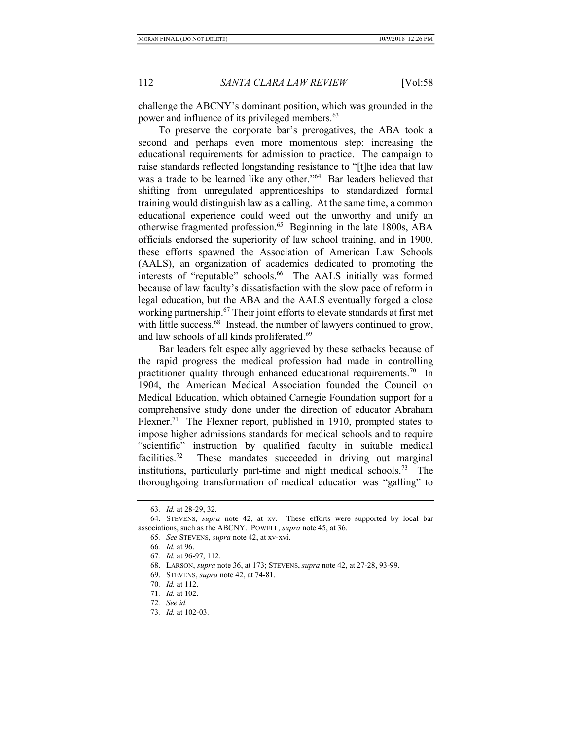challenge the ABCNY's dominant position, which was grounded in the power and influence of its privileged members.<sup>63</sup>

To preserve the corporate bar's prerogatives, the ABA took a second and perhaps even more momentous step: increasing the educational requirements for admission to practice. The campaign to raise standards reflected longstanding resistance to "[t]he idea that law was a trade to be learned like any other."<sup>64</sup> Bar leaders believed that shifting from unregulated apprenticeships to standardized formal training would distinguish law as a calling. At the same time, a common educational experience could weed out the unworthy and unify an otherwise fragmented profession.<sup>65</sup> Beginning in the late 1800s, ABA officials endorsed the superiority of law school training, and in 1900, these efforts spawned the Association of American Law Schools (AALS), an organization of academics dedicated to promoting the interests of "reputable" schools.<sup>66</sup> The AALS initially was formed because of law faculty's dissatisfaction with the slow pace of reform in legal education, but the ABA and the AALS eventually forged a close working partnership.<sup>67</sup> Their joint efforts to elevate standards at first met with little success.<sup>68</sup> Instead, the number of lawyers continued to grow, and law schools of all kinds proliferated.<sup>69</sup>

Bar leaders felt especially aggrieved by these setbacks because of the rapid progress the medical profession had made in controlling practitioner quality through enhanced educational requirements.<sup>70</sup> In 1904, the American Medical Association founded the Council on Medical Education, which obtained Carnegie Foundation support for a comprehensive study done under the direction of educator Abraham Flexner.<sup>71</sup> The Flexner report, published in 1910, prompted states to impose higher admissions standards for medical schools and to require "scientific" instruction by qualified faculty in suitable medical facilities.<sup>72</sup> These mandates succeeded in driving out marginal institutions, particularly part-time and night medical schools.<sup>73</sup> The thoroughgoing transformation of medical education was "galling" to

<sup>63</sup>. Id. at 28-29, 32.

 <sup>64.</sup> STEVENS, supra note 42, at xv. These efforts were supported by local bar associations, such as the ABCNY. POWELL, supra note 45, at 36.

<sup>65</sup>. See STEVENS, supra note 42, at xv-xvi.

<sup>66</sup>. Id. at 96.

<sup>67</sup>. Id. at 96-97, 112.

 <sup>68.</sup> LARSON, supra note 36, at 173; STEVENS, supra note 42, at 27-28, 93-99.

 <sup>69.</sup> STEVENS, supra note 42, at 74-81.

<sup>70</sup>. Id. at 112.

<sup>71</sup>. Id. at 102.

<sup>72</sup>. See id.

<sup>73</sup>. Id. at 102-03.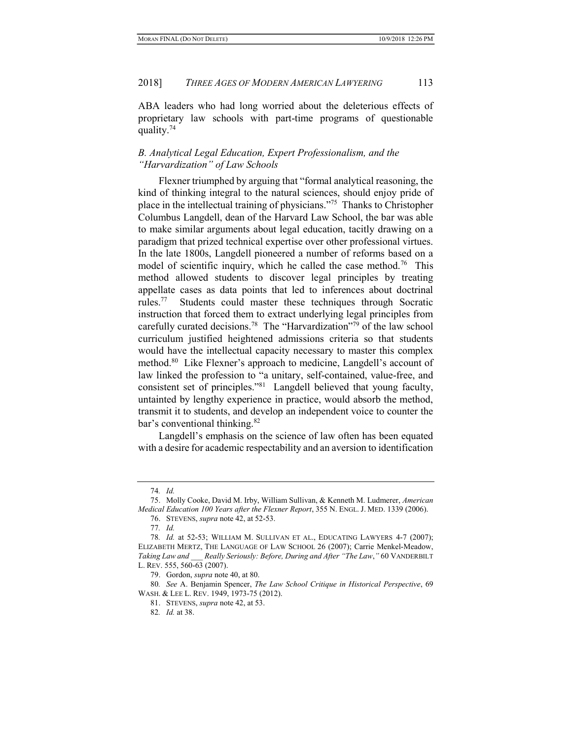ABA leaders who had long worried about the deleterious effects of proprietary law schools with part-time programs of questionable quality.<sup>74</sup>

# B. Analytical Legal Education, Expert Professionalism, and the "Harvardization" of Law Schools

Flexner triumphed by arguing that "formal analytical reasoning, the kind of thinking integral to the natural sciences, should enjoy pride of place in the intellectual training of physicians."<sup>75</sup> Thanks to Christopher Columbus Langdell, dean of the Harvard Law School, the bar was able to make similar arguments about legal education, tacitly drawing on a paradigm that prized technical expertise over other professional virtues. In the late 1800s, Langdell pioneered a number of reforms based on a model of scientific inquiry, which he called the case method.<sup>76</sup> This method allowed students to discover legal principles by treating appellate cases as data points that led to inferences about doctrinal rules.<sup>77</sup> Students could master these techniques through Socratic instruction that forced them to extract underlying legal principles from carefully curated decisions.<sup>78</sup> The "Harvardization"<sup>79</sup> of the law school curriculum justified heightened admissions criteria so that students would have the intellectual capacity necessary to master this complex method.<sup>80</sup> Like Flexner's approach to medicine, Langdell's account of law linked the profession to "a unitary, self-contained, value-free, and consistent set of principles."<sup>81</sup> Langdell believed that young faculty, untainted by lengthy experience in practice, would absorb the method, transmit it to students, and develop an independent voice to counter the bar's conventional thinking.<sup>82</sup>

Langdell's emphasis on the science of law often has been equated with a desire for academic respectability and an aversion to identification

<sup>74</sup>. Id.

 <sup>75.</sup> Molly Cooke, David M. Irby, William Sullivan, & Kenneth M. Ludmerer, American Medical Education 100 Years after the Flexner Report, 355 N. ENGL. J. MED. 1339 (2006).

 <sup>76.</sup> STEVENS, supra note 42, at 52-53.

<sup>77</sup>. Id.

<sup>78</sup>. Id. at 52-53; WILLIAM M. SULLIVAN ET AL., EDUCATING LAWYERS 4-7 (2007); ELIZABETH MERTZ, THE LANGUAGE OF LAW SCHOOL 26 (2007); Carrie Menkel-Meadow, Taking Law and \_\_\_ Really Seriously: Before, During and After "The Law," 60 VANDERBILT L. REV. 555, 560-63 (2007).

 <sup>79.</sup> Gordon, supra note 40, at 80.

<sup>80</sup>. See A. Benjamin Spencer, The Law School Critique in Historical Perspective, 69 WASH. & LEE L. REV. 1949, 1973-75 (2012).

 <sup>81.</sup> STEVENS, supra note 42, at 53.

<sup>82</sup>. Id. at 38.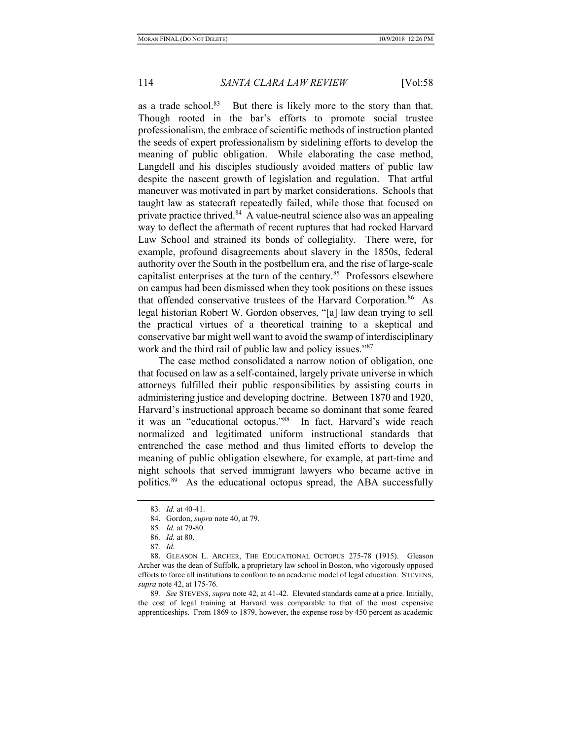as a trade school. $83$  But there is likely more to the story than that. Though rooted in the bar's efforts to promote social trustee professionalism, the embrace of scientific methods of instruction planted the seeds of expert professionalism by sidelining efforts to develop the meaning of public obligation. While elaborating the case method, Langdell and his disciples studiously avoided matters of public law despite the nascent growth of legislation and regulation. That artful maneuver was motivated in part by market considerations. Schools that taught law as statecraft repeatedly failed, while those that focused on private practice thrived.<sup>84</sup> A value-neutral science also was an appealing way to deflect the aftermath of recent ruptures that had rocked Harvard Law School and strained its bonds of collegiality. There were, for example, profound disagreements about slavery in the 1850s, federal authority over the South in the postbellum era, and the rise of large-scale capitalist enterprises at the turn of the century.<sup>85</sup> Professors elsewhere on campus had been dismissed when they took positions on these issues that offended conservative trustees of the Harvard Corporation.<sup>86</sup> As legal historian Robert W. Gordon observes, "[a] law dean trying to sell the practical virtues of a theoretical training to a skeptical and conservative bar might well want to avoid the swamp of interdisciplinary work and the third rail of public law and policy issues."87

The case method consolidated a narrow notion of obligation, one that focused on law as a self-contained, largely private universe in which attorneys fulfilled their public responsibilities by assisting courts in administering justice and developing doctrine. Between 1870 and 1920, Harvard's instructional approach became so dominant that some feared it was an "educational octopus."<sup>88</sup> In fact, Harvard's wide reach normalized and legitimated uniform instructional standards that entrenched the case method and thus limited efforts to develop the meaning of public obligation elsewhere, for example, at part-time and night schools that served immigrant lawyers who became active in politics.<sup>89</sup> As the educational octopus spread, the ABA successfully

89. See STEVENS, supra note 42, at 41-42. Elevated standards came at a price. Initially, the cost of legal training at Harvard was comparable to that of the most expensive apprenticeships. From 1869 to 1879, however, the expense rose by 450 percent as academic

<sup>83</sup>. Id. at 40-41.

 <sup>84.</sup> Gordon, supra note 40, at 79.

<sup>85</sup>. Id. at 79-80.

<sup>86</sup>. Id. at 80.

<sup>87</sup>. Id.

 <sup>88.</sup> GLEASON L. ARCHER, THE EDUCATIONAL OCTOPUS 275-78 (1915). Gleason Archer was the dean of Suffolk, a proprietary law school in Boston, who vigorously opposed efforts to force all institutions to conform to an academic model of legal education. STEVENS, supra note 42, at 175-76.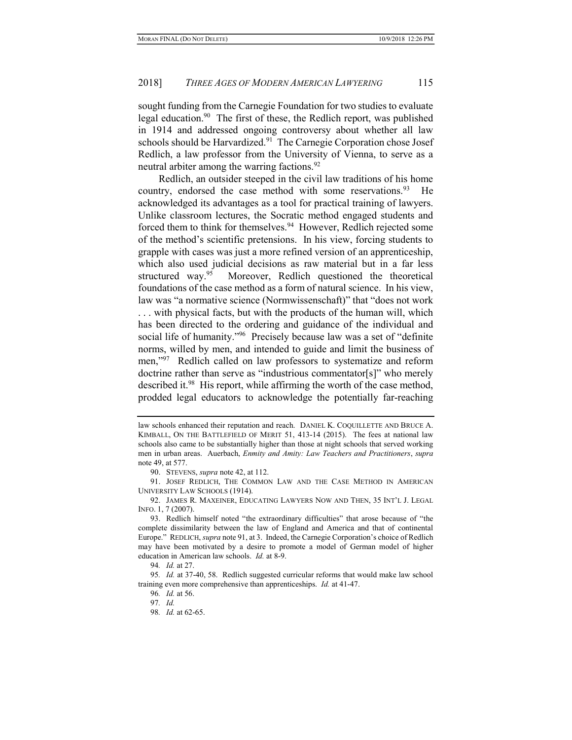sought funding from the Carnegie Foundation for two studies to evaluate legal education.<sup>90</sup> The first of these, the Redlich report, was published in 1914 and addressed ongoing controversy about whether all law schools should be Harvardized.<sup>91</sup> The Carnegie Corporation chose Josef Redlich, a law professor from the University of Vienna, to serve as a neutral arbiter among the warring factions.<sup>92</sup>

Redlich, an outsider steeped in the civil law traditions of his home country, endorsed the case method with some reservations.  $93$  He acknowledged its advantages as a tool for practical training of lawyers. Unlike classroom lectures, the Socratic method engaged students and forced them to think for themselves.<sup>94</sup> However, Redlich rejected some of the method's scientific pretensions. In his view, forcing students to grapple with cases was just a more refined version of an apprenticeship, which also used judicial decisions as raw material but in a far less structured way.<sup>95</sup> Moreover, Redlich questioned the theoretical foundations of the case method as a form of natural science. In his view, law was "a normative science (Normwissenschaft)" that "does not work . . . with physical facts, but with the products of the human will, which has been directed to the ordering and guidance of the individual and social life of humanity."<sup>96</sup> Precisely because law was a set of "definite norms, willed by men, and intended to guide and limit the business of men,"<sup>97</sup> Redlich called on law professors to systematize and reform doctrine rather than serve as "industrious commentator[s]" who merely described it.<sup>98</sup> His report, while affirming the worth of the case method, prodded legal educators to acknowledge the potentially far-reaching

law schools enhanced their reputation and reach. DANIEL K. COQUILLETTE AND BRUCE A. KIMBALL, ON THE BATTLEFIELD OF MERIT 51, 413-14 (2015). The fees at national law schools also came to be substantially higher than those at night schools that served working men in urban areas. Auerbach, Enmity and Amity: Law Teachers and Practitioners, supra note 49, at 577.

 <sup>90.</sup> STEVENS, supra note 42, at 112.

 <sup>91.</sup> JOSEF REDLICH, THE COMMON LAW AND THE CASE METHOD IN AMERICAN UNIVERSITY LAW SCHOOLS (1914).

 <sup>92.</sup> JAMES R. MAXEINER, EDUCATING LAWYERS NOW AND THEN, 35 INT'L J. LEGAL INFO. 1, 7 (2007).

 <sup>93.</sup> Redlich himself noted "the extraordinary difficulties" that arose because of "the complete dissimilarity between the law of England and America and that of continental Europe." REDLICH, supra note 91, at 3. Indeed, the Carnegie Corporation's choice of Redlich may have been motivated by a desire to promote a model of German model of higher education in American law schools. Id. at 8-9.

<sup>94</sup>. Id. at 27.

<sup>95</sup>. Id. at 37-40, 58. Redlich suggested curricular reforms that would make law school training even more comprehensive than apprenticeships. Id. at 41-47.

<sup>96</sup>. Id. at 56.

<sup>97</sup>. Id.

<sup>98</sup>. Id. at 62-65.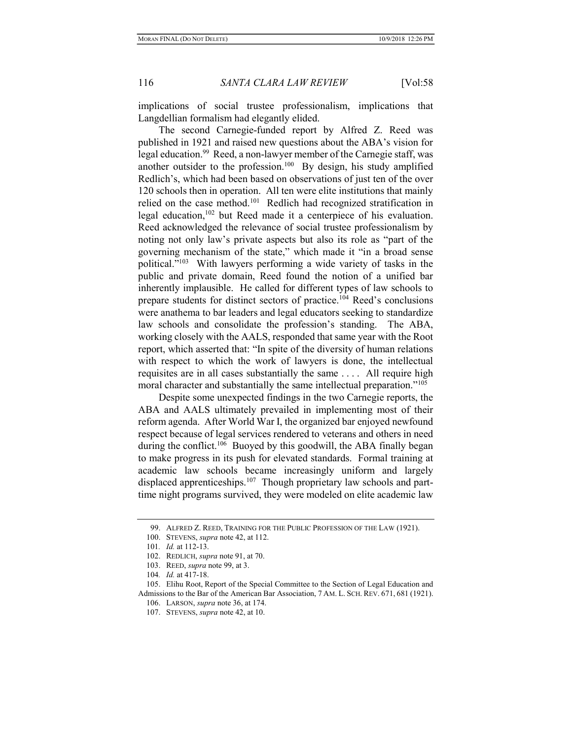implications of social trustee professionalism, implications that Langdellian formalism had elegantly elided.

The second Carnegie-funded report by Alfred Z. Reed was published in 1921 and raised new questions about the ABA's vision for legal education.<sup>99</sup> Reed, a non-lawyer member of the Carnegie staff, was another outsider to the profession.<sup>100</sup> By design, his study amplified Redlich's, which had been based on observations of just ten of the over 120 schools then in operation. All ten were elite institutions that mainly relied on the case method.<sup>101</sup> Redlich had recognized stratification in legal education,<sup>102</sup> but Reed made it a centerpiece of his evaluation. Reed acknowledged the relevance of social trustee professionalism by noting not only law's private aspects but also its role as "part of the governing mechanism of the state," which made it "in a broad sense political."<sup>103</sup> With lawyers performing a wide variety of tasks in the public and private domain, Reed found the notion of a unified bar inherently implausible. He called for different types of law schools to prepare students for distinct sectors of practice.<sup>104</sup> Reed's conclusions were anathema to bar leaders and legal educators seeking to standardize law schools and consolidate the profession's standing. The ABA, working closely with the AALS, responded that same year with the Root report, which asserted that: "In spite of the diversity of human relations with respect to which the work of lawyers is done, the intellectual requisites are in all cases substantially the same . . . . All require high moral character and substantially the same intellectual preparation."<sup>105</sup>

Despite some unexpected findings in the two Carnegie reports, the ABA and AALS ultimately prevailed in implementing most of their reform agenda. After World War I, the organized bar enjoyed newfound respect because of legal services rendered to veterans and others in need during the conflict.<sup>106</sup> Buoyed by this goodwill, the ABA finally began to make progress in its push for elevated standards. Formal training at academic law schools became increasingly uniform and largely displaced apprenticeships.<sup>107</sup> Though proprietary law schools and parttime night programs survived, they were modeled on elite academic law

 <sup>99.</sup> ALFRED Z. REED, TRAINING FOR THE PUBLIC PROFESSION OF THE LAW (1921).

<sup>100.</sup> STEVENS, *supra* note 42, at 112.

<sup>101</sup>. Id. at 112-13.

 <sup>102.</sup> REDLICH, supra note 91, at 70.

 <sup>103.</sup> REED, supra note 99, at 3.

<sup>104</sup>. Id. at 417-18.

 <sup>105.</sup> Elihu Root, Report of the Special Committee to the Section of Legal Education and Admissions to the Bar of the American Bar Association, 7 AM. L. SCH. REV. 671, 681 (1921).

 <sup>106.</sup> LARSON, supra note 36, at 174.

 <sup>107.</sup> STEVENS, supra note 42, at 10.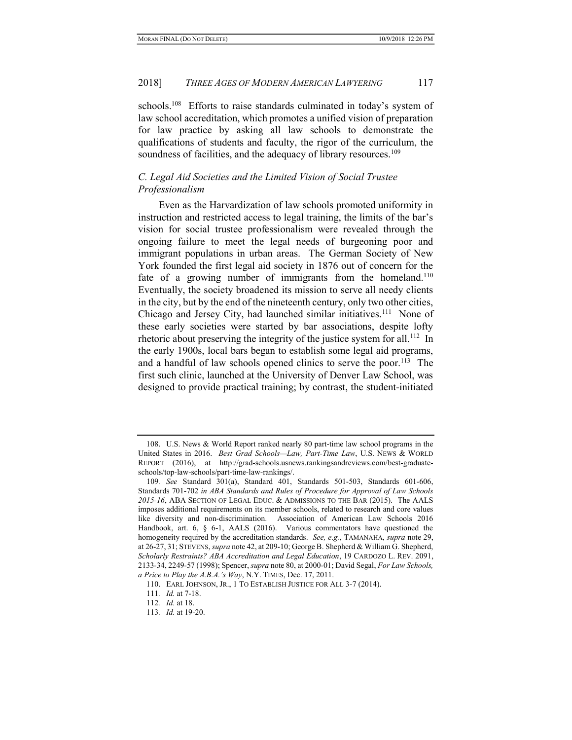schools.<sup>108</sup> Efforts to raise standards culminated in today's system of law school accreditation, which promotes a unified vision of preparation for law practice by asking all law schools to demonstrate the qualifications of students and faculty, the rigor of the curriculum, the soundness of facilities, and the adequacy of library resources.<sup>109</sup>

# C. Legal Aid Societies and the Limited Vision of Social Trustee Professionalism

Even as the Harvardization of law schools promoted uniformity in instruction and restricted access to legal training, the limits of the bar's vision for social trustee professionalism were revealed through the ongoing failure to meet the legal needs of burgeoning poor and immigrant populations in urban areas. The German Society of New York founded the first legal aid society in 1876 out of concern for the fate of a growing number of immigrants from the homeland.<sup>110</sup> Eventually, the society broadened its mission to serve all needy clients in the city, but by the end of the nineteenth century, only two other cities, Chicago and Jersey City, had launched similar initiatives.<sup>111</sup> None of these early societies were started by bar associations, despite lofty rhetoric about preserving the integrity of the justice system for all.<sup>112</sup> In the early 1900s, local bars began to establish some legal aid programs, and a handful of law schools opened clinics to serve the poor.<sup>113</sup> The first such clinic, launched at the University of Denver Law School, was designed to provide practical training; by contrast, the student-initiated

 <sup>108.</sup> U.S. News & World Report ranked nearly 80 part-time law school programs in the United States in 2016. Best Grad Schools—Law, Part-Time Law, U.S. NEWS & WORLD REPORT (2016), at http://grad-schools.usnews.rankingsandreviews.com/best-graduateschools/top-law-schools/part-time-law-rankings/.

<sup>109</sup>. See Standard 301(a), Standard 401, Standards 501-503, Standards 601-606, Standards 701-702 in ABA Standards and Rules of Procedure for Approval of Law Schools 2015-16, ABA SECTION OF LEGAL EDUC. & ADMISSIONS TO THE BAR (2015). The AALS imposes additional requirements on its member schools, related to research and core values like diversity and non-discrimination. Association of American Law Schools 2016 Handbook, art. 6, § 6-1, AALS (2016). Various commentators have questioned the homogeneity required by the accreditation standards. See, e.g., TAMANAHA, supra note 29, at 26-27, 31; STEVENS, supra note 42, at 209-10; George B. Shepherd & William G. Shepherd, Scholarly Restraints? ABA Accreditation and Legal Education, 19 CARDOZO L. REV. 2091, 2133-34, 2249-57 (1998); Spencer, supra note 80, at 2000-01; David Segal, For Law Schools, a Price to Play the A.B.A.'s Way, N.Y. TIMES, Dec. 17, 2011.

 <sup>110.</sup> EARL JOHNSON, JR., 1 TO ESTABLISH JUSTICE FOR ALL 3-7 (2014).

<sup>111</sup>. Id. at 7-18.

<sup>112</sup>. Id. at 18.

<sup>113</sup>. Id. at 19-20.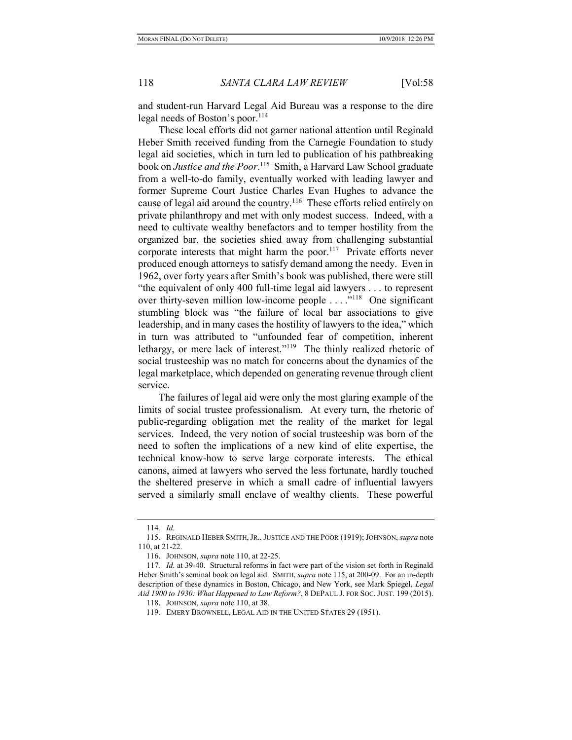and student-run Harvard Legal Aid Bureau was a response to the dire legal needs of Boston's poor.<sup>114</sup>

These local efforts did not garner national attention until Reginald Heber Smith received funding from the Carnegie Foundation to study legal aid societies, which in turn led to publication of his pathbreaking book on Justice and the Poor.<sup>115</sup> Smith, a Harvard Law School graduate from a well-to-do family, eventually worked with leading lawyer and former Supreme Court Justice Charles Evan Hughes to advance the cause of legal aid around the country.<sup>116</sup> These efforts relied entirely on private philanthropy and met with only modest success. Indeed, with a need to cultivate wealthy benefactors and to temper hostility from the organized bar, the societies shied away from challenging substantial corporate interests that might harm the poor.<sup>117</sup> Private efforts never produced enough attorneys to satisfy demand among the needy. Even in 1962, over forty years after Smith's book was published, there were still "the equivalent of only 400 full-time legal aid lawyers . . . to represent over thirty-seven million low-income people . . . ."<sup>118</sup> One significant stumbling block was "the failure of local bar associations to give leadership, and in many cases the hostility of lawyers to the idea," which in turn was attributed to "unfounded fear of competition, inherent lethargy, or mere lack of interest."<sup>119</sup> The thinly realized rhetoric of social trusteeship was no match for concerns about the dynamics of the legal marketplace, which depended on generating revenue through client service.

The failures of legal aid were only the most glaring example of the limits of social trustee professionalism. At every turn, the rhetoric of public-regarding obligation met the reality of the market for legal services. Indeed, the very notion of social trusteeship was born of the need to soften the implications of a new kind of elite expertise, the technical know-how to serve large corporate interests. The ethical canons, aimed at lawyers who served the less fortunate, hardly touched the sheltered preserve in which a small cadre of influential lawyers served a similarly small enclave of wealthy clients. These powerful

<sup>114</sup>. Id.

<sup>115.</sup> REGINALD HEBER SMITH, JR., JUSTICE AND THE POOR (1919); JOHNSON, supra note 110, at 21-22.

 <sup>116.</sup> JOHNSON, supra note 110, at 22-25.

<sup>117</sup>. Id. at 39-40. Structural reforms in fact were part of the vision set forth in Reginald Heber Smith's seminal book on legal aid. SMITH, *supra* note 115, at 200-09. For an in-depth description of these dynamics in Boston, Chicago, and New York, see Mark Spiegel, Legal Aid 1900 to 1930: What Happened to Law Reform?, 8 DEPAUL J. FOR SOC. JUST. 199 (2015).

 <sup>118.</sup> JOHNSON, supra note 110, at 38.

 <sup>119.</sup> EMERY BROWNELL, LEGAL AID IN THE UNITED STATES 29 (1951).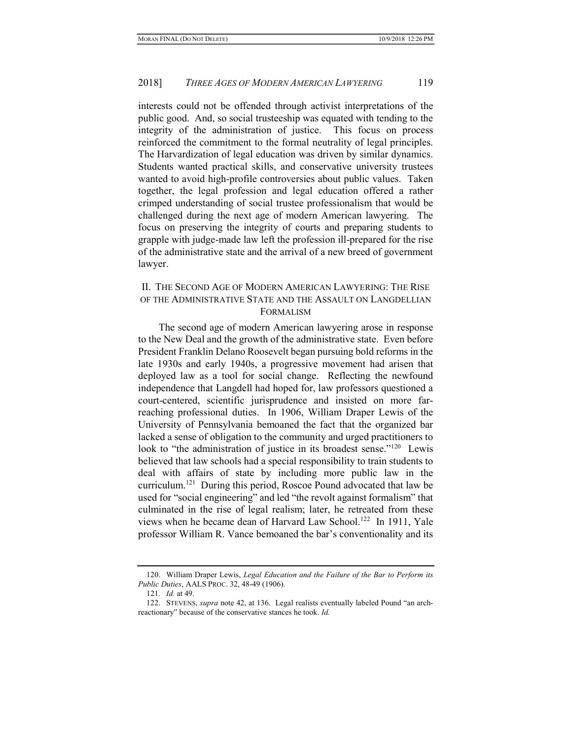interests could not be offended through activist interpretations of the public good. And, so social trusteeship was equated with tending to the integrity of the administration of justice. This focus on process reinforced the commitment to the formal neutrality of legal principles. The Harvardization of legal education was driven by similar dynamics. Students wanted practical skills, and conservative university trustees wanted to avoid high-profile controversies about public values. Taken together, the legal profession and legal education offered a rather crimped understanding of social trustee professionalism that would be challenged during the next age of modern American lawyering. The focus on preserving the integrity of courts and preparing students to grapple with judge-made law left the profession ill-prepared for the rise of the administrative state and the arrival of a new breed of government lawyer.

# II. THE SECOND AGE OF MODERN AMERICAN LAWYERING: THE RISE OF THE ADMINISTRATIVE STATE AND THE ASSAULT ON LANGDELLIAN FORMALISM

The second age of modern American lawyering arose in response to the New Deal and the growth of the administrative state. Even before President Franklin Delano Roosevelt began pursuing bold reforms in the late 1930s and early 1940s, a progressive movement had arisen that deployed law as a tool for social change. Reflecting the newfound independence that Langdell had hoped for, law professors questioned a court-centered, scientific jurisprudence and insisted on more farreaching professional duties. In 1906, William Draper Lewis of the University of Pennsylvania bemoaned the fact that the organized bar lacked a sense of obligation to the community and urged practitioners to look to "the administration of justice in its broadest sense."<sup>120</sup> Lewis believed that law schools had a special responsibility to train students to deal with affairs of state by including more public law in the curriculum.<sup>121</sup> During this period, Roscoe Pound advocated that law be used for "social engineering" and led "the revolt against formalism" that culminated in the rise of legal realism; later, he retreated from these views when he became dean of Harvard Law School.<sup>122</sup> In 1911, Yale professor William R. Vance bemoaned the bar's conventionality and its

<sup>120.</sup> William Draper Lewis, *Legal Education and the Failure of the Bar to Perform its* Public Duties, AALS PROC. 32, 48-49 (1906).

<sup>121</sup>. Id. at 49.

 <sup>122.</sup> STEVENS, supra note 42, at 136. Legal realists eventually labeled Pound "an archreactionary" because of the conservative stances he took. Id.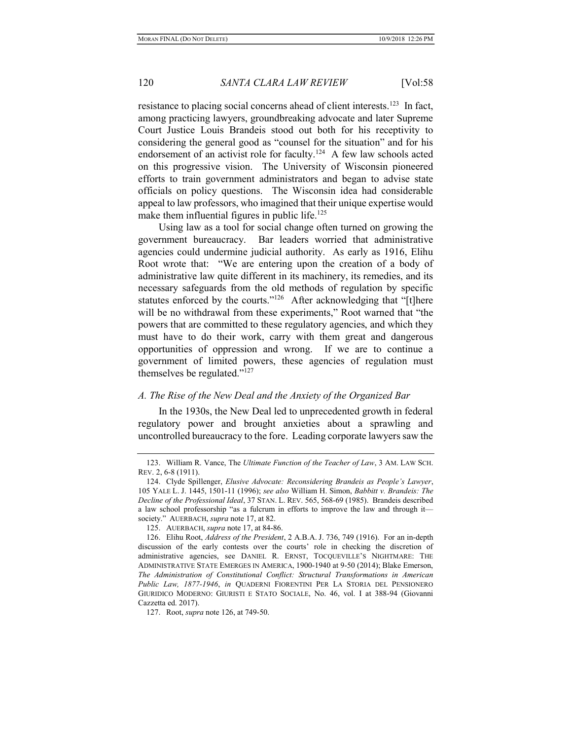resistance to placing social concerns ahead of client interests.<sup>123</sup> In fact, among practicing lawyers, groundbreaking advocate and later Supreme Court Justice Louis Brandeis stood out both for his receptivity to considering the general good as "counsel for the situation" and for his endorsement of an activist role for faculty.<sup>124</sup> A few law schools acted on this progressive vision. The University of Wisconsin pioneered efforts to train government administrators and began to advise state officials on policy questions. The Wisconsin idea had considerable appeal to law professors, who imagined that their unique expertise would make them influential figures in public life. $125$ 

Using law as a tool for social change often turned on growing the government bureaucracy. Bar leaders worried that administrative agencies could undermine judicial authority. As early as 1916, Elihu Root wrote that: "We are entering upon the creation of a body of administrative law quite different in its machinery, its remedies, and its necessary safeguards from the old methods of regulation by specific statutes enforced by the courts."<sup>126</sup> After acknowledging that "[t]here will be no withdrawal from these experiments," Root warned that "the powers that are committed to these regulatory agencies, and which they must have to do their work, carry with them great and dangerous opportunities of oppression and wrong. If we are to continue a government of limited powers, these agencies of regulation must themselves be regulated." $127$ 

### A. The Rise of the New Deal and the Anxiety of the Organized Bar

In the 1930s, the New Deal led to unprecedented growth in federal regulatory power and brought anxieties about a sprawling and uncontrolled bureaucracy to the fore. Leading corporate lawyers saw the

 <sup>123.</sup> William R. Vance, The Ultimate Function of the Teacher of Law, 3 AM. LAW SCH. REV. 2, 6-8 (1911).

 <sup>124.</sup> Clyde Spillenger, Elusive Advocate: Reconsidering Brandeis as People's Lawyer, 105 YALE L. J. 1445, 1501-11 (1996); see also William H. Simon, Babbitt v. Brandeis: The Decline of the Professional Ideal, 37 STAN. L. REV. 565, 568-69 (1985). Brandeis described a law school professorship "as a fulcrum in efforts to improve the law and through it society." AUERBACH, supra note 17, at 82.

 <sup>125.</sup> AUERBACH, supra note 17, at 84-86.

 <sup>126.</sup> Elihu Root, Address of the President, 2 A.B.A. J. 736, 749 (1916). For an in-depth discussion of the early contests over the courts' role in checking the discretion of administrative agencies, see DANIEL R. ERNST, TOCQUEVILLE'S NIGHTMARE: THE ADMINISTRATIVE STATE EMERGES IN AMERICA, 1900-1940 at 9-50 (2014); Blake Emerson, The Administration of Constitutional Conflict: Structural Transformations in American Public Law, 1877-1946, in QUADERNI FIORENTINI PER LA STORIA DEL PENSIONERO GIURIDICO MODERNO: GIURISTI E STATO SOCIALE, No. 46, vol. I at 388-94 (Giovanni Cazzetta ed. 2017).

 <sup>127.</sup> Root, supra note 126, at 749-50.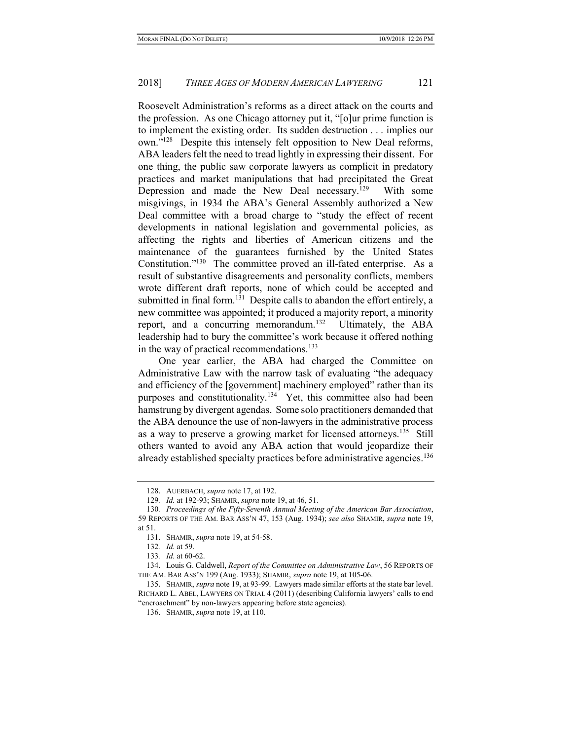Roosevelt Administration's reforms as a direct attack on the courts and the profession. As one Chicago attorney put it, "[o]ur prime function is to implement the existing order. Its sudden destruction . . . implies our own."<sup>128</sup> Despite this intensely felt opposition to New Deal reforms, ABA leaders felt the need to tread lightly in expressing their dissent. For one thing, the public saw corporate lawyers as complicit in predatory practices and market manipulations that had precipitated the Great Depression and made the New Deal necessary.<sup>129</sup> With some misgivings, in 1934 the ABA's General Assembly authorized a New Deal committee with a broad charge to "study the effect of recent developments in national legislation and governmental policies, as affecting the rights and liberties of American citizens and the maintenance of the guarantees furnished by the United States Constitution."<sup>130</sup> The committee proved an ill-fated enterprise. As a result of substantive disagreements and personality conflicts, members wrote different draft reports, none of which could be accepted and submitted in final form.<sup>131</sup> Despite calls to abandon the effort entirely, a new committee was appointed; it produced a majority report, a minority report, and a concurring memorandum.<sup>132</sup> Ultimately, the ABA leadership had to bury the committee's work because it offered nothing in the way of practical recommendations.<sup>133</sup>

One year earlier, the ABA had charged the Committee on Administrative Law with the narrow task of evaluating "the adequacy and efficiency of the [government] machinery employed" rather than its purposes and constitutionality.<sup>134</sup> Yet, this committee also had been hamstrung by divergent agendas. Some solo practitioners demanded that the ABA denounce the use of non-lawyers in the administrative process as a way to preserve a growing market for licensed attorneys.<sup>135</sup> Still others wanted to avoid any ABA action that would jeopardize their already established specialty practices before administrative agencies.<sup>136</sup>

 <sup>128.</sup> AUERBACH, supra note 17, at 192.

<sup>129</sup>. Id. at 192-93; SHAMIR, supra note 19, at 46, 51.

<sup>130</sup>. Proceedings of the Fifty-Seventh Annual Meeting of the American Bar Association, 59 REPORTS OF THE AM. BAR ASS'N 47, 153 (Aug. 1934); see also SHAMIR, supra note 19, at 51.

 <sup>131.</sup> SHAMIR, supra note 19, at 54-58.

<sup>132</sup>. Id. at 59.

<sup>133</sup>. Id. at 60-62.

<sup>134.</sup> Louis G. Caldwell, Report of the Committee on Administrative Law, 56 REPORTS OF THE AM. BAR ASS'N 199 (Aug. 1933); SHAMIR, supra note 19, at 105-06.

 <sup>135.</sup> SHAMIR, supra note 19, at 93-99. Lawyers made similar efforts at the state bar level. RICHARD L. ABEL, LAWYERS ON TRIAL 4 (2011) (describing California lawyers' calls to end "encroachment" by non-lawyers appearing before state agencies).

 <sup>136.</sup> SHAMIR, supra note 19, at 110.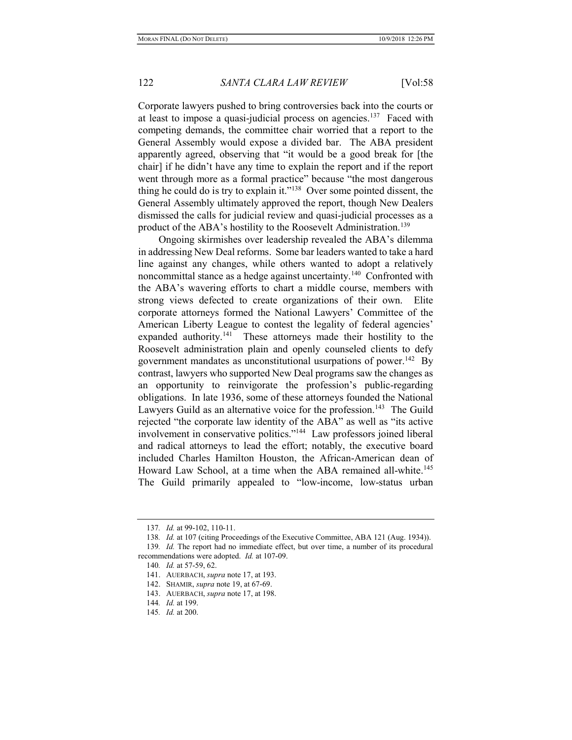Corporate lawyers pushed to bring controversies back into the courts or at least to impose a quasi-judicial process on agencies.<sup>137</sup> Faced with competing demands, the committee chair worried that a report to the General Assembly would expose a divided bar. The ABA president apparently agreed, observing that "it would be a good break for [the chair] if he didn't have any time to explain the report and if the report went through more as a formal practice" because "the most dangerous thing he could do is try to explain it."<sup>138</sup> Over some pointed dissent, the General Assembly ultimately approved the report, though New Dealers dismissed the calls for judicial review and quasi-judicial processes as a product of the ABA's hostility to the Roosevelt Administration.<sup>139</sup>

Ongoing skirmishes over leadership revealed the ABA's dilemma in addressing New Deal reforms. Some bar leaders wanted to take a hard line against any changes, while others wanted to adopt a relatively noncommittal stance as a hedge against uncertainty.<sup>140</sup> Confronted with the ABA's wavering efforts to chart a middle course, members with strong views defected to create organizations of their own. Elite corporate attorneys formed the National Lawyers' Committee of the American Liberty League to contest the legality of federal agencies' expanded authority.<sup>141</sup> These attorneys made their hostility to the Roosevelt administration plain and openly counseled clients to defy government mandates as unconstitutional usurpations of power.<sup>142</sup> By contrast, lawyers who supported New Deal programs saw the changes as an opportunity to reinvigorate the profession's public-regarding obligations. In late 1936, some of these attorneys founded the National Lawyers Guild as an alternative voice for the profession.<sup>143</sup> The Guild rejected "the corporate law identity of the ABA" as well as "its active involvement in conservative politics."<sup>144</sup> Law professors joined liberal and radical attorneys to lead the effort; notably, the executive board included Charles Hamilton Houston, the African-American dean of Howard Law School, at a time when the ABA remained all-white.<sup>145</sup> The Guild primarily appealed to "low-income, low-status urban

<sup>137</sup>. Id. at 99-102, 110-11.

<sup>138</sup>. Id. at 107 (citing Proceedings of the Executive Committee, ABA 121 (Aug. 1934)).

<sup>139</sup>. Id. The report had no immediate effect, but over time, a number of its procedural recommendations were adopted. Id. at 107-09.

<sup>140</sup>. Id. at 57-59, 62.

 <sup>141.</sup> AUERBACH, supra note 17, at 193.

 <sup>142.</sup> SHAMIR, supra note 19, at 67-69.

<sup>143.</sup> AUERBACH, *supra* note 17, at 198.

<sup>144</sup>. Id. at 199.

<sup>145</sup>. Id. at 200.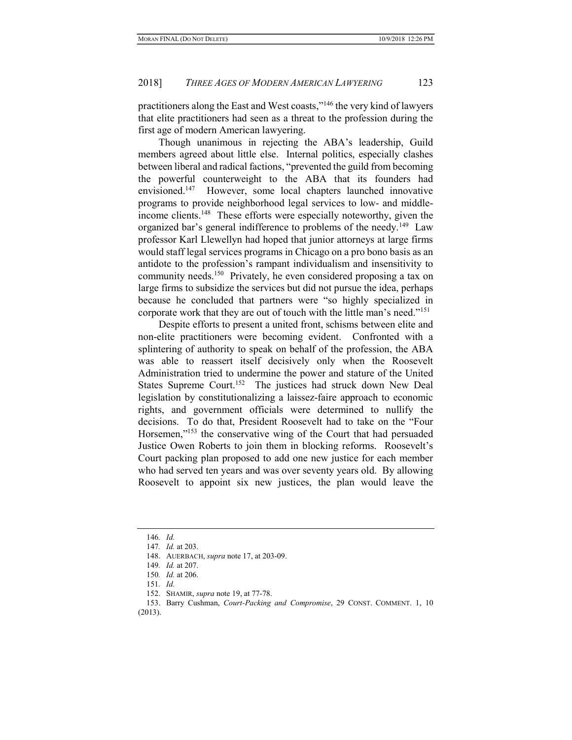practitioners along the East and West coasts,"<sup>146</sup> the very kind of lawyers that elite practitioners had seen as a threat to the profession during the first age of modern American lawyering.

Though unanimous in rejecting the ABA's leadership, Guild members agreed about little else. Internal politics, especially clashes between liberal and radical factions, "prevented the guild from becoming the powerful counterweight to the ABA that its founders had envisioned.<sup>147</sup> However, some local chapters launched innovative programs to provide neighborhood legal services to low- and middleincome clients.<sup>148</sup> These efforts were especially noteworthy, given the organized bar's general indifference to problems of the needy.<sup>149</sup> Law professor Karl Llewellyn had hoped that junior attorneys at large firms would staff legal services programs in Chicago on a pro bono basis as an antidote to the profession's rampant individualism and insensitivity to community needs.<sup>150</sup> Privately, he even considered proposing a tax on large firms to subsidize the services but did not pursue the idea, perhaps because he concluded that partners were "so highly specialized in corporate work that they are out of touch with the little man's need."<sup>151</sup>

Despite efforts to present a united front, schisms between elite and non-elite practitioners were becoming evident. Confronted with a splintering of authority to speak on behalf of the profession, the ABA was able to reassert itself decisively only when the Roosevelt Administration tried to undermine the power and stature of the United States Supreme Court.<sup>152</sup> The justices had struck down New Deal legislation by constitutionalizing a laissez-faire approach to economic rights, and government officials were determined to nullify the decisions. To do that, President Roosevelt had to take on the "Four Horsemen,"<sup>153</sup> the conservative wing of the Court that had persuaded Justice Owen Roberts to join them in blocking reforms. Roosevelt's Court packing plan proposed to add one new justice for each member who had served ten years and was over seventy years old. By allowing Roosevelt to appoint six new justices, the plan would leave the

<sup>146</sup>. Id.

<sup>147</sup>. Id. at 203.

 <sup>148.</sup> AUERBACH, supra note 17, at 203-09.

<sup>149</sup>. Id. at 207.

<sup>150</sup>. Id. at 206.

<sup>151</sup>. Id.

 <sup>152.</sup> SHAMIR, supra note 19, at 77-78.

 <sup>153.</sup> Barry Cushman, Court-Packing and Compromise, 29 CONST. COMMENT. 1, 10 (2013).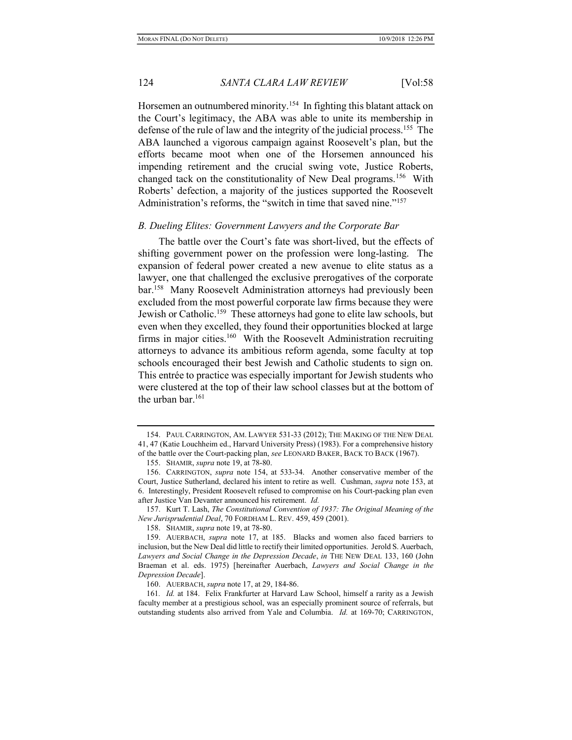Horsemen an outnumbered minority.<sup>154</sup> In fighting this blatant attack on the Court's legitimacy, the ABA was able to unite its membership in defense of the rule of law and the integrity of the judicial process.<sup>155</sup> The ABA launched a vigorous campaign against Roosevelt's plan, but the efforts became moot when one of the Horsemen announced his impending retirement and the crucial swing vote, Justice Roberts, changed tack on the constitutionality of New Deal programs.<sup>156</sup> With Roberts' defection, a majority of the justices supported the Roosevelt Administration's reforms, the "switch in time that saved nine."<sup>157</sup>

#### B. Dueling Elites: Government Lawyers and the Corporate Bar

The battle over the Court's fate was short-lived, but the effects of shifting government power on the profession were long-lasting. The expansion of federal power created a new avenue to elite status as a lawyer, one that challenged the exclusive prerogatives of the corporate bar.<sup>158</sup> Many Roosevelt Administration attorneys had previously been excluded from the most powerful corporate law firms because they were Jewish or Catholic.<sup>159</sup> These attorneys had gone to elite law schools, but even when they excelled, they found their opportunities blocked at large firms in major cities.<sup>160</sup> With the Roosevelt Administration recruiting attorneys to advance its ambitious reform agenda, some faculty at top schools encouraged their best Jewish and Catholic students to sign on. This entrée to practice was especially important for Jewish students who were clustered at the top of their law school classes but at the bottom of the urban bar.<sup>161</sup>

 <sup>154.</sup> PAUL CARRINGTON, AM. LAWYER 531-33 (2012); THE MAKING OF THE NEW DEAL 41, 47 (Katie Louchheim ed., Harvard University Press) (1983). For a comprehensive history of the battle over the Court-packing plan, see LEONARD BAKER, BACK TO BACK (1967).

 <sup>155.</sup> SHAMIR, supra note 19, at 78-80.

 <sup>156.</sup> CARRINGTON, supra note 154, at 533-34. Another conservative member of the Court, Justice Sutherland, declared his intent to retire as well. Cushman, supra note 153, at 6. Interestingly, President Roosevelt refused to compromise on his Court-packing plan even after Justice Van Devanter announced his retirement. Id.

 <sup>157.</sup> Kurt T. Lash, The Constitutional Convention of 1937: The Original Meaning of the New Jurisprudential Deal, 70 FORDHAM L. REV. 459, 459 (2001).

 <sup>158.</sup> SHAMIR, supra note 19, at 78-80.

 <sup>159.</sup> AUERBACH, supra note 17, at 185. Blacks and women also faced barriers to inclusion, but the New Deal did little to rectify their limited opportunities. Jerold S. Auerbach, Lawyers and Social Change in the Depression Decade, in THE NEW DEAL 133, 160 (John Braeman et al. eds. 1975) [hereinafter Auerbach, Lawyers and Social Change in the Depression Decade].

 <sup>160.</sup> AUERBACH, supra note 17, at 29, 184-86.

<sup>161.</sup> Id. at 184. Felix Frankfurter at Harvard Law School, himself a rarity as a Jewish faculty member at a prestigious school, was an especially prominent source of referrals, but outstanding students also arrived from Yale and Columbia. Id. at 169-70; CARRINGTON,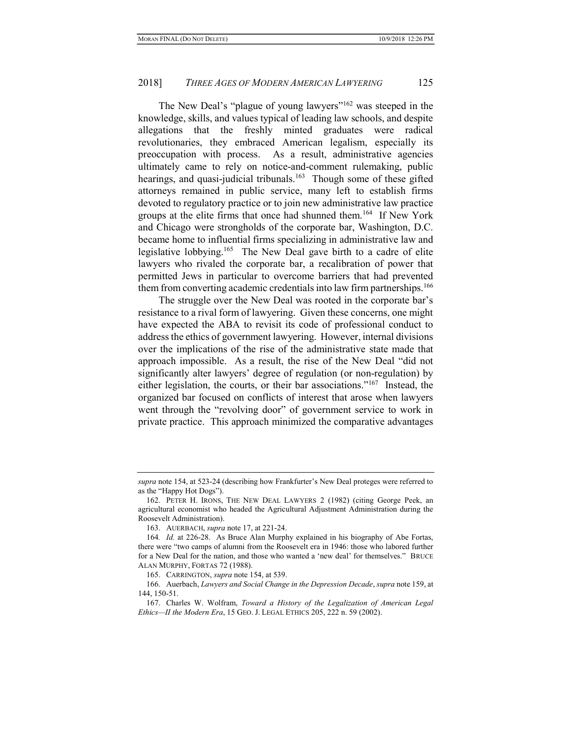The New Deal's "plague of young lawyers"<sup>162</sup> was steeped in the knowledge, skills, and values typical of leading law schools, and despite allegations that the freshly minted graduates were radical revolutionaries, they embraced American legalism, especially its preoccupation with process. As a result, administrative agencies ultimately came to rely on notice-and-comment rulemaking, public hearings, and quasi-judicial tribunals.<sup>163</sup> Though some of these gifted attorneys remained in public service, many left to establish firms devoted to regulatory practice or to join new administrative law practice groups at the elite firms that once had shunned them.<sup>164</sup> If New York and Chicago were strongholds of the corporate bar, Washington, D.C. became home to influential firms specializing in administrative law and legislative lobbying.<sup>165</sup> The New Deal gave birth to a cadre of elite lawyers who rivaled the corporate bar, a recalibration of power that permitted Jews in particular to overcome barriers that had prevented them from converting academic credentials into law firm partnerships.<sup>166</sup>

The struggle over the New Deal was rooted in the corporate bar's resistance to a rival form of lawyering. Given these concerns, one might have expected the ABA to revisit its code of professional conduct to address the ethics of government lawyering. However, internal divisions over the implications of the rise of the administrative state made that approach impossible. As a result, the rise of the New Deal "did not significantly alter lawyers' degree of regulation (or non-regulation) by either legislation, the courts, or their bar associations."<sup>167</sup> Instead, the organized bar focused on conflicts of interest that arose when lawyers went through the "revolving door" of government service to work in private practice. This approach minimized the comparative advantages

supra note 154, at 523-24 (describing how Frankfurter's New Deal proteges were referred to as the "Happy Hot Dogs").

 <sup>162.</sup> PETER H. IRONS, THE NEW DEAL LAWYERS 2 (1982) (citing George Peek, an agricultural economist who headed the Agricultural Adjustment Administration during the Roosevelt Administration).

 <sup>163.</sup> AUERBACH, supra note 17, at 221-24.

<sup>164</sup>. Id. at 226-28. As Bruce Alan Murphy explained in his biography of Abe Fortas, there were "two camps of alumni from the Roosevelt era in 1946: those who labored further for a New Deal for the nation, and those who wanted a 'new deal' for themselves." BRUCE ALAN MURPHY, FORTAS 72 (1988).

 <sup>165.</sup> CARRINGTON, supra note 154, at 539.

 <sup>166.</sup> Auerbach, Lawyers and Social Change in the Depression Decade, supra note 159, at 144, 150-51.

 <sup>167.</sup> Charles W. Wolfram, Toward a History of the Legalization of American Legal Ethics—II the Modern Era, 15 GEO. J. LEGAL ETHICS 205, 222 n. 59 (2002).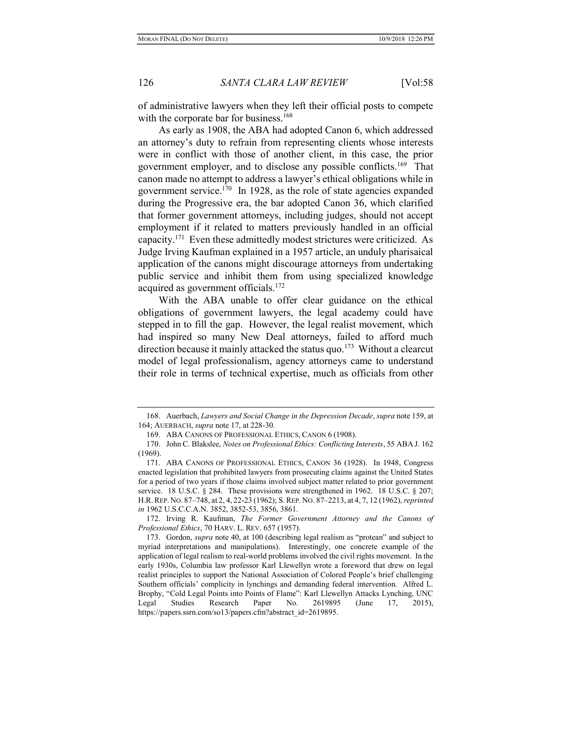of administrative lawyers when they left their official posts to compete with the corporate bar for business.<sup>168</sup>

As early as 1908, the ABA had adopted Canon 6, which addressed an attorney's duty to refrain from representing clients whose interests were in conflict with those of another client, in this case, the prior government employer, and to disclose any possible conflicts.<sup>169</sup> That canon made no attempt to address a lawyer's ethical obligations while in government service.<sup>170</sup> In 1928, as the role of state agencies expanded during the Progressive era, the bar adopted Canon 36, which clarified that former government attorneys, including judges, should not accept employment if it related to matters previously handled in an official capacity.<sup>171</sup> Even these admittedly modest strictures were criticized. As Judge Irving Kaufman explained in a 1957 article, an unduly pharisaical application of the canons might discourage attorneys from undertaking public service and inhibit them from using specialized knowledge acquired as government officials.<sup>172</sup>

With the ABA unable to offer clear guidance on the ethical obligations of government lawyers, the legal academy could have stepped in to fill the gap. However, the legal realist movement, which had inspired so many New Deal attorneys, failed to afford much direction because it mainly attacked the status quo.<sup>173</sup> Without a clearcut model of legal professionalism, agency attorneys came to understand their role in terms of technical expertise, much as officials from other

 172. Irving R. Kaufman, The Former Government Attorney and the Canons of Professional Ethics, 70 HARV. L. REV. 657 (1957).

 <sup>168.</sup> Auerbach, Lawyers and Social Change in the Depression Decade, supra note 159, at 164; AUERBACH, supra note 17, at 228-30.

 <sup>169.</sup> ABA CANONS OF PROFESSIONAL ETHICS, CANON 6 (1908).

 <sup>170.</sup> John C. Blakslee, Notes on Professional Ethics: Conflicting Interests, 55 ABA J. 162 (1969).

 <sup>171.</sup> ABA CANONS OF PROFESSIONAL ETHICS, CANON 36 (1928). In 1948, Congress enacted legislation that prohibited lawyers from prosecuting claims against the United States for a period of two years if those claims involved subject matter related to prior government service. 18 U.S.C. § 284. These provisions were strengthened in 1962. 18 U.S.C. § 207; H.R.REP. NO. 87–748, at 2, 4, 22-23 (1962); S.REP. NO. 87–2213, at 4, 7, 12 (1962), reprinted in 1962 U.S.C.C.A.N. 3852, 3852-53, 3856, 3861.

<sup>173.</sup> Gordon, *supra* note 40, at 100 (describing legal realism as "protean" and subject to myriad interpretations and manipulations). Interestingly, one concrete example of the application of legal realism to real-world problems involved the civil rights movement. In the early 1930s, Columbia law professor Karl Llewellyn wrote a foreword that drew on legal realist principles to support the National Association of Colored People's brief challenging Southern officials' complicity in lynchings and demanding federal intervention. Alfred L. Brophy, "Cold Legal Points into Points of Flame": Karl Llewellyn Attacks Lynching, UNC Legal Studies Research Paper No. 2619895 (June 17, 2015), https://papers.ssrn.com/so13/papers.cfm?abstract\_id=2619895.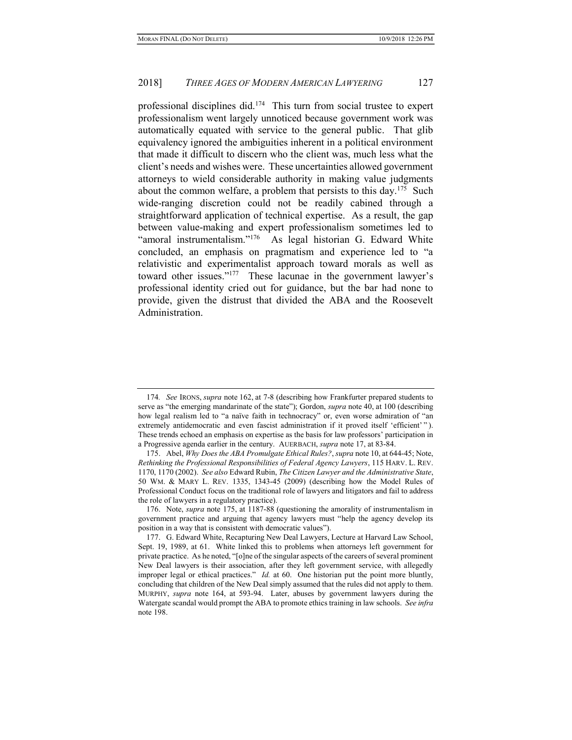professional disciplines did.<sup>174</sup> This turn from social trustee to expert professionalism went largely unnoticed because government work was automatically equated with service to the general public. That glib equivalency ignored the ambiguities inherent in a political environment that made it difficult to discern who the client was, much less what the client's needs and wishes were. These uncertainties allowed government attorneys to wield considerable authority in making value judgments about the common welfare, a problem that persists to this day.<sup>175</sup> Such wide-ranging discretion could not be readily cabined through a straightforward application of technical expertise. As a result, the gap between value-making and expert professionalism sometimes led to "amoral instrumentalism."<sup>176</sup> As legal historian G. Edward White concluded, an emphasis on pragmatism and experience led to "a relativistic and experimentalist approach toward morals as well as toward other issues."<sup>177</sup> These lacunae in the government lawyer's professional identity cried out for guidance, but the bar had none to provide, given the distrust that divided the ABA and the Roosevelt Administration.

<sup>174.</sup> See IRONS, *supra* note 162, at 7-8 (describing how Frankfurter prepared students to serve as "the emerging mandarinate of the state"); Gordon, supra note 40, at 100 (describing how legal realism led to "a naïve faith in technocracy" or, even worse admiration of "an extremely antidemocratic and even fascist administration if it proved itself 'efficient'"). These trends echoed an emphasis on expertise as the basis for law professors' participation in a Progressive agenda earlier in the century. AUERBACH, supra note 17, at 83-84.

 <sup>175.</sup> Abel, Why Does the ABA Promulgate Ethical Rules?, supra note 10, at 644-45; Note, Rethinking the Professional Responsibilities of Federal Agency Lawyers, 115 HARV. L. REV. 1170, 1170 (2002). See also Edward Rubin, The Citizen Lawyer and the Administrative State, 50 WM. & MARY L. REV. 1335, 1343-45 (2009) (describing how the Model Rules of Professional Conduct focus on the traditional role of lawyers and litigators and fail to address the role of lawyers in a regulatory practice).

<sup>176.</sup> Note, *supra* note 175, at 1187-88 (questioning the amorality of instrumentalism in government practice and arguing that agency lawyers must "help the agency develop its position in a way that is consistent with democratic values").

 <sup>177.</sup> G. Edward White, Recapturing New Deal Lawyers, Lecture at Harvard Law School, Sept. 19, 1989, at 61. White linked this to problems when attorneys left government for private practice. As he noted, "[o]ne of the singular aspects of the careers of several prominent New Deal lawyers is their association, after they left government service, with allegedly improper legal or ethical practices." *Id.* at 60. One historian put the point more bluntly, concluding that children of the New Deal simply assumed that the rules did not apply to them. MURPHY, supra note 164, at 593-94. Later, abuses by government lawyers during the Watergate scandal would prompt the ABA to promote ethics training in law schools. See infra note 198.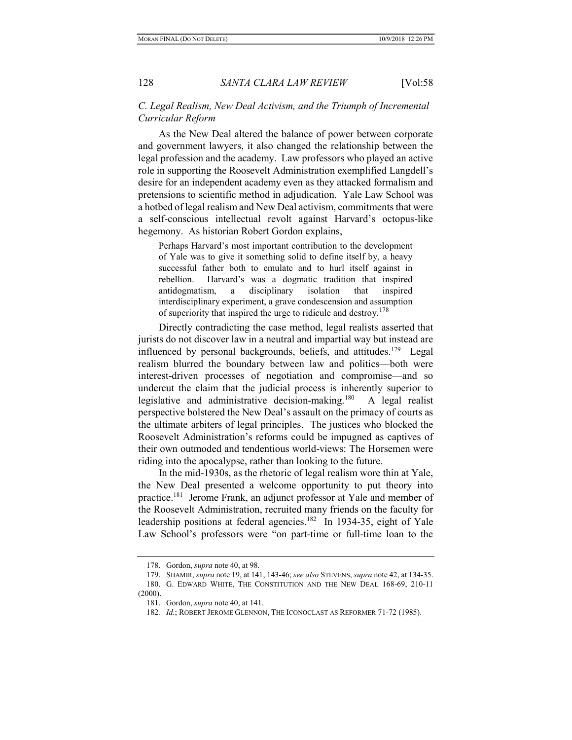### C. Legal Realism, New Deal Activism, and the Triumph of Incremental Curricular Reform

As the New Deal altered the balance of power between corporate and government lawyers, it also changed the relationship between the legal profession and the academy. Law professors who played an active role in supporting the Roosevelt Administration exemplified Langdell's desire for an independent academy even as they attacked formalism and pretensions to scientific method in adjudication. Yale Law School was a hotbed of legal realism and New Deal activism, commitments that were a self-conscious intellectual revolt against Harvard's octopus-like hegemony. As historian Robert Gordon explains,

Perhaps Harvard's most important contribution to the development of Yale was to give it something solid to define itself by, a heavy successful father both to emulate and to hurl itself against in rebellion. Harvard's was a dogmatic tradition that inspired antidogmatism, a disciplinary isolation that inspired interdisciplinary experiment, a grave condescension and assumption of superiority that inspired the urge to ridicule and destroy.<sup>178</sup>

Directly contradicting the case method, legal realists asserted that jurists do not discover law in a neutral and impartial way but instead are influenced by personal backgrounds, beliefs, and attitudes.<sup>179</sup> Legal realism blurred the boundary between law and politics—both were interest-driven processes of negotiation and compromise—and so undercut the claim that the judicial process is inherently superior to legislative and administrative decision-making.<sup>180</sup> A legal realist perspective bolstered the New Deal's assault on the primacy of courts as the ultimate arbiters of legal principles. The justices who blocked the Roosevelt Administration's reforms could be impugned as captives of their own outmoded and tendentious world-views: The Horsemen were riding into the apocalypse, rather than looking to the future.

In the mid-1930s, as the rhetoric of legal realism wore thin at Yale, the New Deal presented a welcome opportunity to put theory into practice.<sup>181</sup> Jerome Frank, an adjunct professor at Yale and member of the Roosevelt Administration, recruited many friends on the faculty for leadership positions at federal agencies.<sup>182</sup> In 1934-35, eight of Yale Law School's professors were "on part-time or full-time loan to the

 <sup>178.</sup> Gordon, supra note 40, at 98.

<sup>179.</sup> SHAMIR, supra note 19, at 141, 143-46; see also STEVENS, supra note 42, at 134-35.

 <sup>180.</sup> G. EDWARD WHITE, THE CONSTITUTION AND THE NEW DEAL 168-69, 210-11  $(2000).$ 

 <sup>181.</sup> Gordon, supra note 40, at 141.

<sup>182.</sup> Id.; ROBERT JEROME GLENNON, THE ICONOCLAST AS REFORMER 71-72 (1985).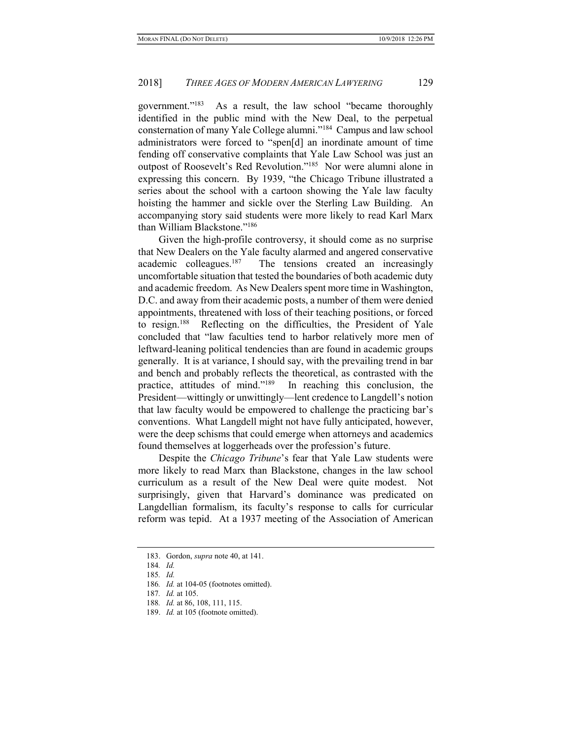government."<sup>183</sup> As a result, the law school "became thoroughly identified in the public mind with the New Deal, to the perpetual consternation of many Yale College alumni."<sup>184</sup> Campus and law school administrators were forced to "spen[d] an inordinate amount of time fending off conservative complaints that Yale Law School was just an outpost of Roosevelt's Red Revolution."<sup>185</sup> Nor were alumni alone in expressing this concern. By 1939, "the Chicago Tribune illustrated a series about the school with a cartoon showing the Yale law faculty hoisting the hammer and sickle over the Sterling Law Building. An accompanying story said students were more likely to read Karl Marx than William Blackstone."<sup>186</sup>

Given the high-profile controversy, it should come as no surprise that New Dealers on the Yale faculty alarmed and angered conservative academic colleagues.<sup>187</sup> The tensions created an increasingly uncomfortable situation that tested the boundaries of both academic duty and academic freedom. As New Dealers spent more time in Washington, D.C. and away from their academic posts, a number of them were denied appointments, threatened with loss of their teaching positions, or forced to resign.<sup>188</sup> Reflecting on the difficulties, the President of Yale concluded that "law faculties tend to harbor relatively more men of leftward-leaning political tendencies than are found in academic groups generally. It is at variance, I should say, with the prevailing trend in bar and bench and probably reflects the theoretical, as contrasted with the practice, attitudes of mind."<sup>189</sup> In reaching this conclusion, the President—wittingly or unwittingly—lent credence to Langdell's notion that law faculty would be empowered to challenge the practicing bar's conventions. What Langdell might not have fully anticipated, however, were the deep schisms that could emerge when attorneys and academics found themselves at loggerheads over the profession's future.

Despite the Chicago Tribune's fear that Yale Law students were more likely to read Marx than Blackstone, changes in the law school curriculum as a result of the New Deal were quite modest. Not surprisingly, given that Harvard's dominance was predicated on Langdellian formalism, its faculty's response to calls for curricular reform was tepid. At a 1937 meeting of the Association of American

 <sup>183.</sup> Gordon, supra note 40, at 141.

<sup>184</sup>. Id.

<sup>185</sup>. Id.

<sup>186</sup>. Id. at 104-05 (footnotes omitted).

<sup>187</sup>. Id. at 105.

<sup>188</sup>. Id. at 86, 108, 111, 115.

<sup>189.</sup> Id. at 105 (footnote omitted).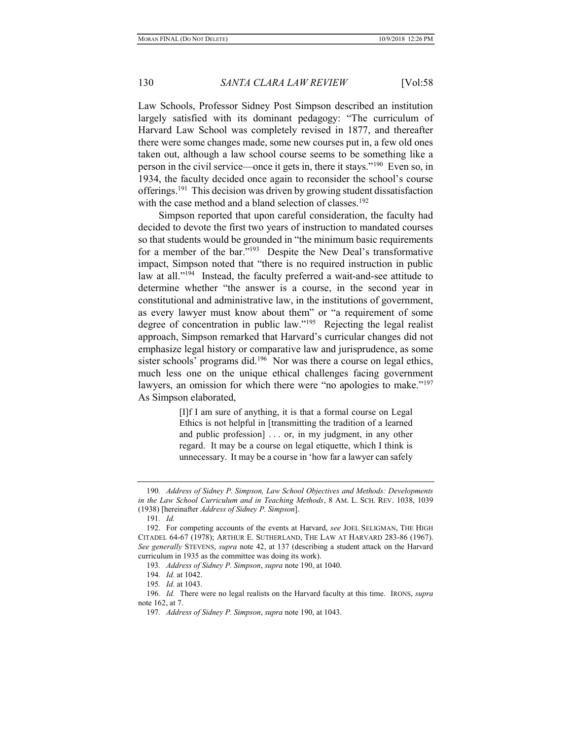Law Schools, Professor Sidney Post Simpson described an institution largely satisfied with its dominant pedagogy: "The curriculum of Harvard Law School was completely revised in 1877, and thereafter there were some changes made, some new courses put in, a few old ones taken out, although a law school course seems to be something like a person in the civil service—once it gets in, there it stays."<sup>190</sup> Even so, in 1934, the faculty decided once again to reconsider the school's course offerings.<sup>191</sup> This decision was driven by growing student dissatisfaction with the case method and a bland selection of classes.<sup>192</sup>

Simpson reported that upon careful consideration, the faculty had decided to devote the first two years of instruction to mandated courses so that students would be grounded in "the minimum basic requirements for a member of the bar."<sup>193</sup> Despite the New Deal's transformative impact, Simpson noted that "there is no required instruction in public law at all."<sup>194</sup> Instead, the faculty preferred a wait-and-see attitude to determine whether "the answer is a course, in the second year in constitutional and administrative law, in the institutions of government, as every lawyer must know about them" or "a requirement of some degree of concentration in public law."<sup>195</sup> Rejecting the legal realist approach, Simpson remarked that Harvard's curricular changes did not emphasize legal history or comparative law and jurisprudence, as some sister schools' programs did.<sup>196</sup> Nor was there a course on legal ethics, much less one on the unique ethical challenges facing government lawyers, an omission for which there were "no apologies to make."<sup>197</sup> As Simpson elaborated,

> [I]f I am sure of anything, it is that a formal course on Legal Ethics is not helpful in [transmitting the tradition of a learned and public profession] . . . or, in my judgment, in any other regard. It may be a course on legal etiquette, which I think is unnecessary. It may be a course in 'how far a lawyer can safely

<sup>190</sup>. Address of Sidney P. Simpson, Law School Objectives and Methods: Developments in the Law School Curriculum and in Teaching Methods, 8 AM. L. SCH. REV. 1038, 1039 (1938) [hereinafter Address of Sidney P. Simpson].

<sup>191</sup>. Id.

<sup>192.</sup> For competing accounts of the events at Harvard, see JOEL SELIGMAN, THE HIGH CITADEL 64-67 (1978); ARTHUR E. SUTHERLAND, THE LAW AT HARVARD 283-86 (1967). See generally STEVENS, supra note 42, at 137 (describing a student attack on the Harvard curriculum in 1935 as the committee was doing its work).

<sup>193</sup>. Address of Sidney P. Simpson, supra note 190, at 1040.

<sup>194</sup>. Id. at 1042.

<sup>195</sup>. Id. at 1043.

<sup>196.</sup> Id. There were no legal realists on the Harvard faculty at this time. IRONS, supra note 162, at 7.

<sup>197</sup>. Address of Sidney P. Simpson, supra note 190, at 1043.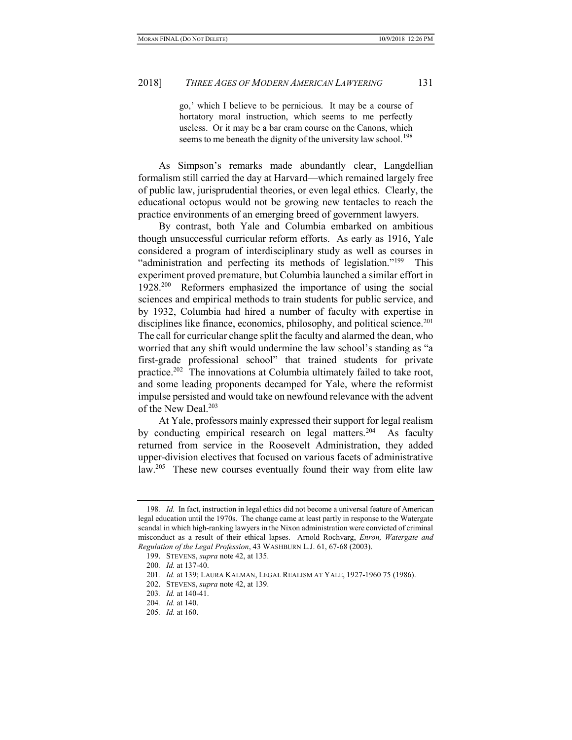go,' which I believe to be pernicious. It may be a course of hortatory moral instruction, which seems to me perfectly useless. Or it may be a bar cram course on the Canons, which seems to me beneath the dignity of the university law school.<sup>198</sup>

As Simpson's remarks made abundantly clear, Langdellian formalism still carried the day at Harvard—which remained largely free of public law, jurisprudential theories, or even legal ethics. Clearly, the educational octopus would not be growing new tentacles to reach the practice environments of an emerging breed of government lawyers.

By contrast, both Yale and Columbia embarked on ambitious though unsuccessful curricular reform efforts. As early as 1916, Yale considered a program of interdisciplinary study as well as courses in "administration and perfecting its methods of legislation."<sup>199</sup> This experiment proved premature, but Columbia launched a similar effort in 1928.<sup>200</sup> Reformers emphasized the importance of using the social sciences and empirical methods to train students for public service, and by 1932, Columbia had hired a number of faculty with expertise in disciplines like finance, economics, philosophy, and political science.<sup>201</sup> The call for curricular change split the faculty and alarmed the dean, who worried that any shift would undermine the law school's standing as "a first-grade professional school" that trained students for private practice.<sup>202</sup> The innovations at Columbia ultimately failed to take root, and some leading proponents decamped for Yale, where the reformist impulse persisted and would take on newfound relevance with the advent of the New Deal.<sup>203</sup>

At Yale, professors mainly expressed their support for legal realism by conducting empirical research on legal matters.<sup>204</sup> As faculty returned from service in the Roosevelt Administration, they added upper-division electives that focused on various facets of administrative law.<sup>205</sup> These new courses eventually found their way from elite law

<sup>198</sup>. Id. In fact, instruction in legal ethics did not become a universal feature of American legal education until the 1970s. The change came at least partly in response to the Watergate scandal in which high-ranking lawyers in the Nixon administration were convicted of criminal misconduct as a result of their ethical lapses. Arnold Rochvarg, Enron, Watergate and Regulation of the Legal Profession, 43 WASHBURN L.J. 61, 67-68 (2003).

<sup>199.</sup> STEVENS, *supra* note 42, at 135.

<sup>200</sup>. Id. at 137-40.

<sup>201</sup>. Id. at 139; LAURA KALMAN, LEGAL REALISM AT YALE, 1927-1960 75 (1986).

<sup>202.</sup> STEVENS, *supra* note 42, at 139.

<sup>203</sup>. Id. at 140-41.

<sup>204</sup>. Id. at 140.

<sup>205</sup>. Id. at 160.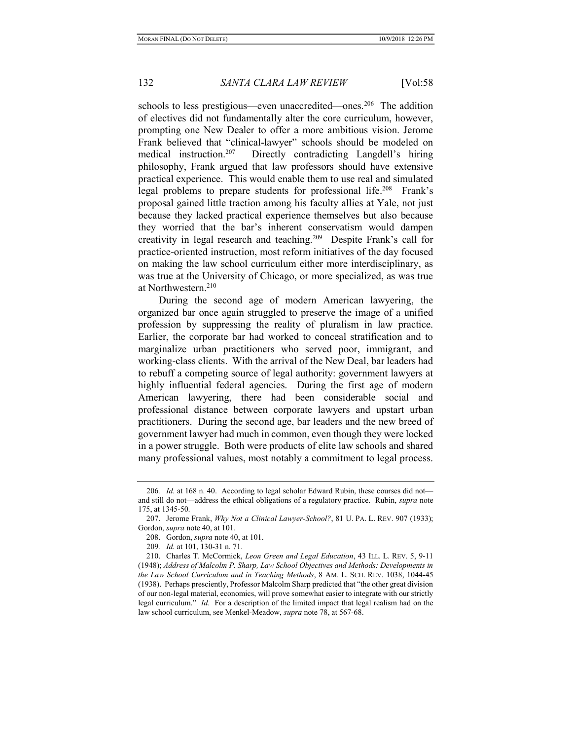schools to less prestigious—even unaccredited—ones.<sup>206</sup> The addition of electives did not fundamentally alter the core curriculum, however, prompting one New Dealer to offer a more ambitious vision. Jerome Frank believed that "clinical-lawyer" schools should be modeled on medical instruction.<sup>207</sup> Directly contradicting Langdell's hiring philosophy, Frank argued that law professors should have extensive practical experience. This would enable them to use real and simulated legal problems to prepare students for professional life.<sup>208</sup> Frank's proposal gained little traction among his faculty allies at Yale, not just because they lacked practical experience themselves but also because they worried that the bar's inherent conservatism would dampen creativity in legal research and teaching.<sup>209</sup> Despite Frank's call for practice-oriented instruction, most reform initiatives of the day focused on making the law school curriculum either more interdisciplinary, as was true at the University of Chicago, or more specialized, as was true at Northwestern.<sup>210</sup>

During the second age of modern American lawyering, the organized bar once again struggled to preserve the image of a unified profession by suppressing the reality of pluralism in law practice. Earlier, the corporate bar had worked to conceal stratification and to marginalize urban practitioners who served poor, immigrant, and working-class clients. With the arrival of the New Deal, bar leaders had to rebuff a competing source of legal authority: government lawyers at highly influential federal agencies. During the first age of modern American lawyering, there had been considerable social and professional distance between corporate lawyers and upstart urban practitioners. During the second age, bar leaders and the new breed of government lawyer had much in common, even though they were locked in a power struggle. Both were products of elite law schools and shared many professional values, most notably a commitment to legal process.

<sup>206.</sup> Id. at 168 n. 40. According to legal scholar Edward Rubin, these courses did not and still do not—address the ethical obligations of a regulatory practice. Rubin, supra note 175, at 1345-50.

<sup>207.</sup> Jerome Frank, Why Not a Clinical Lawyer-School?, 81 U. PA. L. REV. 907 (1933); Gordon, supra note 40, at 101.

<sup>208.</sup> Gordon, *supra* note 40, at 101.

<sup>209</sup>. Id. at 101, 130-31 n. 71.

 <sup>210.</sup> Charles T. McCormick, Leon Green and Legal Education, 43 ILL. L. REV. 5, 9-11 (1948); Address of Malcolm P. Sharp, Law School Objectives and Methods: Developments in the Law School Curriculum and in Teaching Methods, 8 AM. L. SCH. REV. 1038, 1044-45 (1938). Perhaps presciently, Professor Malcolm Sharp predicted that "the other great division of our non-legal material, economics, will prove somewhat easier to integrate with our strictly legal curriculum." Id. For a description of the limited impact that legal realism had on the law school curriculum, see Menkel-Meadow, supra note 78, at 567-68.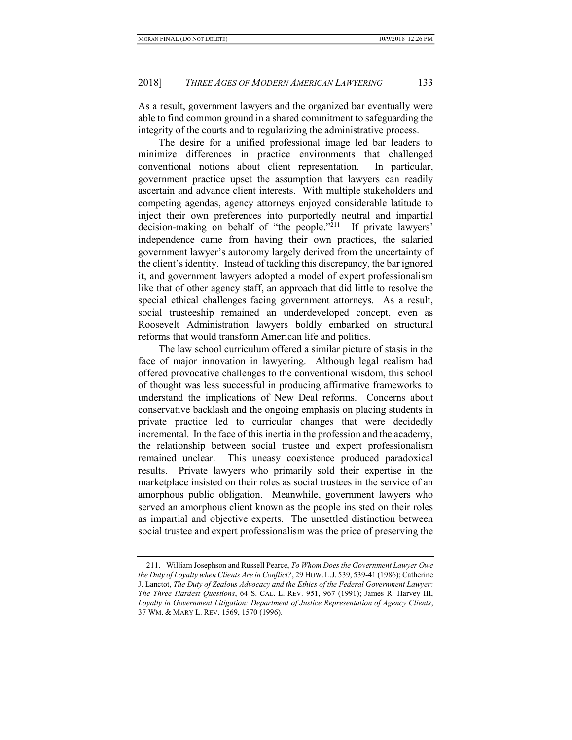As a result, government lawyers and the organized bar eventually were able to find common ground in a shared commitment to safeguarding the integrity of the courts and to regularizing the administrative process.

The desire for a unified professional image led bar leaders to minimize differences in practice environments that challenged conventional notions about client representation. In particular, government practice upset the assumption that lawyers can readily ascertain and advance client interests. With multiple stakeholders and competing agendas, agency attorneys enjoyed considerable latitude to inject their own preferences into purportedly neutral and impartial decision-making on behalf of "the people."<sup>211</sup> If private lawyers' independence came from having their own practices, the salaried government lawyer's autonomy largely derived from the uncertainty of the client's identity. Instead of tackling this discrepancy, the bar ignored it, and government lawyers adopted a model of expert professionalism like that of other agency staff, an approach that did little to resolve the special ethical challenges facing government attorneys. As a result, social trusteeship remained an underdeveloped concept, even as Roosevelt Administration lawyers boldly embarked on structural reforms that would transform American life and politics.

The law school curriculum offered a similar picture of stasis in the face of major innovation in lawyering. Although legal realism had offered provocative challenges to the conventional wisdom, this school of thought was less successful in producing affirmative frameworks to understand the implications of New Deal reforms. Concerns about conservative backlash and the ongoing emphasis on placing students in private practice led to curricular changes that were decidedly incremental. In the face of this inertia in the profession and the academy, the relationship between social trustee and expert professionalism remained unclear. This uneasy coexistence produced paradoxical results. Private lawyers who primarily sold their expertise in the marketplace insisted on their roles as social trustees in the service of an amorphous public obligation. Meanwhile, government lawyers who served an amorphous client known as the people insisted on their roles as impartial and objective experts. The unsettled distinction between social trustee and expert professionalism was the price of preserving the

<sup>211.</sup> William Josephson and Russell Pearce, To Whom Does the Government Lawyer Owe the Duty of Loyalty when Clients Are in Conflict?, 29 HOW. L.J. 539, 539-41 (1986); Catherine J. Lanctot, The Duty of Zealous Advocacy and the Ethics of the Federal Government Lawyer: The Three Hardest Questions, 64 S. CAL. L. REV. 951, 967 (1991); James R. Harvey III, Loyalty in Government Litigation: Department of Justice Representation of Agency Clients, 37 WM. & MARY L. REV. 1569, 1570 (1996).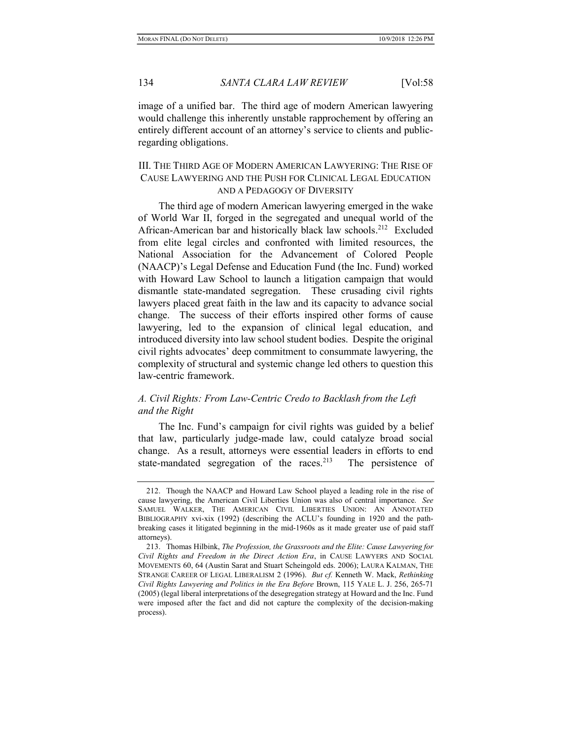image of a unified bar. The third age of modern American lawyering would challenge this inherently unstable rapprochement by offering an entirely different account of an attorney's service to clients and publicregarding obligations.

# III. THE THIRD AGE OF MODERN AMERICAN LAWYERING: THE RISE OF CAUSE LAWYERING AND THE PUSH FOR CLINICAL LEGAL EDUCATION AND A PEDAGOGY OF DIVERSITY

The third age of modern American lawyering emerged in the wake of World War II, forged in the segregated and unequal world of the African-American bar and historically black law schools.<sup>212</sup> Excluded from elite legal circles and confronted with limited resources, the National Association for the Advancement of Colored People (NAACP)'s Legal Defense and Education Fund (the Inc. Fund) worked with Howard Law School to launch a litigation campaign that would dismantle state-mandated segregation. These crusading civil rights lawyers placed great faith in the law and its capacity to advance social change. The success of their efforts inspired other forms of cause lawyering, led to the expansion of clinical legal education, and introduced diversity into law school student bodies. Despite the original civil rights advocates' deep commitment to consummate lawyering, the complexity of structural and systemic change led others to question this law-centric framework.

# A. Civil Rights: From Law-Centric Credo to Backlash from the Left and the Right

The Inc. Fund's campaign for civil rights was guided by a belief that law, particularly judge-made law, could catalyze broad social change. As a result, attorneys were essential leaders in efforts to end state-mandated segregation of the races.<sup>213</sup> The persistence of

 <sup>212.</sup> Though the NAACP and Howard Law School played a leading role in the rise of cause lawyering, the American Civil Liberties Union was also of central importance. See SAMUEL WALKER, THE AMERICAN CIVIL LIBERTIES UNION: AN ANNOTATED BIBLIOGRAPHY xvi-xix (1992) (describing the ACLU's founding in 1920 and the pathbreaking cases it litigated beginning in the mid-1960s as it made greater use of paid staff attorneys).

 <sup>213.</sup> Thomas Hilbink, The Profession, the Grassroots and the Elite: Cause Lawyering for Civil Rights and Freedom in the Direct Action Era, in CAUSE LAWYERS AND SOCIAL MOVEMENTS 60, 64 (Austin Sarat and Stuart Scheingold eds. 2006); LAURA KALMAN, THE STRANGE CAREER OF LEGAL LIBERALISM 2 (1996). But cf. Kenneth W. Mack, Rethinking Civil Rights Lawyering and Politics in the Era Before Brown, 115 YALE L. J. 256, 265-71 (2005) (legal liberal interpretations of the desegregation strategy at Howard and the Inc. Fund were imposed after the fact and did not capture the complexity of the decision-making process).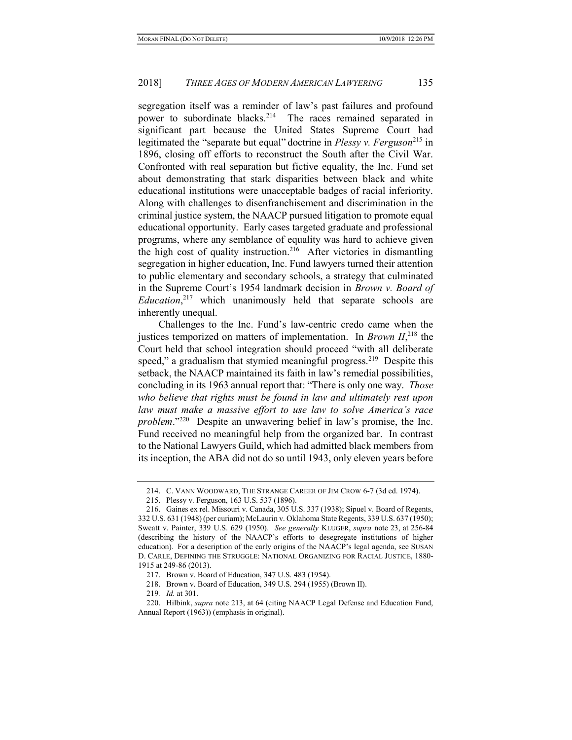segregation itself was a reminder of law's past failures and profound power to subordinate blacks.<sup>214</sup> The races remained separated in significant part because the United States Supreme Court had legitimated the "separate but equal" doctrine in *Plessy v. Ferguson*<sup>215</sup> in 1896, closing off efforts to reconstruct the South after the Civil War. Confronted with real separation but fictive equality, the Inc. Fund set about demonstrating that stark disparities between black and white educational institutions were unacceptable badges of racial inferiority. Along with challenges to disenfranchisement and discrimination in the criminal justice system, the NAACP pursued litigation to promote equal educational opportunity. Early cases targeted graduate and professional programs, where any semblance of equality was hard to achieve given the high cost of quality instruction.<sup>216</sup> After victories in dismantling segregation in higher education, Inc. Fund lawyers turned their attention to public elementary and secondary schools, a strategy that culminated in the Supreme Court's 1954 landmark decision in Brown v. Board of *Education*,<sup>217</sup> which unanimously held that separate schools are inherently unequal.

Challenges to the Inc. Fund's law-centric credo came when the justices temporized on matters of implementation. In *Brown II*,<sup>218</sup>, the Court held that school integration should proceed "with all deliberate speed," a gradualism that stymied meaningful progress.<sup>219</sup> Despite this setback, the NAACP maintained its faith in law's remedial possibilities, concluding in its 1963 annual report that: "There is only one way. Those who believe that rights must be found in law and ultimately rest upon law must make a massive effort to use law to solve America's race problem."<sup>220</sup> Despite an unwavering belief in law's promise, the Inc. Fund received no meaningful help from the organized bar. In contrast to the National Lawyers Guild, which had admitted black members from its inception, the ABA did not do so until 1943, only eleven years before

 <sup>214.</sup> C. VANN WOODWARD, THE STRANGE CAREER OF JIM CROW 6-7 (3d ed. 1974).

 <sup>215.</sup> Plessy v. Ferguson, 163 U.S. 537 (1896).

 <sup>216.</sup> Gaines ex rel. Missouri v. Canada, 305 U.S. 337 (1938); Sipuel v. Board of Regents, 332 U.S. 631 (1948) (per curiam); McLaurin v. Oklahoma State Regents, 339 U.S. 637 (1950); Sweatt v. Painter, 339 U.S. 629 (1950). See generally KLUGER, supra note 23, at 256-84 (describing the history of the NAACP's efforts to desegregate institutions of higher education). For a description of the early origins of the NAACP's legal agenda, see SUSAN D. CARLE, DEFINING THE STRUGGLE: NATIONAL ORGANIZING FOR RACIAL JUSTICE, 1880- 1915 at 249-86 (2013).

 <sup>217.</sup> Brown v. Board of Education, 347 U.S. 483 (1954).

 <sup>218.</sup> Brown v. Board of Education, 349 U.S. 294 (1955) (Brown II).

<sup>219</sup>. Id. at 301.

 <sup>220.</sup> Hilbink, supra note 213, at 64 (citing NAACP Legal Defense and Education Fund, Annual Report (1963)) (emphasis in original).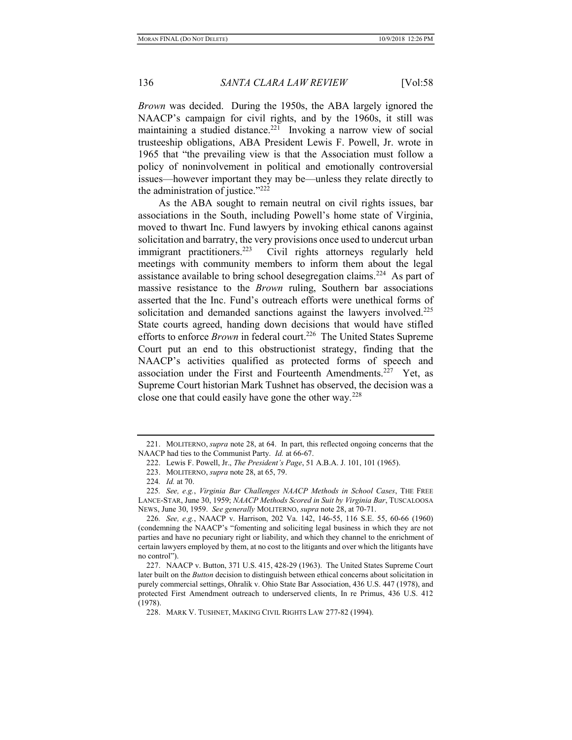Brown was decided. During the 1950s, the ABA largely ignored the NAACP's campaign for civil rights, and by the 1960s, it still was maintaining a studied distance.<sup>221</sup> Invoking a narrow view of social trusteeship obligations, ABA President Lewis F. Powell, Jr. wrote in 1965 that "the prevailing view is that the Association must follow a policy of noninvolvement in political and emotionally controversial issues—however important they may be—unless they relate directly to the administration of justice."<sup>222</sup>

As the ABA sought to remain neutral on civil rights issues, bar associations in the South, including Powell's home state of Virginia, moved to thwart Inc. Fund lawyers by invoking ethical canons against solicitation and barratry, the very provisions once used to undercut urban immigrant practitioners.<sup>223</sup> Civil rights attorneys regularly held meetings with community members to inform them about the legal assistance available to bring school desegregation claims.<sup>224</sup> As part of massive resistance to the Brown ruling, Southern bar associations asserted that the Inc. Fund's outreach efforts were unethical forms of solicitation and demanded sanctions against the lawyers involved.<sup>225</sup> State courts agreed, handing down decisions that would have stifled efforts to enforce *Brown* in federal court.<sup>226</sup> The United States Supreme Court put an end to this obstructionist strategy, finding that the NAACP's activities qualified as protected forms of speech and association under the First and Fourteenth Amendments.<sup>227</sup> Yet, as Supreme Court historian Mark Tushnet has observed, the decision was a close one that could easily have gone the other way. $228$ 

<sup>221.</sup> MOLITERNO, *supra* note 28, at 64. In part, this reflected ongoing concerns that the NAACP had ties to the Communist Party. Id. at 66-67.

 <sup>222.</sup> Lewis F. Powell, Jr., The President's Page, 51 A.B.A. J. 101, 101 (1965).

 <sup>223.</sup> MOLITERNO, supra note 28, at 65, 79.

<sup>224</sup>. Id. at 70.

<sup>225</sup>. See, e.g., Virginia Bar Challenges NAACP Methods in School Cases, THE FREE LANCE-STAR, June 30, 1959; NAACP Methods Scored in Suit by Virginia Bar, TUSCALOOSA NEWS, June 30, 1959. See generally MOLITERNO, supra note 28, at 70-71.

<sup>226</sup>. See, e.g., NAACP v. Harrison, 202 Va. 142, 146-55, 116 S.E. 55, 60-66 (1960) (condemning the NAACP's "fomenting and soliciting legal business in which they are not parties and have no pecuniary right or liability, and which they channel to the enrichment of certain lawyers employed by them, at no cost to the litigants and over which the litigants have no control").

 <sup>227.</sup> NAACP v. Button, 371 U.S. 415, 428-29 (1963). The United States Supreme Court later built on the Button decision to distinguish between ethical concerns about solicitation in purely commercial settings, Ohralik v. Ohio State Bar Association, 436 U.S. 447 (1978), and protected First Amendment outreach to underserved clients, In re Primus, 436 U.S. 412 (1978).

 <sup>228.</sup> MARK V. TUSHNET, MAKING CIVIL RIGHTS LAW 277-82 (1994).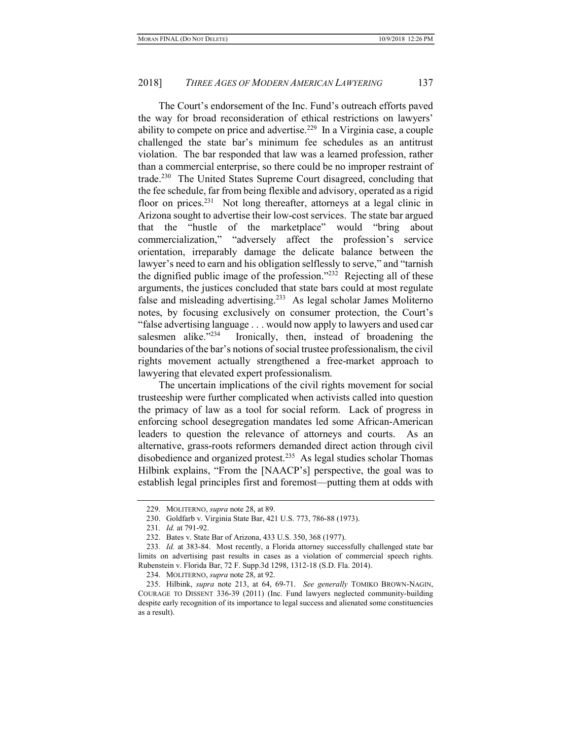The Court's endorsement of the Inc. Fund's outreach efforts paved the way for broad reconsideration of ethical restrictions on lawyers' ability to compete on price and advertise.<sup>229</sup> In a Virginia case, a couple challenged the state bar's minimum fee schedules as an antitrust violation. The bar responded that law was a learned profession, rather than a commercial enterprise, so there could be no improper restraint of trade.<sup>230</sup> The United States Supreme Court disagreed, concluding that the fee schedule, far from being flexible and advisory, operated as a rigid floor on prices.<sup>231</sup> Not long thereafter, attorneys at a legal clinic in Arizona sought to advertise their low-cost services. The state bar argued that the "hustle of the marketplace" would "bring about commercialization," "adversely affect the profession's service orientation, irreparably damage the delicate balance between the lawyer's need to earn and his obligation selflessly to serve," and "tarnish" the dignified public image of the profession."<sup>232</sup> Rejecting all of these arguments, the justices concluded that state bars could at most regulate false and misleading advertising.<sup>233</sup> As legal scholar James Moliterno notes, by focusing exclusively on consumer protection, the Court's "false advertising language . . . would now apply to lawyers and used car salesmen alike."<sup>234</sup> Ironically, then, instead of broadening the boundaries of the bar's notions of social trustee professionalism, the civil rights movement actually strengthened a free-market approach to lawyering that elevated expert professionalism.

The uncertain implications of the civil rights movement for social trusteeship were further complicated when activists called into question the primacy of law as a tool for social reform. Lack of progress in enforcing school desegregation mandates led some African-American leaders to question the relevance of attorneys and courts. As an alternative, grass-roots reformers demanded direct action through civil disobedience and organized protest.<sup>235</sup> As legal studies scholar Thomas Hilbink explains, "From the [NAACP's] perspective, the goal was to establish legal principles first and foremost—putting them at odds with

<sup>229.</sup> MOLITERNO, *supra* note 28, at 89.

 <sup>230.</sup> Goldfarb v. Virginia State Bar, 421 U.S. 773, 786-88 (1973).

<sup>231</sup>. Id. at 791-92.

 <sup>232.</sup> Bates v. State Bar of Arizona, 433 U.S. 350, 368 (1977).

<sup>233</sup>. Id. at 383-84. Most recently, a Florida attorney successfully challenged state bar limits on advertising past results in cases as a violation of commercial speech rights. Rubenstein v. Florida Bar, 72 F. Supp.3d 1298, 1312-18 (S.D. Fla. 2014).

 <sup>234.</sup> MOLITERNO, supra note 28, at 92.

<sup>235.</sup> Hilbink, supra note 213, at 64, 69-71. See generally TOMIKO BROWN-NAGIN, COURAGE TO DISSENT 336-39 (2011) (Inc. Fund lawyers neglected community-building despite early recognition of its importance to legal success and alienated some constituencies as a result).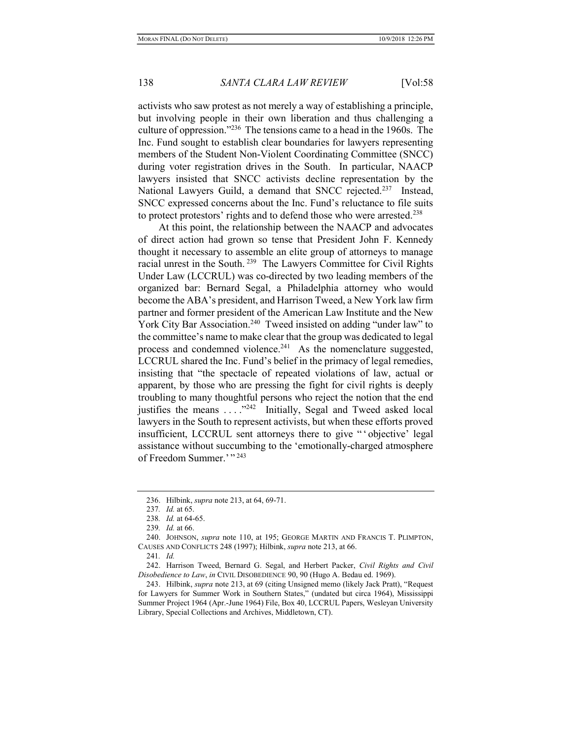activists who saw protest as not merely a way of establishing a principle, but involving people in their own liberation and thus challenging a culture of oppression."<sup>236</sup> The tensions came to a head in the 1960s. The Inc. Fund sought to establish clear boundaries for lawyers representing members of the Student Non-Violent Coordinating Committee (SNCC) during voter registration drives in the South. In particular, NAACP lawyers insisted that SNCC activists decline representation by the National Lawyers Guild, a demand that SNCC rejected.<sup>237</sup> Instead, SNCC expressed concerns about the Inc. Fund's reluctance to file suits to protect protestors' rights and to defend those who were arrested. $238$ 

At this point, the relationship between the NAACP and advocates of direct action had grown so tense that President John F. Kennedy thought it necessary to assemble an elite group of attorneys to manage racial unrest in the South.<sup>239</sup> The Lawyers Committee for Civil Rights Under Law (LCCRUL) was co-directed by two leading members of the organized bar: Bernard Segal, a Philadelphia attorney who would become the ABA's president, and Harrison Tweed, a New York law firm partner and former president of the American Law Institute and the New York City Bar Association.<sup>240</sup> Tweed insisted on adding "under law" to the committee's name to make clear that the group was dedicated to legal process and condemned violence.<sup>241</sup> As the nomenclature suggested, LCCRUL shared the Inc. Fund's belief in the primacy of legal remedies, insisting that "the spectacle of repeated violations of law, actual or apparent, by those who are pressing the fight for civil rights is deeply troubling to many thoughtful persons who reject the notion that the end justifies the means . . . ."<sup>242</sup> Initially, Segal and Tweed asked local lawyers in the South to represent activists, but when these efforts proved insufficient, LCCRUL sent attorneys there to give " ' objective' legal assistance without succumbing to the 'emotionally-charged atmosphere of Freedom Summer.' " 243

<sup>236.</sup> Hilbink, *supra* note 213, at 64, 69-71.

<sup>237</sup>. Id. at 65.

<sup>238</sup>. Id. at 64-65.

<sup>239</sup>. Id. at 66.

<sup>240.</sup> JOHNSON, *supra* note 110, at 195; GEORGE MARTIN AND FRANCIS T. PLIMPTON, CAUSES AND CONFLICTS 248 (1997); Hilbink, supra note 213, at 66.

<sup>241</sup>. Id.

<sup>242.</sup> Harrison Tweed, Bernard G. Segal, and Herbert Packer, Civil Rights and Civil Disobedience to Law, in CIVIL DISOBEDIENCE 90, 90 (Hugo A. Bedau ed. 1969).

<sup>243.</sup> Hilbink, supra note 213, at 69 (citing Unsigned memo (likely Jack Pratt), "Request for Lawyers for Summer Work in Southern States," (undated but circa 1964), Mississippi Summer Project 1964 (Apr.-June 1964) File, Box 40, LCCRUL Papers, Wesleyan University Library, Special Collections and Archives, Middletown, CT).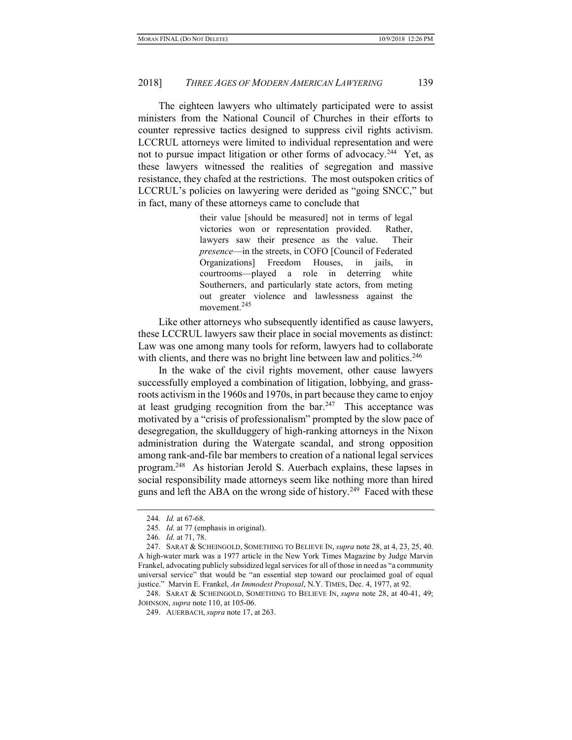The eighteen lawyers who ultimately participated were to assist ministers from the National Council of Churches in their efforts to counter repressive tactics designed to suppress civil rights activism. LCCRUL attorneys were limited to individual representation and were not to pursue impact litigation or other forms of advocacy.<sup>244</sup> Yet, as these lawyers witnessed the realities of segregation and massive resistance, they chafed at the restrictions. The most outspoken critics of LCCRUL's policies on lawyering were derided as "going SNCC," but in fact, many of these attorneys came to conclude that

> their value [should be measured] not in terms of legal victories won or representation provided. Rather, lawyers saw their presence as the value. Their presence—in the streets, in COFO [Council of Federated Organizations] Freedom Houses, in jails, in courtrooms—played a role in deterring white Southerners, and particularly state actors, from meting out greater violence and lawlessness against the movement.<sup>245</sup>

Like other attorneys who subsequently identified as cause lawyers, these LCCRUL lawyers saw their place in social movements as distinct: Law was one among many tools for reform, lawyers had to collaborate with clients, and there was no bright line between law and politics.<sup>246</sup>

In the wake of the civil rights movement, other cause lawyers successfully employed a combination of litigation, lobbying, and grassroots activism in the 1960s and 1970s, in part because they came to enjoy at least grudging recognition from the  $bar^{247}$  This acceptance was motivated by a "crisis of professionalism" prompted by the slow pace of desegregation, the skullduggery of high-ranking attorneys in the Nixon administration during the Watergate scandal, and strong opposition among rank-and-file bar members to creation of a national legal services program.<sup>248</sup> As historian Jerold S. Auerbach explains, these lapses in social responsibility made attorneys seem like nothing more than hired guns and left the ABA on the wrong side of history.<sup>249</sup> Faced with these

<sup>244.</sup> *Id.* at 67-68.

<sup>245</sup>. Id. at 77 (emphasis in original).

<sup>246</sup>. Id. at 71, 78.

 <sup>247.</sup> SARAT & SCHEINGOLD, SOMETHING TO BELIEVE IN, supra note 28, at 4, 23, 25, 40. A high-water mark was a 1977 article in the New York Times Magazine by Judge Marvin Frankel, advocating publicly subsidized legal services for all of those in need as "a community universal service" that would be "an essential step toward our proclaimed goal of equal justice." Marvin E. Frankel, An Immodest Proposal, N.Y. TIMES, Dec. 4, 1977, at 92.

<sup>248.</sup> SARAT & SCHEINGOLD, SOMETHING TO BELIEVE IN, *supra* note 28, at 40-41, 49; JOHNSON, supra note 110, at 105-06.

 <sup>249.</sup> AUERBACH, supra note 17, at 263.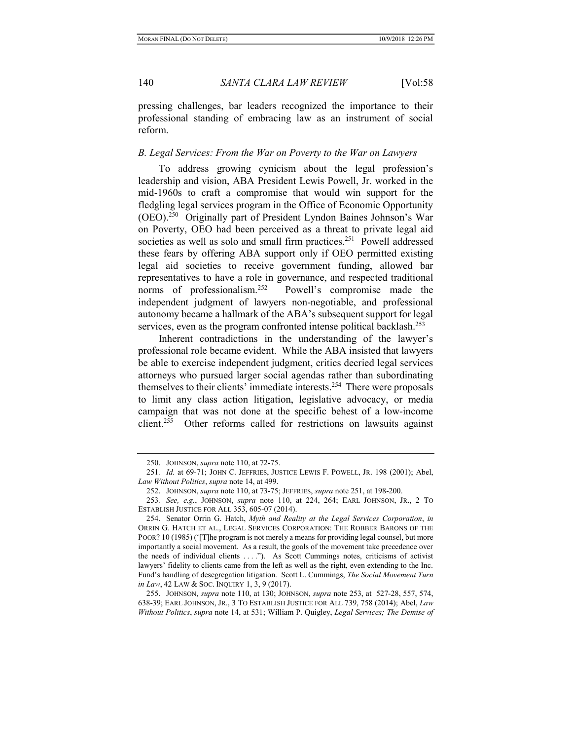pressing challenges, bar leaders recognized the importance to their professional standing of embracing law as an instrument of social reform.

## B. Legal Services: From the War on Poverty to the War on Lawyers

To address growing cynicism about the legal profession's leadership and vision, ABA President Lewis Powell, Jr. worked in the mid-1960s to craft a compromise that would win support for the fledgling legal services program in the Office of Economic Opportunity (OEO).<sup>250</sup> Originally part of President Lyndon Baines Johnson's War on Poverty, OEO had been perceived as a threat to private legal aid societies as well as solo and small firm practices.<sup>251</sup> Powell addressed these fears by offering ABA support only if OEO permitted existing legal aid societies to receive government funding, allowed bar representatives to have a role in governance, and respected traditional norms of professionalism.<sup>252</sup> Powell's compromise made the independent judgment of lawyers non-negotiable, and professional autonomy became a hallmark of the ABA's subsequent support for legal services, even as the program confronted intense political backlash.<sup>253</sup>

Inherent contradictions in the understanding of the lawyer's professional role became evident. While the ABA insisted that lawyers be able to exercise independent judgment, critics decried legal services attorneys who pursued larger social agendas rather than subordinating themselves to their clients' immediate interests.<sup>254</sup> There were proposals to limit any class action litigation, legislative advocacy, or media campaign that was not done at the specific behest of a low-income client.<sup>255</sup> Other reforms called for restrictions on lawsuits against

 <sup>250.</sup> JOHNSON, supra note 110, at 72-75.

<sup>251</sup>. Id. at 69-71; JOHN C. JEFFRIES, JUSTICE LEWIS F. POWELL, JR. 198 (2001); Abel, Law Without Politics, supra note 14, at 499.

<sup>252.</sup> JOHNSON, *supra* note 110, at 73-75; JEFFRIES, *supra* note 251, at 198-200.

<sup>253</sup>. See, e.g., JOHNSON, supra note 110, at 224, 264; EARL JOHNSON, JR., 2 TO ESTABLISH JUSTICE FOR ALL 353, 605-07 (2014).

<sup>254.</sup> Senator Orrin G. Hatch, Myth and Reality at the Legal Services Corporation, in ORRIN G. HATCH ET AL., LEGAL SERVICES CORPORATION: THE ROBBER BARONS OF THE POOR? 10 (1985) ('[T]he program is not merely a means for providing legal counsel, but more importantly a social movement. As a result, the goals of the movement take precedence over the needs of individual clients . . . ."). As Scott Cummings notes, criticisms of activist lawyers' fidelity to clients came from the left as well as the right, even extending to the Inc. Fund's handling of desegregation litigation. Scott L. Cummings, The Social Movement Turn in Law, 42 LAW & SOC. INQUIRY 1, 3, 9 (2017).

<sup>255.</sup> JOHNSON, *supra* note 110, at 130; JOHNSON, *supra* note 253, at 527-28, 557, 574, 638-39; EARL JOHNSON, JR., 3 TO ESTABLISH JUSTICE FOR ALL 739, 758 (2014); Abel, Law Without Politics, supra note 14, at 531; William P. Quigley, Legal Services; The Demise of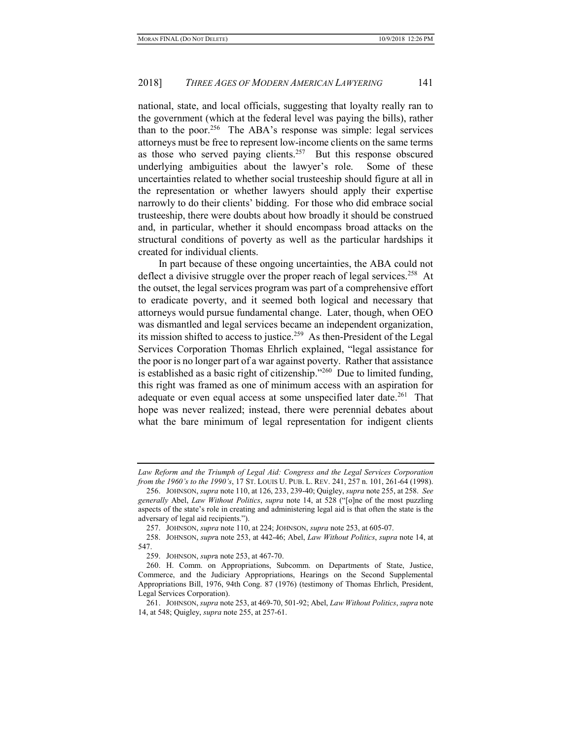national, state, and local officials, suggesting that loyalty really ran to the government (which at the federal level was paying the bills), rather than to the poor.<sup>256</sup> The ABA's response was simple: legal services attorneys must be free to represent low-income clients on the same terms as those who served paying clients. $257$  But this response obscured underlying ambiguities about the lawyer's role. Some of these uncertainties related to whether social trusteeship should figure at all in the representation or whether lawyers should apply their expertise narrowly to do their clients' bidding. For those who did embrace social trusteeship, there were doubts about how broadly it should be construed and, in particular, whether it should encompass broad attacks on the structural conditions of poverty as well as the particular hardships it created for individual clients.

In part because of these ongoing uncertainties, the ABA could not deflect a divisive struggle over the proper reach of legal services.<sup>258</sup> At the outset, the legal services program was part of a comprehensive effort to eradicate poverty, and it seemed both logical and necessary that attorneys would pursue fundamental change. Later, though, when OEO was dismantled and legal services became an independent organization, its mission shifted to access to justice.<sup>259</sup> As then-President of the Legal Services Corporation Thomas Ehrlich explained, "legal assistance for the poor is no longer part of a war against poverty. Rather that assistance is established as a basic right of citizenship."<sup>260</sup> Due to limited funding, this right was framed as one of minimum access with an aspiration for adequate or even equal access at some unspecified later date.<sup>261</sup> That hope was never realized; instead, there were perennial debates about what the bare minimum of legal representation for indigent clients

Law Reform and the Triumph of Legal Aid: Congress and the Legal Services Corporation from the 1960's to the 1990's, 17 ST. LOUIS U. PUB. L. REV. 241, 257 n. 101, 261-64 (1998).

 <sup>256.</sup> JOHNSON, supra note 110, at 126, 233, 239-40; Quigley, supra note 255, at 258. See generally Abel, Law Without Politics, supra note 14, at 528 ("[o]ne of the most puzzling aspects of the state's role in creating and administering legal aid is that often the state is the adversary of legal aid recipients.").

<sup>257.</sup> JOHNSON, *supra* note 110, at 224; JOHNSON, *supra* note 253, at 605-07.

 <sup>258.</sup> JOHNSON, supra note 253, at 442-46; Abel, Law Without Politics, supra note 14, at 547.

 <sup>259.</sup> JOHNSON, supra note 253, at 467-70.

 <sup>260.</sup> H. Comm. on Appropriations, Subcomm. on Departments of State, Justice, Commerce, and the Judiciary Appropriations, Hearings on the Second Supplemental Appropriations Bill, 1976, 94th Cong. 87 (1976) (testimony of Thomas Ehrlich, President, Legal Services Corporation).

<sup>261.</sup> JOHNSON, supra note 253, at 469-70, 501-92; Abel, Law Without Politics, supra note 14, at 548; Quigley, supra note 255, at 257-61.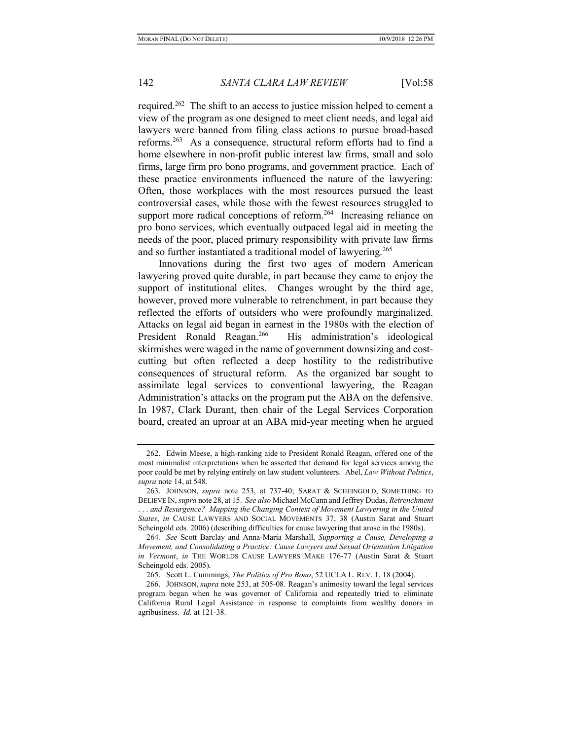required.<sup>262</sup> The shift to an access to justice mission helped to cement a view of the program as one designed to meet client needs, and legal aid lawyers were banned from filing class actions to pursue broad-based reforms.<sup>263</sup> As a consequence, structural reform efforts had to find a home elsewhere in non-profit public interest law firms, small and solo firms, large firm pro bono programs, and government practice. Each of these practice environments influenced the nature of the lawyering: Often, those workplaces with the most resources pursued the least controversial cases, while those with the fewest resources struggled to support more radical conceptions of reform.<sup>264</sup> Increasing reliance on pro bono services, which eventually outpaced legal aid in meeting the needs of the poor, placed primary responsibility with private law firms and so further instantiated a traditional model of lawyering.<sup>265</sup>

Innovations during the first two ages of modern American lawyering proved quite durable, in part because they came to enjoy the support of institutional elites. Changes wrought by the third age, however, proved more vulnerable to retrenchment, in part because they reflected the efforts of outsiders who were profoundly marginalized. Attacks on legal aid began in earnest in the 1980s with the election of President Ronald Reagan.<sup>266</sup> His administration's ideological skirmishes were waged in the name of government downsizing and costcutting but often reflected a deep hostility to the redistributive consequences of structural reform. As the organized bar sought to assimilate legal services to conventional lawyering, the Reagan Administration's attacks on the program put the ABA on the defensive. In 1987, Clark Durant, then chair of the Legal Services Corporation board, created an uproar at an ABA mid-year meeting when he argued

 <sup>262.</sup> Edwin Meese, a high-ranking aide to President Ronald Reagan, offered one of the most minimalist interpretations when he asserted that demand for legal services among the poor could be met by relying entirely on law student volunteers. Abel, Law Without Politics, supra note 14, at 548.

 <sup>263.</sup> JOHNSON, supra note 253, at 737-40; SARAT & SCHEINGOLD, SOMETHING TO BELIEVE IN, supra note 28, at 15. See also Michael McCann and Jeffrey Dudas, Retrenchment . . . and Resurgence? Mapping the Changing Context of Movement Lawyering in the United States, in CAUSE LAWYERS AND SOCIAL MOVEMENTS 37, 38 (Austin Sarat and Stuart Scheingold eds. 2006) (describing difficulties for cause lawyering that arose in the 1980s).

<sup>264</sup>. See Scott Barclay and Anna-Maria Marshall, Supporting a Cause, Developing a Movement, and Consolidating a Practice: Cause Lawyers and Sexual Orientation Litigation in Vermont, in THE WORLDS CAUSE LAWYERS MAKE 176-77 (Austin Sarat & Stuart Scheingold eds. 2005).

<sup>265.</sup> Scott L. Cummings, The Politics of Pro Bono, 52 UCLA L. REV. 1, 18 (2004).

 <sup>266.</sup> JOHNSON, supra note 253, at 505-08. Reagan's animosity toward the legal services program began when he was governor of California and repeatedly tried to eliminate California Rural Legal Assistance in response to complaints from wealthy donors in agribusiness. Id. at 121-38.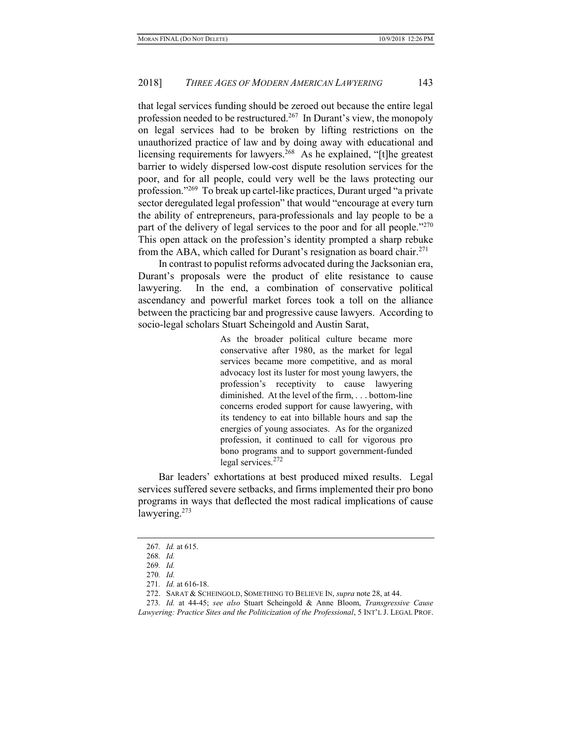that legal services funding should be zeroed out because the entire legal profession needed to be restructured.<sup>267</sup> In Durant's view, the monopoly on legal services had to be broken by lifting restrictions on the unauthorized practice of law and by doing away with educational and licensing requirements for lawyers.<sup>268</sup> As he explained, "[t]he greatest barrier to widely dispersed low-cost dispute resolution services for the poor, and for all people, could very well be the laws protecting our profession."<sup>269</sup> To break up cartel-like practices, Durant urged "a private sector deregulated legal profession" that would "encourage at every turn the ability of entrepreneurs, para-professionals and lay people to be a part of the delivery of legal services to the poor and for all people."<sup>270</sup> This open attack on the profession's identity prompted a sharp rebuke from the ABA, which called for Durant's resignation as board chair.<sup>271</sup>

In contrast to populist reforms advocated during the Jacksonian era, Durant's proposals were the product of elite resistance to cause lawyering. In the end, a combination of conservative political ascendancy and powerful market forces took a toll on the alliance between the practicing bar and progressive cause lawyers. According to socio-legal scholars Stuart Scheingold and Austin Sarat,

> As the broader political culture became more conservative after 1980, as the market for legal services became more competitive, and as moral advocacy lost its luster for most young lawyers, the profession's receptivity to cause lawyering diminished. At the level of the firm, . . . bottom-line concerns eroded support for cause lawyering, with its tendency to eat into billable hours and sap the energies of young associates. As for the organized profession, it continued to call for vigorous pro bono programs and to support government-funded legal services.<sup>272</sup>

Bar leaders' exhortations at best produced mixed results. Legal services suffered severe setbacks, and firms implemented their pro bono programs in ways that deflected the most radical implications of cause lawyering.<sup>273</sup>

<sup>267</sup>. Id. at 615.

<sup>268</sup>. Id.

<sup>269</sup>. Id.

<sup>270</sup>. Id.

<sup>271</sup>. Id. at 616-18.

<sup>272.</sup> SARAT & SCHEINGOLD, SOMETHING TO BELIEVE IN, supra note 28, at 44.

<sup>273.</sup> Id. at 44-45; see also Stuart Scheingold & Anne Bloom, Transgressive Cause Lawyering: Practice Sites and the Politicization of the Professional, 5 INT'L J. LEGAL PROF.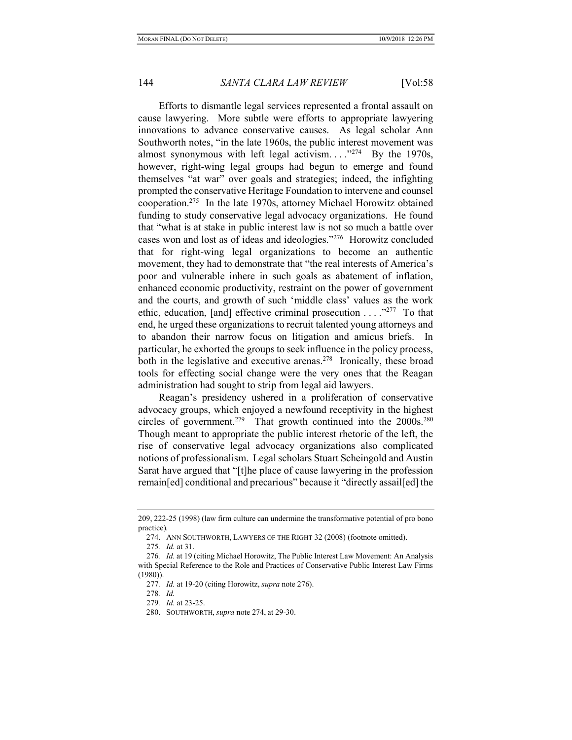Efforts to dismantle legal services represented a frontal assault on cause lawyering. More subtle were efforts to appropriate lawyering innovations to advance conservative causes. As legal scholar Ann Southworth notes, "in the late 1960s, the public interest movement was almost synonymous with left legal activism.  $\ldots$ <sup>274</sup> By the 1970s, however, right-wing legal groups had begun to emerge and found themselves "at war" over goals and strategies; indeed, the infighting prompted the conservative Heritage Foundation to intervene and counsel cooperation.<sup>275</sup> In the late 1970s, attorney Michael Horowitz obtained funding to study conservative legal advocacy organizations. He found that "what is at stake in public interest law is not so much a battle over cases won and lost as of ideas and ideologies."<sup>276</sup> Horowitz concluded that for right-wing legal organizations to become an authentic movement, they had to demonstrate that "the real interests of America's poor and vulnerable inhere in such goals as abatement of inflation, enhanced economic productivity, restraint on the power of government and the courts, and growth of such 'middle class' values as the work ethic, education, [and] effective criminal prosecution  $\dots$ .  $\cdot$ <sup>277</sup> To that end, he urged these organizations to recruit talented young attorneys and to abandon their narrow focus on litigation and amicus briefs. In particular, he exhorted the groups to seek influence in the policy process, both in the legislative and executive arenas.<sup>278</sup> Ironically, these broad tools for effecting social change were the very ones that the Reagan administration had sought to strip from legal aid lawyers.

Reagan's presidency ushered in a proliferation of conservative advocacy groups, which enjoyed a newfound receptivity in the highest circles of government.<sup>279</sup> That growth continued into the  $2000s$ .<sup>280</sup> Though meant to appropriate the public interest rhetoric of the left, the rise of conservative legal advocacy organizations also complicated notions of professionalism. Legal scholars Stuart Scheingold and Austin Sarat have argued that "[t]he place of cause lawyering in the profession remain[ed] conditional and precarious" because it "directly assail[ed] the

275. Id. at 31.

<sup>209, 222-25 (1998) (</sup>law firm culture can undermine the transformative potential of pro bono practice).

 <sup>274.</sup> ANN SOUTHWORTH, LAWYERS OF THE RIGHT 32 (2008) (footnote omitted).

<sup>276</sup>. Id. at 19 (citing Michael Horowitz, The Public Interest Law Movement: An Analysis with Special Reference to the Role and Practices of Conservative Public Interest Law Firms (1980)).

<sup>277.</sup> Id. at 19-20 (citing Horowitz, supra note 276).

<sup>278</sup>. Id.

<sup>279</sup>. Id. at 23-25.

 <sup>280.</sup> SOUTHWORTH, supra note 274, at 29-30.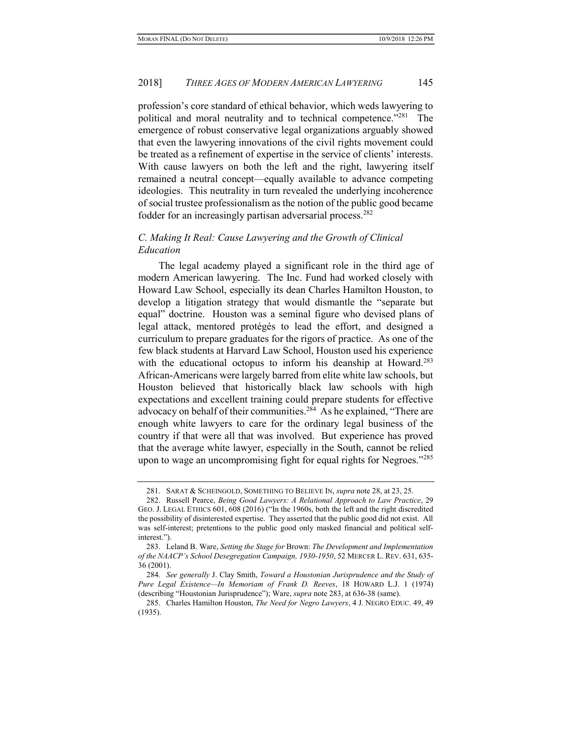profession's core standard of ethical behavior, which weds lawyering to political and moral neutrality and to technical competence."<sup>281</sup> The emergence of robust conservative legal organizations arguably showed that even the lawyering innovations of the civil rights movement could be treated as a refinement of expertise in the service of clients' interests. With cause lawyers on both the left and the right, lawyering itself remained a neutral concept—equally available to advance competing ideologies. This neutrality in turn revealed the underlying incoherence of social trustee professionalism as the notion of the public good became fodder for an increasingly partisan adversarial process.<sup>282</sup>

## C. Making It Real: Cause Lawyering and the Growth of Clinical Education

The legal academy played a significant role in the third age of modern American lawyering. The Inc. Fund had worked closely with Howard Law School, especially its dean Charles Hamilton Houston, to develop a litigation strategy that would dismantle the "separate but equal" doctrine. Houston was a seminal figure who devised plans of legal attack, mentored protégés to lead the effort, and designed a curriculum to prepare graduates for the rigors of practice. As one of the few black students at Harvard Law School, Houston used his experience with the educational octopus to inform his deanship at Howard.<sup>283</sup> African-Americans were largely barred from elite white law schools, but Houston believed that historically black law schools with high expectations and excellent training could prepare students for effective advocacy on behalf of their communities.<sup>284</sup> As he explained, "There are enough white lawyers to care for the ordinary legal business of the country if that were all that was involved. But experience has proved that the average white lawyer, especially in the South, cannot be relied upon to wage an uncompromising fight for equal rights for Negroes."<sup>285</sup>

<sup>281.</sup> SARAT & SCHEINGOLD, SOMETHING TO BELIEVE IN, supra note 28, at 23, 25.

 <sup>282.</sup> Russell Pearce, Being Good Lawyers: A Relational Approach to Law Practice, 29 GEO. J. LEGAL ETHICS 601, 608 (2016) ("In the 1960s, both the left and the right discredited the possibility of disinterested expertise. They asserted that the public good did not exist. All was self-interest; pretentions to the public good only masked financial and political selfinterest.").

 <sup>283.</sup> Leland B. Ware, Setting the Stage for Brown: The Development and Implementation of the NAACP's School Desegregation Campaign, 1930-1950, 52 MERCER L. REV. 631, 635- 36 (2001).

<sup>284</sup>. See generally J. Clay Smith, Toward a Houstonian Jurisprudence and the Study of Pure Legal Existence—In Memoriam of Frank D. Reeves, 18 HOWARD L.J. 1 (1974) (describing "Houstonian Jurisprudence"); Ware, supra note 283, at 636-38 (same).

 <sup>285.</sup> Charles Hamilton Houston, The Need for Negro Lawyers, 4 J. NEGRO EDUC. 49, 49 (1935).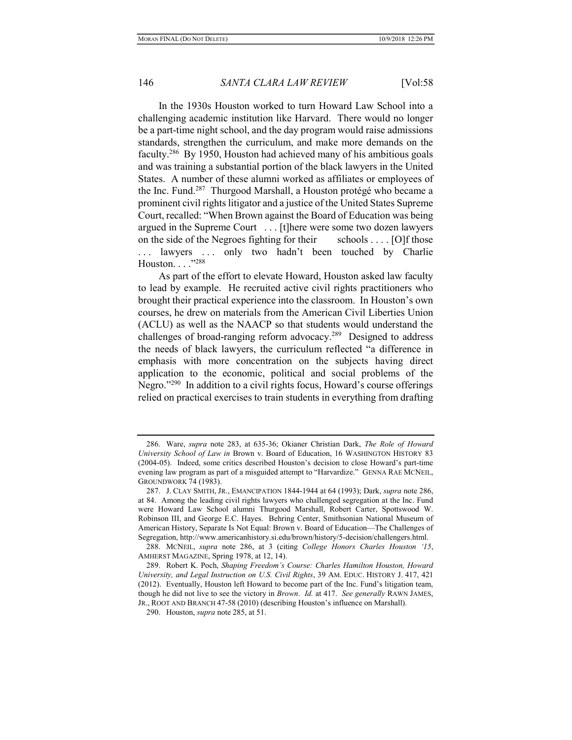In the 1930s Houston worked to turn Howard Law School into a challenging academic institution like Harvard. There would no longer be a part-time night school, and the day program would raise admissions standards, strengthen the curriculum, and make more demands on the faculty.<sup>286</sup> By 1950, Houston had achieved many of his ambitious goals and was training a substantial portion of the black lawyers in the United States. A number of these alumni worked as affiliates or employees of the Inc. Fund.<sup>287</sup> Thurgood Marshall, a Houston protégé who became a prominent civil rights litigator and a justice of the United States Supreme Court, recalled: "When Brown against the Board of Education was being argued in the Supreme Court . . . [t]here were some two dozen lawyers on the side of the Negroes fighting for their schools  $\dots$  [O]f those ... lawyers ... only two hadn't been touched by Charlie Houston. . . . "288

As part of the effort to elevate Howard, Houston asked law faculty to lead by example. He recruited active civil rights practitioners who brought their practical experience into the classroom. In Houston's own courses, he drew on materials from the American Civil Liberties Union (ACLU) as well as the NAACP so that students would understand the challenges of broad-ranging reform advocacy.<sup>289</sup> Designed to address the needs of black lawyers, the curriculum reflected "a difference in emphasis with more concentration on the subjects having direct application to the economic, political and social problems of the Negro."<sup>290</sup> In addition to a civil rights focus, Howard's course offerings relied on practical exercises to train students in everything from drafting

 <sup>286.</sup> Ware, supra note 283, at 635-36; Okianer Christian Dark, The Role of Howard University School of Law in Brown v. Board of Education, 16 WASHINGTON HISTORY 83 (2004-05). Indeed, some critics described Houston's decision to close Howard's part-time evening law program as part of a misguided attempt to "Harvardize." GENNA RAE MCNEIL, GROUNDWORK 74 (1983).

 <sup>287.</sup> J. CLAY SMITH, JR., EMANCIPATION 1844-1944 at 64 (1993); Dark, supra note 286, at 84. Among the leading civil rights lawyers who challenged segregation at the Inc. Fund were Howard Law School alumni Thurgood Marshall, Robert Carter, Spottswood W. Robinson III, and George E.C. Hayes. Behring Center, Smithsonian National Museum of American History, Separate Is Not Equal: Brown v. Board of Education—The Challenges of Segregation, http://www.americanhistory.si.edu/brown/history/5-decision/challengers.html.

 <sup>288.</sup> MCNEIL, supra note 286, at 3 (citing College Honors Charles Houston '15, AMHERST MAGAZINE, Spring 1978, at 12, 14).

 <sup>289.</sup> Robert K. Poch, Shaping Freedom's Course: Charles Hamilton Houston, Howard University, and Legal Instruction on U.S. Civil Rights, 39 AM. EDUC. HISTORY J. 417, 421 (2012). Eventually, Houston left Howard to become part of the Inc. Fund's litigation team, though he did not live to see the victory in *Brown. Id.* at 417. See generally RAWN JAMES, JR., ROOT AND BRANCH 47-58 (2010) (describing Houston's influence on Marshall).

 <sup>290.</sup> Houston, supra note 285, at 51.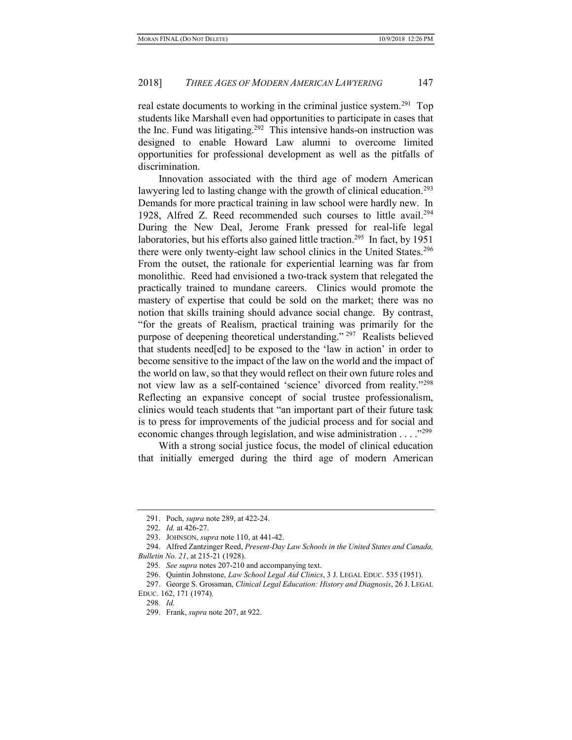real estate documents to working in the criminal justice system.<sup>291</sup> Top students like Marshall even had opportunities to participate in cases that the Inc. Fund was litigating.<sup>292</sup> This intensive hands-on instruction was designed to enable Howard Law alumni to overcome limited opportunities for professional development as well as the pitfalls of discrimination.

Innovation associated with the third age of modern American lawyering led to lasting change with the growth of clinical education.<sup>293</sup> Demands for more practical training in law school were hardly new. In 1928, Alfred Z. Reed recommended such courses to little avail.<sup>294</sup> During the New Deal, Jerome Frank pressed for real-life legal laboratories, but his efforts also gained little traction.<sup>295</sup> In fact, by 1951 there were only twenty-eight law school clinics in the United States.<sup>296</sup> From the outset, the rationale for experiential learning was far from monolithic. Reed had envisioned a two-track system that relegated the practically trained to mundane careers. Clinics would promote the mastery of expertise that could be sold on the market; there was no notion that skills training should advance social change. By contrast, "for the greats of Realism, practical training was primarily for the purpose of deepening theoretical understanding."<sup>297</sup> Realists believed that students need[ed] to be exposed to the 'law in action' in order to become sensitive to the impact of the law on the world and the impact of the world on law, so that they would reflect on their own future roles and not view law as a self-contained 'science' divorced from reality."<sup>298</sup> Reflecting an expansive concept of social trustee professionalism, clinics would teach students that "an important part of their future task is to press for improvements of the judicial process and for social and economic changes through legislation, and wise administration  $\dots$ <sup>299</sup>

With a strong social justice focus, the model of clinical education that initially emerged during the third age of modern American

 <sup>291.</sup> Poch, supra note 289, at 422-24.

<sup>292</sup>. Id. at 426-27.

<sup>293.</sup> JOHNSON, *supra* note 110, at 441-42.

 <sup>294.</sup> Alfred Zantzinger Reed, Present-Day Law Schools in the United States and Canada, Bulletin No. 21, at 215-21 (1928).

<sup>295</sup>. See supra notes 207-210 and accompanying text.

<sup>296.</sup> Quintin Johnstone, Law School Legal Aid Clinics, 3 J. LEGAL EDUC. 535 (1951).

<sup>297.</sup> George S. Grossman, Clinical Legal Education: History and Diagnosis, 26 J. LEGAL EDUC. 162, 171 (1974).

<sup>298</sup>. Id.

 <sup>299.</sup> Frank, supra note 207, at 922.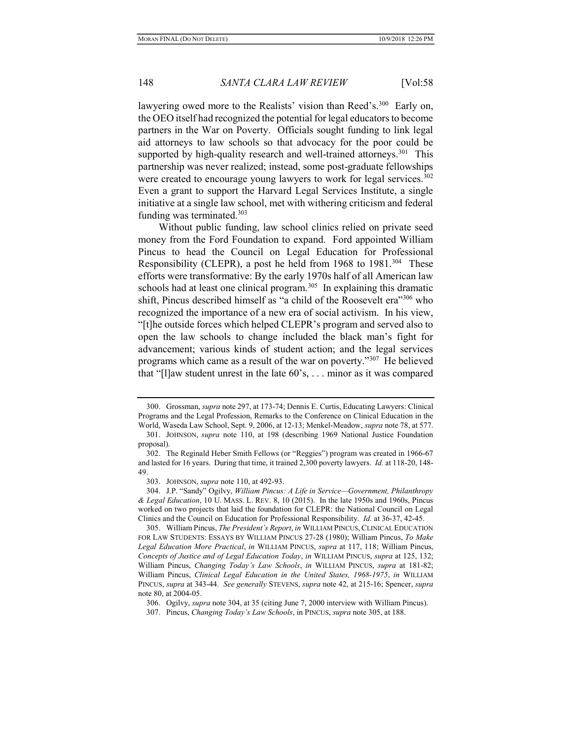lawyering owed more to the Realists' vision than Reed's.<sup>300</sup> Early on, the OEO itself had recognized the potential for legal educators to become partners in the War on Poverty. Officials sought funding to link legal aid attorneys to law schools so that advocacy for the poor could be supported by high-quality research and well-trained attorneys.<sup>301</sup> This partnership was never realized; instead, some post-graduate fellowships were created to encourage young lawyers to work for legal services.<sup>302</sup> Even a grant to support the Harvard Legal Services Institute, a single initiative at a single law school, met with withering criticism and federal funding was terminated.<sup>303</sup>

Without public funding, law school clinics relied on private seed money from the Ford Foundation to expand. Ford appointed William Pincus to head the Council on Legal Education for Professional Responsibility (CLEPR), a post he held from 1968 to 1981.<sup>304</sup> These efforts were transformative: By the early 1970s half of all American law schools had at least one clinical program.<sup>305</sup> In explaining this dramatic shift, Pincus described himself as "a child of the Roosevelt era"<sup>306</sup> who recognized the importance of a new era of social activism. In his view, "[t]he outside forces which helped CLEPR's program and served also to open the law schools to change included the black man's fight for advancement; various kinds of student action; and the legal services programs which came as a result of the war on poverty."<sup>307</sup> He believed that "[l]aw student unrest in the late 60's, . . . minor as it was compared

 <sup>300.</sup> Grossman, supra note 297, at 173-74; Dennis E. Curtis, Educating Lawyers: Clinical Programs and the Legal Profession, Remarks to the Conference on Clinical Education in the World, Waseda Law School, Sept. 9, 2006, at 12-13; Menkel-Meadow, supra note 78, at 577.

 <sup>301.</sup> JOHNSON, supra note 110, at 198 (describing 1969 National Justice Foundation proposal).

 <sup>302.</sup> The Reginald Heber Smith Fellows (or "Reggies") program was created in 1966-67 and lasted for 16 years. During that time, it trained 2,300 poverty lawyers. Id. at 118-20, 148- 49.

 <sup>303.</sup> JOHNSON, supra note 110, at 492-93.

 <sup>304.</sup> J.P. "Sandy" Ogilvy, William Pincus: A Life in Service—Government, Philanthropy & Legal Education, 10 U. MASS. L. REV. 8, 10 (2015). In the late 1950s and 1960s, Pincus worked on two projects that laid the foundation for CLEPR: the National Council on Legal Clinics and the Council on Education for Professional Responsibility. Id. at 36-37, 42-45.

<sup>305.</sup> William Pincus, The President's Report, in WILLIAM PINCUS, CLINICAL EDUCATION FOR LAW STUDENTS: ESSAYS BY WILLIAM PINCUS 27-28 (1980); William Pincus, To Make Legal Education More Practical, in WILLIAM PINCUS, supra at 117, 118; William Pincus, Concepts of Justice and of Legal Education Today, in WILLIAM PINCUS, supra at 125, 132; William Pincus, Changing Today's Law Schools, in WILLIAM PINCUS, supra at 181-82; William Pincus, Clinical Legal Education in the United States, 1968-1975, in WILLIAM PINCUS, supra at 343-44. See generally STEVENS, supra note 42, at 215-16; Spencer, supra note 80, at 2004-05.

 <sup>306.</sup> Ogilvy, supra note 304, at 35 (citing June 7, 2000 interview with William Pincus).

 <sup>307.</sup> Pincus, Changing Today's Law Schools, in PINCUS, supra note 305, at 188.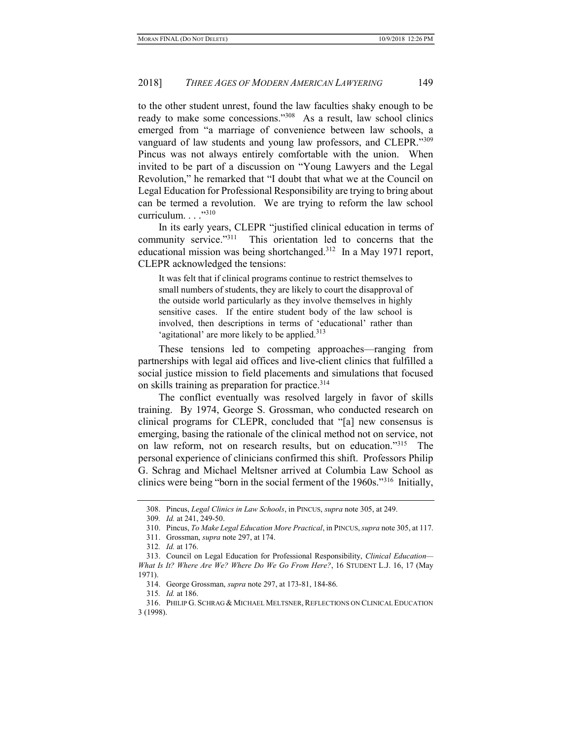to the other student unrest, found the law faculties shaky enough to be ready to make some concessions."<sup>308</sup> As a result, law school clinics emerged from "a marriage of convenience between law schools, a vanguard of law students and young law professors, and CLEPR."309 Pincus was not always entirely comfortable with the union. When invited to be part of a discussion on "Young Lawyers and the Legal Revolution," he remarked that "I doubt that what we at the Council on Legal Education for Professional Responsibility are trying to bring about can be termed a revolution. We are trying to reform the law school curriculum. . . . "310"

In its early years, CLEPR "justified clinical education in terms of community service."<sup>311</sup> This orientation led to concerns that the educational mission was being shortchanged.<sup>312</sup> In a May 1971 report, CLEPR acknowledged the tensions:

It was felt that if clinical programs continue to restrict themselves to small numbers of students, they are likely to court the disapproval of the outside world particularly as they involve themselves in highly sensitive cases. If the entire student body of the law school is involved, then descriptions in terms of 'educational' rather than 'agitational' are more likely to be applied.<sup>313</sup>

These tensions led to competing approaches—ranging from partnerships with legal aid offices and live-client clinics that fulfilled a social justice mission to field placements and simulations that focused on skills training as preparation for practice.<sup>314</sup>

The conflict eventually was resolved largely in favor of skills training. By 1974, George S. Grossman, who conducted research on clinical programs for CLEPR, concluded that "[a] new consensus is emerging, basing the rationale of the clinical method not on service, not on law reform, not on research results, but on education."<sup>315</sup> The personal experience of clinicians confirmed this shift. Professors Philip G. Schrag and Michael Meltsner arrived at Columbia Law School as clinics were being "born in the social ferment of the 1960s."<sup>316</sup> Initially,

<sup>308.</sup> Pincus, Legal Clinics in Law Schools, in PINCUS, supra note 305, at 249.

<sup>309</sup>. Id. at 241, 249-50.

 <sup>310.</sup> Pincus, To Make Legal Education More Practical, in PINCUS, supra note 305, at 117.

 <sup>311.</sup> Grossman, supra note 297, at 174.

<sup>312</sup>. Id. at 176.

 <sup>313.</sup> Council on Legal Education for Professional Responsibility, Clinical Education— What Is It? Where Are We? Where Do We Go From Here?, 16 STUDENT L.J. 16, 17 (May 1971).

 <sup>314.</sup> George Grossman, supra note 297, at 173-81, 184-86.

<sup>315</sup>. Id. at 186.

 <sup>316.</sup> PHILIP G. SCHRAG & MICHAEL MELTSNER, REFLECTIONS ON CLINICAL EDUCATION 3 (1998).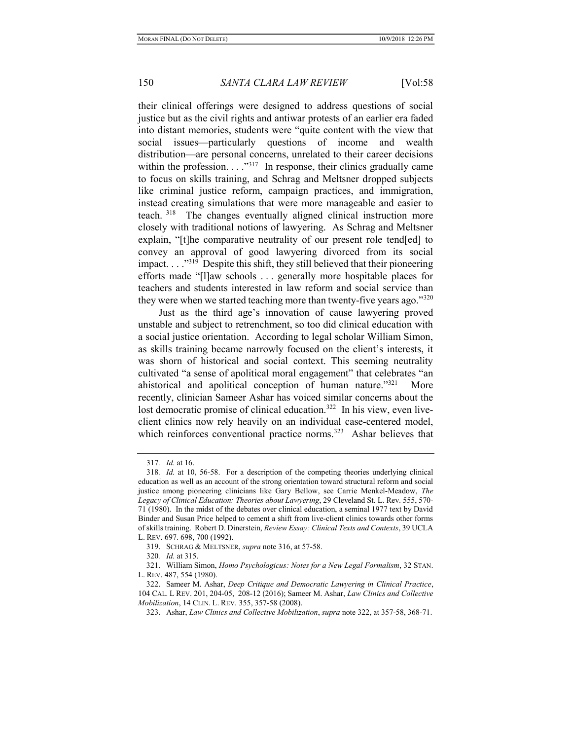their clinical offerings were designed to address questions of social justice but as the civil rights and antiwar protests of an earlier era faded into distant memories, students were "quite content with the view that social issues—particularly questions of income and wealth distribution—are personal concerns, unrelated to their career decisions within the profession. . . . "317 In response, their clinics gradually came to focus on skills training, and Schrag and Meltsner dropped subjects like criminal justice reform, campaign practices, and immigration, instead creating simulations that were more manageable and easier to teach.<sup>318</sup> The changes eventually aligned clinical instruction more closely with traditional notions of lawyering. As Schrag and Meltsner explain, "[t]he comparative neutrality of our present role tend[ed] to convey an approval of good lawyering divorced from its social impact. . . ."<sup>319</sup> Despite this shift, they still believed that their pioneering efforts made "[l]aw schools . . . generally more hospitable places for teachers and students interested in law reform and social service than they were when we started teaching more than twenty-five years ago." $320$ 

Just as the third age's innovation of cause lawyering proved unstable and subject to retrenchment, so too did clinical education with a social justice orientation. According to legal scholar William Simon, as skills training became narrowly focused on the client's interests, it was shorn of historical and social context. This seeming neutrality cultivated "a sense of apolitical moral engagement" that celebrates "an ahistorical and apolitical conception of human nature."<sup>321</sup> More recently, clinician Sameer Ashar has voiced similar concerns about the lost democratic promise of clinical education.<sup>322</sup> In his view, even liveclient clinics now rely heavily on an individual case-centered model, which reinforces conventional practice norms.<sup>323</sup> Ashar believes that

<sup>317</sup>. Id. at 16.

<sup>318</sup>. Id. at 10, 56-58. For a description of the competing theories underlying clinical education as well as an account of the strong orientation toward structural reform and social justice among pioneering clinicians like Gary Bellow, see Carrie Menkel-Meadow, The Legacy of Clinical Education: Theories about Lawyering, 29 Cleveland St. L. Rev. 555, 570- 71 (1980). In the midst of the debates over clinical education, a seminal 1977 text by David Binder and Susan Price helped to cement a shift from live-client clinics towards other forms of skills training. Robert D. Dinerstein, Review Essay: Clinical Texts and Contexts, 39 UCLA L. REV. 697. 698, 700 (1992).

<sup>319.</sup> SCHRAG & MELTSNER, *supra* note 316, at 57-58.

<sup>320</sup>. Id. at 315.

 <sup>321.</sup> William Simon, Homo Psychologicus: Notes for a New Legal Formalism, 32 STAN. L. REV. 487, 554 (1980).

 <sup>322.</sup> Sameer M. Ashar, Deep Critique and Democratic Lawyering in Clinical Practice, 104 CAL. L REV. 201, 204-05, 208-12 (2016); Sameer M. Ashar, Law Clinics and Collective Mobilization, 14 CLIN. L. REV. 355, 357-58 (2008).

 <sup>323.</sup> Ashar, Law Clinics and Collective Mobilization, supra note 322, at 357-58, 368-71.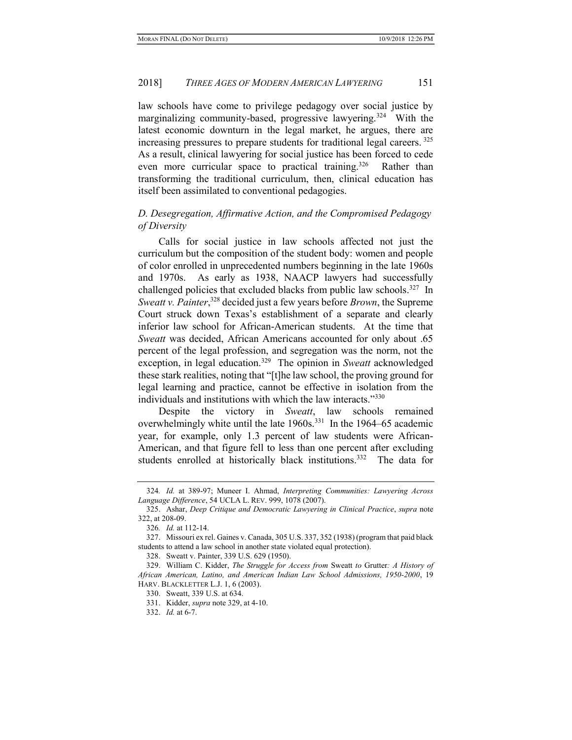law schools have come to privilege pedagogy over social justice by marginalizing community-based, progressive lawyering.<sup>324</sup> With the latest economic downturn in the legal market, he argues, there are increasing pressures to prepare students for traditional legal careers.  $325$ As a result, clinical lawyering for social justice has been forced to cede even more curricular space to practical training.<sup>326</sup> Rather than transforming the traditional curriculum, then, clinical education has itself been assimilated to conventional pedagogies.

# D. Desegregation, Affirmative Action, and the Compromised Pedagogy of Diversity

Calls for social justice in law schools affected not just the curriculum but the composition of the student body: women and people of color enrolled in unprecedented numbers beginning in the late 1960s and 1970s. As early as 1938, NAACP lawyers had successfully challenged policies that excluded blacks from public law schools.<sup>327</sup> In Sweatt v. Painter,<sup>328</sup> decided just a few years before Brown, the Supreme Court struck down Texas's establishment of a separate and clearly inferior law school for African-American students. At the time that Sweatt was decided, African Americans accounted for only about .65 percent of the legal profession, and segregation was the norm, not the exception, in legal education.<sup>329</sup> The opinion in Sweatt acknowledged these stark realities, noting that "[t]he law school, the proving ground for legal learning and practice, cannot be effective in isolation from the individuals and institutions with which the law interacts."<sup>330</sup>

Despite the victory in Sweatt, law schools remained overwhelmingly white until the late 1960s.<sup>331</sup> In the 1964–65 academic year, for example, only 1.3 percent of law students were African-American, and that figure fell to less than one percent after excluding students enrolled at historically black institutions.<sup>332</sup> The data for

<sup>324</sup>. Id. at 389-97; Muneer I. Ahmad, Interpreting Communities: Lawyering Across Language Difference, 54 UCLA L. REV. 999, 1078 (2007).

 <sup>325.</sup> Ashar, Deep Critique and Democratic Lawyering in Clinical Practice, supra note 322, at 208-09.

<sup>326</sup>. Id. at 112-14.

 <sup>327.</sup> Missouri ex rel. Gaines v. Canada, 305 U.S. 337, 352 (1938) (program that paid black students to attend a law school in another state violated equal protection).

 <sup>328.</sup> Sweatt v. Painter, 339 U.S. 629 (1950).

<sup>329.</sup> William C. Kidder, The Struggle for Access from Sweatt to Grutter: A History of African American, Latino, and American Indian Law School Admissions, 1950-2000, 19 HARV. BLACKLETTER L.J. 1, 6 (2003).

 <sup>330.</sup> Sweatt, 339 U.S. at 634.

 <sup>331.</sup> Kidder, supra note 329, at 4-10.

 <sup>332.</sup> Id. at 6-7.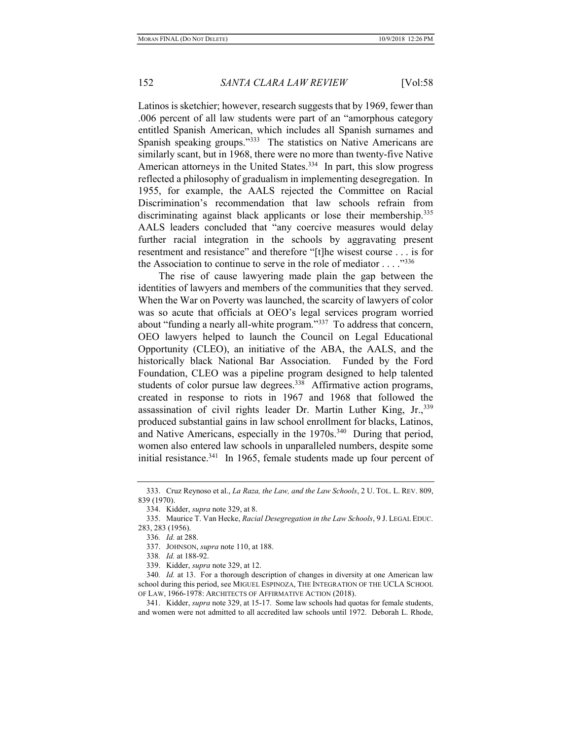Latinos is sketchier; however, research suggests that by 1969, fewer than .006 percent of all law students were part of an "amorphous category entitled Spanish American, which includes all Spanish surnames and Spanish speaking groups."<sup>333</sup> The statistics on Native Americans are similarly scant, but in 1968, there were no more than twenty-five Native American attorneys in the United States.<sup>334</sup> In part, this slow progress reflected a philosophy of gradualism in implementing desegregation. In 1955, for example, the AALS rejected the Committee on Racial Discrimination's recommendation that law schools refrain from discriminating against black applicants or lose their membership.<sup>335</sup> AALS leaders concluded that "any coercive measures would delay further racial integration in the schools by aggravating present resentment and resistance" and therefore "[t]he wisest course . . . is for the Association to continue to serve in the role of mediator  $\dots$ ."<sup>336</sup>

The rise of cause lawyering made plain the gap between the identities of lawyers and members of the communities that they served. When the War on Poverty was launched, the scarcity of lawyers of color was so acute that officials at OEO's legal services program worried about "funding a nearly all-white program."<sup>337</sup> To address that concern, OEO lawyers helped to launch the Council on Legal Educational Opportunity (CLEO), an initiative of the ABA, the AALS, and the historically black National Bar Association. Funded by the Ford Foundation, CLEO was a pipeline program designed to help talented students of color pursue law degrees.<sup>338</sup> Affirmative action programs, created in response to riots in 1967 and 1968 that followed the assassination of civil rights leader Dr. Martin Luther King, Jr., 339 produced substantial gains in law school enrollment for blacks, Latinos, and Native Americans, especially in the  $1970s^{340}$  During that period, women also entered law schools in unparalleled numbers, despite some initial resistance.<sup>341</sup> In 1965, female students made up four percent of

 <sup>333.</sup> Cruz Reynoso et al., La Raza, the Law, and the Law Schools, 2 U. TOL. L. REV. 809, 839 (1970).

 <sup>334.</sup> Kidder, supra note 329, at 8.

<sup>335.</sup> Maurice T. Van Hecke, Racial Desegregation in the Law Schools, 9 J. LEGAL EDUC. 283, 283 (1956).

<sup>336</sup>. Id. at 288.

<sup>337.</sup> JOHNSON, *supra* note 110, at 188.

<sup>338</sup>. Id. at 188-92.

 <sup>339.</sup> Kidder, supra note 329, at 12.

<sup>340</sup>. Id. at 13. For a thorough description of changes in diversity at one American law school during this period, see MIGUEL ESPINOZA, THE INTEGRATION OF THE UCLA SCHOOL OF LAW, 1966-1978: ARCHITECTS OF AFFIRMATIVE ACTION (2018).

 <sup>341.</sup> Kidder, supra note 329, at 15-17. Some law schools had quotas for female students, and women were not admitted to all accredited law schools until 1972. Deborah L. Rhode,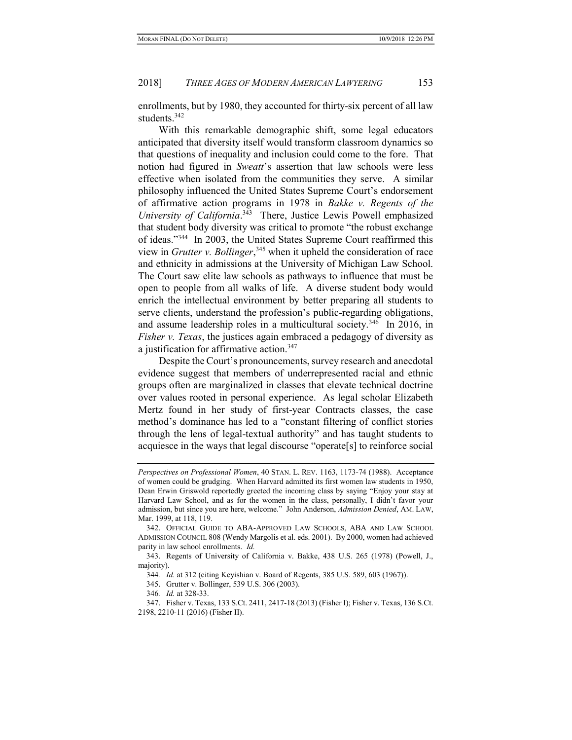enrollments, but by 1980, they accounted for thirty-six percent of all law students.<sup>342</sup>

With this remarkable demographic shift, some legal educators anticipated that diversity itself would transform classroom dynamics so that questions of inequality and inclusion could come to the fore. That notion had figured in Sweatt's assertion that law schools were less effective when isolated from the communities they serve. A similar philosophy influenced the United States Supreme Court's endorsement of affirmative action programs in 1978 in Bakke v. Regents of the University of California.<sup>343</sup> There, Justice Lewis Powell emphasized that student body diversity was critical to promote "the robust exchange of ideas."<sup>344</sup> In 2003, the United States Supreme Court reaffirmed this view in *Grutter v. Bollinger*,<sup>345</sup> when it upheld the consideration of race and ethnicity in admissions at the University of Michigan Law School. The Court saw elite law schools as pathways to influence that must be open to people from all walks of life. A diverse student body would enrich the intellectual environment by better preparing all students to serve clients, understand the profession's public-regarding obligations, and assume leadership roles in a multicultural society.<sup>346</sup> In 2016, in Fisher v. Texas, the justices again embraced a pedagogy of diversity as a justification for affirmative action.<sup>347</sup>

Despite the Court's pronouncements, survey research and anecdotal evidence suggest that members of underrepresented racial and ethnic groups often are marginalized in classes that elevate technical doctrine over values rooted in personal experience. As legal scholar Elizabeth Mertz found in her study of first-year Contracts classes, the case method's dominance has led to a "constant filtering of conflict stories through the lens of legal-textual authority" and has taught students to acquiesce in the ways that legal discourse "operate[s] to reinforce social

Perspectives on Professional Women, 40 STAN. L. REV. 1163, 1173-74 (1988). Acceptance of women could be grudging. When Harvard admitted its first women law students in 1950, Dean Erwin Griswold reportedly greeted the incoming class by saying "Enjoy your stay at Harvard Law School, and as for the women in the class, personally, I didn't favor your admission, but since you are here, welcome." John Anderson, Admission Denied, AM. LAW, Mar. 1999, at 118, 119.

 <sup>342.</sup> OFFICIAL GUIDE TO ABA-APPROVED LAW SCHOOLS, ABA AND LAW SCHOOL ADMISSION COUNCIL 808 (Wendy Margolis et al. eds. 2001). By 2000, women had achieved parity in law school enrollments. Id.

 <sup>343.</sup> Regents of University of California v. Bakke, 438 U.S. 265 (1978) (Powell, J., majority).

<sup>344</sup>. Id. at 312 (citing Keyishian v. Board of Regents, 385 U.S. 589, 603 (1967)).

 <sup>345.</sup> Grutter v. Bollinger, 539 U.S. 306 (2003).

<sup>346</sup>. Id. at 328-33.

 <sup>347.</sup> Fisher v. Texas, 133 S.Ct. 2411, 2417-18 (2013) (Fisher I); Fisher v. Texas, 136 S.Ct. 2198, 2210-11 (2016) (Fisher II).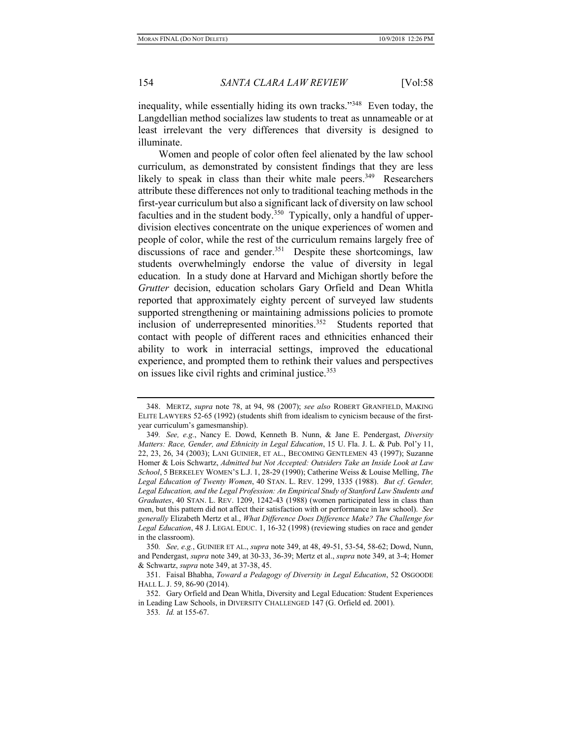inequality, while essentially hiding its own tracks."<sup>348</sup> Even today, the Langdellian method socializes law students to treat as unnameable or at least irrelevant the very differences that diversity is designed to illuminate.

Women and people of color often feel alienated by the law school curriculum, as demonstrated by consistent findings that they are less likely to speak in class than their white male peers. $349$  Researchers attribute these differences not only to traditional teaching methods in the first-year curriculum but also a significant lack of diversity on law school faculties and in the student body.<sup>350</sup> Typically, only a handful of upperdivision electives concentrate on the unique experiences of women and people of color, while the rest of the curriculum remains largely free of discussions of race and gender.<sup>351</sup> Despite these shortcomings, law students overwhelmingly endorse the value of diversity in legal education. In a study done at Harvard and Michigan shortly before the Grutter decision, education scholars Gary Orfield and Dean Whitla reported that approximately eighty percent of surveyed law students supported strengthening or maintaining admissions policies to promote inclusion of underrepresented minorities.<sup>352</sup> Students reported that contact with people of different races and ethnicities enhanced their ability to work in interracial settings, improved the educational experience, and prompted them to rethink their values and perspectives on issues like civil rights and criminal justice.<sup>353</sup>

<sup>348.</sup> MERTZ, supra note 78, at 94, 98 (2007); see also ROBERT GRANFIELD, MAKING ELITE LAWYERS 52-65 (1992) (students shift from idealism to cynicism because of the firstyear curriculum's gamesmanship).

<sup>349.</sup> See, e.g., Nancy E. Dowd, Kenneth B. Nunn, & Jane E. Pendergast, Diversity Matters: Race, Gender, and Ethnicity in Legal Education, 15 U. Fla. J. L. & Pub. Pol'y 11, 22, 23, 26, 34 (2003); LANI GUINIER, ET AL., BECOMING GENTLEMEN 43 (1997); Suzanne Homer & Lois Schwartz, Admitted but Not Accepted: Outsiders Take an Inside Look at Law School, 5 BERKELEY WOMEN'S L.J. 1, 28-29 (1990); Catherine Weiss & Louise Melling, The Legal Education of Twenty Women, 40 STAN. L. REV. 1299, 1335 (1988). But cf. Gender, Legal Education, and the Legal Profession: An Empirical Study of Stanford Law Students and Graduates, 40 STAN. L. REV. 1209, 1242-43 (1988) (women participated less in class than men, but this pattern did not affect their satisfaction with or performance in law school). See generally Elizabeth Mertz et al., What Difference Does Difference Make? The Challenge for Legal Education, 48 J. LEGAL EDUC. 1, 16-32 (1998) (reviewing studies on race and gender in the classroom).

<sup>350</sup>. See, e.g., GUINIER ET AL., supra note 349, at 48, 49-51, 53-54, 58-62; Dowd, Nunn, and Pendergast, supra note 349, at 30-33, 36-39; Mertz et al., supra note 349, at 3-4; Homer & Schwartz, supra note 349, at 37-38, 45.

<sup>351.</sup> Faisal Bhabha, Toward a Pedagogy of Diversity in Legal Education, 52 OSGOODE HALL L. J. 59, 86-90 (2014).

 <sup>352.</sup> Gary Orfield and Dean Whitla, Diversity and Legal Education: Student Experiences in Leading Law Schools, in DIVERSITY CHALLENGED 147 (G. Orfield ed. 2001).

<sup>353</sup>. Id. at 155-67.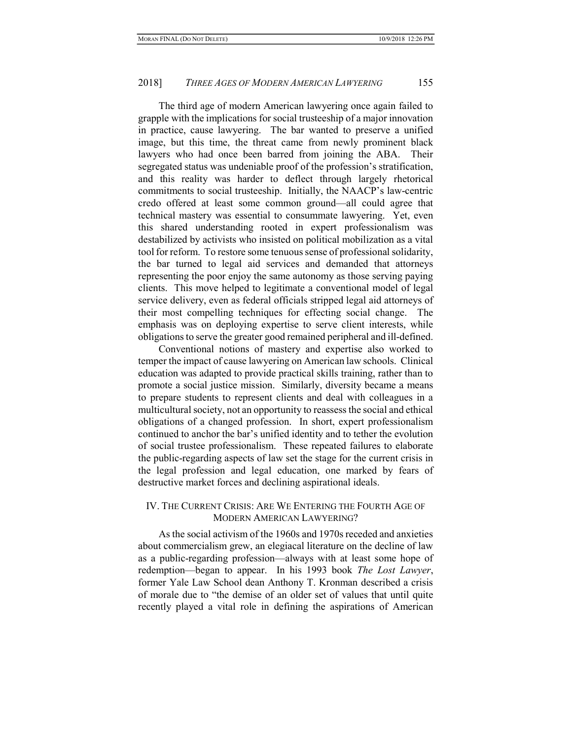The third age of modern American lawyering once again failed to grapple with the implications for social trusteeship of a major innovation in practice, cause lawyering. The bar wanted to preserve a unified image, but this time, the threat came from newly prominent black lawyers who had once been barred from joining the ABA. Their segregated status was undeniable proof of the profession's stratification, and this reality was harder to deflect through largely rhetorical commitments to social trusteeship. Initially, the NAACP's law-centric credo offered at least some common ground—all could agree that technical mastery was essential to consummate lawyering. Yet, even this shared understanding rooted in expert professionalism was destabilized by activists who insisted on political mobilization as a vital tool for reform. To restore some tenuous sense of professional solidarity, the bar turned to legal aid services and demanded that attorneys representing the poor enjoy the same autonomy as those serving paying clients. This move helped to legitimate a conventional model of legal service delivery, even as federal officials stripped legal aid attorneys of their most compelling techniques for effecting social change. The emphasis was on deploying expertise to serve client interests, while obligations to serve the greater good remained peripheral and ill-defined.

Conventional notions of mastery and expertise also worked to temper the impact of cause lawyering on American law schools. Clinical education was adapted to provide practical skills training, rather than to promote a social justice mission. Similarly, diversity became a means to prepare students to represent clients and deal with colleagues in a multicultural society, not an opportunity to reassess the social and ethical obligations of a changed profession. In short, expert professionalism continued to anchor the bar's unified identity and to tether the evolution of social trustee professionalism. These repeated failures to elaborate the public-regarding aspects of law set the stage for the current crisis in the legal profession and legal education, one marked by fears of destructive market forces and declining aspirational ideals.

## IV. THE CURRENT CRISIS: ARE WE ENTERING THE FOURTH AGE OF MODERN AMERICAN LAWYERING?

As the social activism of the 1960s and 1970s receded and anxieties about commercialism grew, an elegiacal literature on the decline of law as a public-regarding profession—always with at least some hope of redemption—began to appear. In his 1993 book The Lost Lawyer, former Yale Law School dean Anthony T. Kronman described a crisis of morale due to "the demise of an older set of values that until quite recently played a vital role in defining the aspirations of American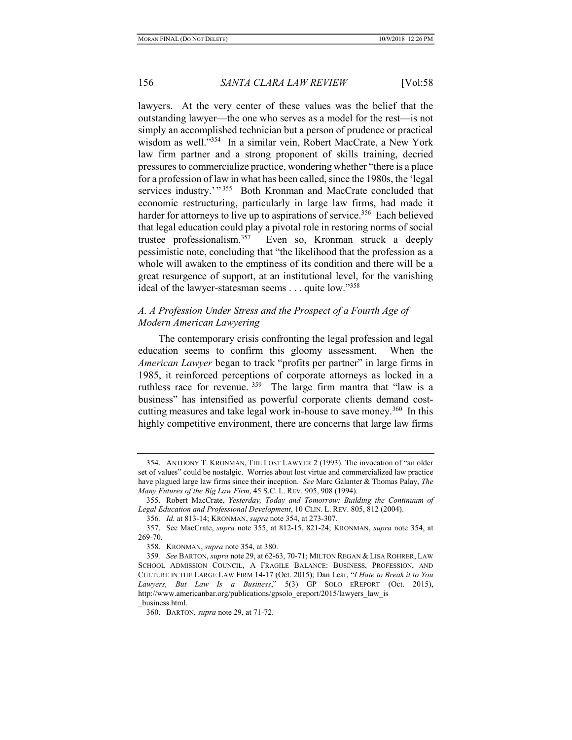lawyers. At the very center of these values was the belief that the outstanding lawyer—the one who serves as a model for the rest—is not simply an accomplished technician but a person of prudence or practical wisdom as well."<sup>354</sup> In a similar vein, Robert MacCrate, a New York law firm partner and a strong proponent of skills training, decried pressures to commercialize practice, wondering whether "there is a place for a profession of law in what has been called, since the 1980s, the 'legal services industry.'"<sup>355</sup> Both Kronman and MacCrate concluded that economic restructuring, particularly in large law firms, had made it harder for attorneys to live up to aspirations of service.<sup>356</sup> Each believed that legal education could play a pivotal role in restoring norms of social trustee professionalism.<sup>357</sup> Even so, Kronman struck a deeply pessimistic note, concluding that "the likelihood that the profession as a whole will awaken to the emptiness of its condition and there will be a great resurgence of support, at an institutional level, for the vanishing ideal of the lawyer-statesman seems . . . quite low."<sup>358</sup>

## A. A Profession Under Stress and the Prospect of a Fourth Age of Modern American Lawyering

The contemporary crisis confronting the legal profession and legal education seems to confirm this gloomy assessment. When the American Lawyer began to track "profits per partner" in large firms in 1985, it reinforced perceptions of corporate attorneys as locked in a ruthless race for revenue.<sup>359</sup> The large firm mantra that "law is a business" has intensified as powerful corporate clients demand costcutting measures and take legal work in-house to save money.<sup>360</sup> In this highly competitive environment, there are concerns that large law firms

 <sup>354.</sup> ANTHONY T. KRONMAN, THE LOST LAWYER 2 (1993). The invocation of "an older set of values" could be nostalgic. Worries about lost virtue and commercialized law practice have plagued large law firms since their inception. See Marc Galanter & Thomas Palay, The Many Futures of the Big Law Firm, 45 S.C. L. REV. 905, 908 (1994).

 <sup>355.</sup> Robert MacCrate, Yesterday, Today and Tomorrow: Building the Continuum of Legal Education and Professional Development, 10 CLIN. L. REV. 805, 812 (2004).

<sup>356</sup>. Id. at 813-14; KRONMAN, supra note 354, at 273-307.

 <sup>357.</sup> See MacCrate, supra note 355, at 812-15, 821-24; KRONMAN, supra note 354, at 269-70.

 <sup>358.</sup> KRONMAN, supra note 354, at 380.

<sup>359</sup>. See BARTON, supra note 29, at 62-63, 70-71; MILTON REGAN & LISA ROHRER, LAW SCHOOL ADMISSION COUNCIL, A FRAGILE BALANCE: BUSINESS, PROFESSION, AND CULTURE IN THE LARGE LAW FIRM 14-17 (Oct. 2015); Dan Lear, "I Hate to Break it to You Lawyers, But Law Is a Business," 5(3) GP SOLO EREPORT (Oct. 2015), http://www.americanbar.org/publications/gpsolo\_ereport/2015/lawyers\_law\_is \_business.html.

 <sup>360.</sup> BARTON, supra note 29, at 71-72.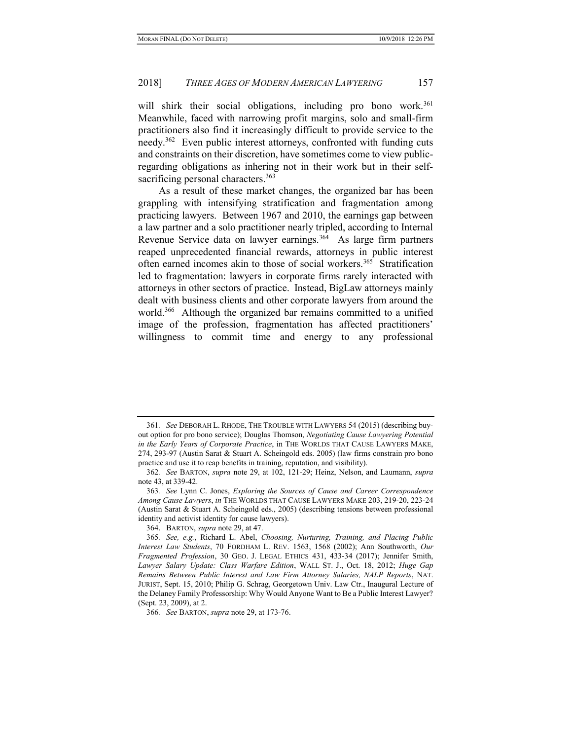will shirk their social obligations, including pro bono work.<sup>361</sup> Meanwhile, faced with narrowing profit margins, solo and small-firm practitioners also find it increasingly difficult to provide service to the needy.<sup>362</sup> Even public interest attorneys, confronted with funding cuts and constraints on their discretion, have sometimes come to view publicregarding obligations as inhering not in their work but in their selfsacrificing personal characters.<sup>363</sup>

As a result of these market changes, the organized bar has been grappling with intensifying stratification and fragmentation among practicing lawyers. Between 1967 and 2010, the earnings gap between a law partner and a solo practitioner nearly tripled, according to Internal Revenue Service data on lawyer earnings.<sup>364</sup> As large firm partners reaped unprecedented financial rewards, attorneys in public interest often earned incomes akin to those of social workers.<sup>365</sup> Stratification led to fragmentation: lawyers in corporate firms rarely interacted with attorneys in other sectors of practice. Instead, BigLaw attorneys mainly dealt with business clients and other corporate lawyers from around the world.<sup>366</sup> Although the organized bar remains committed to a unified image of the profession, fragmentation has affected practitioners' willingness to commit time and energy to any professional

<sup>361</sup>. See DEBORAH L. RHODE, THE TROUBLE WITH LAWYERS 54 (2015) (describing buyout option for pro bono service); Douglas Thomson, Negotiating Cause Lawyering Potential in the Early Years of Corporate Practice, in THE WORLDS THAT CAUSE LAWYERS MAKE, 274, 293-97 (Austin Sarat & Stuart A. Scheingold eds. 2005) (law firms constrain pro bono practice and use it to reap benefits in training, reputation, and visibility).

<sup>362</sup>. See BARTON, supra note 29, at 102, 121-29; Heinz, Nelson, and Laumann, supra note 43, at 339-42.

<sup>363</sup>. See Lynn C. Jones, Exploring the Sources of Cause and Career Correspondence Among Cause Lawyers, in THE WORLDS THAT CAUSE LAWYERS MAKE 203, 219-20, 223-24 (Austin Sarat & Stuart A. Scheingold eds., 2005) (describing tensions between professional identity and activist identity for cause lawyers).

 <sup>364.</sup> BARTON, supra note 29, at 47.

<sup>365</sup>. See, e.g., Richard L. Abel, Choosing, Nurturing, Training, and Placing Public Interest Law Students, 70 FORDHAM L. REV. 1563, 1568 (2002); Ann Southworth, Our Fragmented Profession, 30 GEO. J. LEGAL ETHICS 431, 433-34 (2017); Jennifer Smith, Lawyer Salary Update: Class Warfare Edition, WALL ST. J., Oct. 18, 2012; Huge Gap Remains Between Public Interest and Law Firm Attorney Salaries, NALP Reports, NAT. JURIST, Sept. 15, 2010; Philip G. Schrag, Georgetown Univ. Law Ctr., Inaugural Lecture of the Delaney Family Professorship: Why Would Anyone Want to Be a Public Interest Lawyer? (Sept. 23, 2009), at 2.

<sup>366</sup>. See BARTON, supra note 29, at 173-76.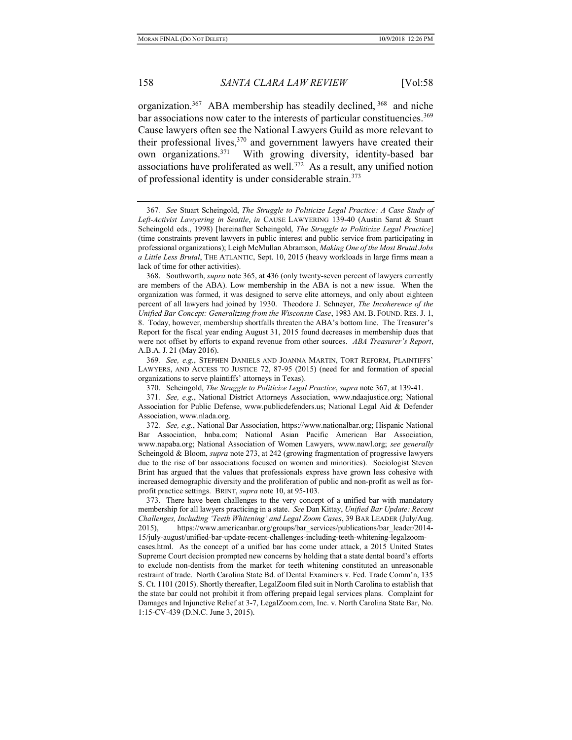organization.<sup>367</sup> ABA membership has steadily declined,  $368$  and niche bar associations now cater to the interests of particular constituencies.<sup>369</sup> Cause lawyers often see the National Lawyers Guild as more relevant to their professional lives,  $370$  and government lawyers have created their own organizations.<sup>371</sup> With growing diversity, identity-based bar associations have proliferated as well.<sup>372</sup> As a result, any unified notion of professional identity is under considerable strain.<sup>373</sup>

369. See, e.g., STEPHEN DANIELS AND JOANNA MARTIN, TORT REFORM, PLAINTIFFS' LAWYERS, AND ACCESS TO JUSTICE 72, 87-95 (2015) (need for and formation of special organizations to serve plaintiffs' attorneys in Texas).

370. Scheingold, The Struggle to Politicize Legal Practice, supra note 367, at 139-41.

<sup>367</sup>. See Stuart Scheingold, The Struggle to Politicize Legal Practice: A Case Study of Left-Activist Lawyering in Seattle, in CAUSE LAWYERING 139-40 (Austin Sarat & Stuart Scheingold eds., 1998) [hereinafter Scheingold, The Struggle to Politicize Legal Practice] (time constraints prevent lawyers in public interest and public service from participating in professional organizations); Leigh McMullan Abramson, Making One of the Most Brutal Jobs a Little Less Brutal, THE ATLANTIC, Sept. 10, 2015 (heavy workloads in large firms mean a lack of time for other activities).

 <sup>368.</sup> Southworth, supra note 365, at 436 (only twenty-seven percent of lawyers currently are members of the ABA). Low membership in the ABA is not a new issue. When the organization was formed, it was designed to serve elite attorneys, and only about eighteen percent of all lawyers had joined by 1930. Theodore J. Schneyer, The Incoherence of the Unified Bar Concept: Generalizing from the Wisconsin Case, 1983 AM. B. FOUND. RES. J. 1, 8. Today, however, membership shortfalls threaten the ABA's bottom line. The Treasurer's Report for the fiscal year ending August 31, 2015 found decreases in membership dues that were not offset by efforts to expand revenue from other sources. ABA Treasurer's Report, A.B.A. J. 21 (May 2016).

<sup>371</sup>. See, e.g., National District Attorneys Association, www.ndaajustice.org; National Association for Public Defense, www.publicdefenders.us; National Legal Aid & Defender Association, www.nlada.org.

<sup>372</sup>. See, e.g., National Bar Association, https://www.nationalbar.org; Hispanic National Bar Association, hnba.com; National Asian Pacific American Bar Association, www.napaba.org; National Association of Women Lawyers, www.nawl.org; see generally Scheingold & Bloom, *supra* note 273, at 242 (growing fragmentation of progressive lawyers due to the rise of bar associations focused on women and minorities). Sociologist Steven Brint has argued that the values that professionals express have grown less cohesive with increased demographic diversity and the proliferation of public and non-profit as well as forprofit practice settings. BRINT, supra note 10, at 95-103.

 <sup>373.</sup> There have been challenges to the very concept of a unified bar with mandatory membership for all lawyers practicing in a state. See Dan Kittay, Unified Bar Update: Recent Challenges, Including 'Teeth Whitening' and Legal Zoom Cases, 39 BAR LEADER (July/Aug. 2015), https://www.americanbar.org/groups/bar\_services/publications/bar\_leader/2014- 15/july-august/unified-bar-update-recent-challenges-including-teeth-whitening-legalzoomcases.html. As the concept of a unified bar has come under attack, a 2015 United States Supreme Court decision prompted new concerns by holding that a state dental board's efforts to exclude non-dentists from the market for teeth whitening constituted an unreasonable restraint of trade. North Carolina State Bd. of Dental Examiners v. Fed. Trade Comm'n, 135 S. Ct. 1101 (2015). Shortly thereafter, LegalZoom filed suit in North Carolina to establish that the state bar could not prohibit it from offering prepaid legal services plans. Complaint for Damages and Injunctive Relief at 3-7, LegalZoom.com, Inc. v. North Carolina State Bar, No. 1:15-CV-439 (D.N.C. June 3, 2015).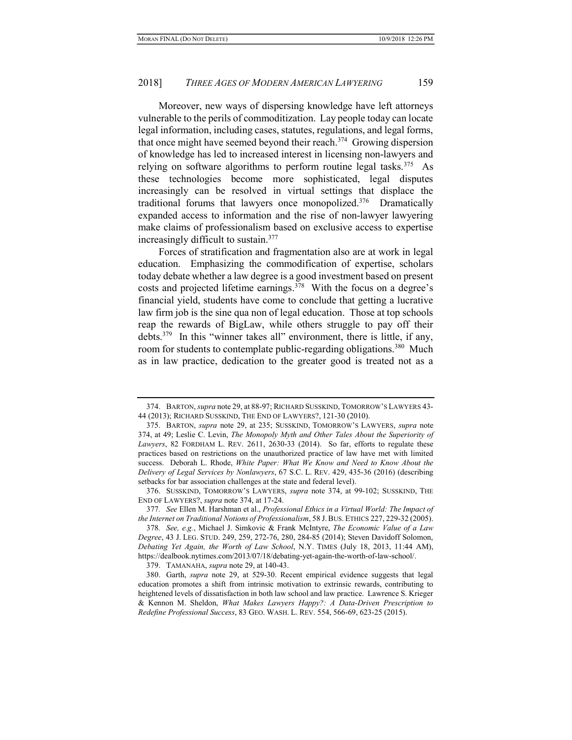Moreover, new ways of dispersing knowledge have left attorneys vulnerable to the perils of commoditization. Lay people today can locate legal information, including cases, statutes, regulations, and legal forms, that once might have seemed beyond their reach.<sup>374</sup> Growing dispersion of knowledge has led to increased interest in licensing non-lawyers and relying on software algorithms to perform routine legal tasks.<sup>375</sup> As these technologies become more sophisticated, legal disputes increasingly can be resolved in virtual settings that displace the traditional forums that lawyers once monopolized.<sup>376</sup> Dramatically expanded access to information and the rise of non-lawyer lawyering make claims of professionalism based on exclusive access to expertise increasingly difficult to sustain.<sup>377</sup>

Forces of stratification and fragmentation also are at work in legal education. Emphasizing the commodification of expertise, scholars today debate whether a law degree is a good investment based on present costs and projected lifetime earnings.<sup>378</sup> With the focus on a degree's financial yield, students have come to conclude that getting a lucrative law firm job is the sine qua non of legal education. Those at top schools reap the rewards of BigLaw, while others struggle to pay off their debts.<sup>379</sup> In this "winner takes all" environment, there is little, if any, room for students to contemplate public-regarding obligations.<sup>380</sup> Much as in law practice, dedication to the greater good is treated not as a

 376. SUSSKIND, TOMORROW'S LAWYERS, supra note 374, at 99-102; SUSSKIND, THE END OF LAWYERS?, supra note 374, at 17-24.

<sup>374.</sup> BARTON, supra note 29, at 88-97; RICHARD SUSSKIND, TOMORROW'S LAWYERS 43-44 (2013); RICHARD SUSSKIND, THE END OF LAWYERS?, 121-30 (2010).

 <sup>375.</sup> BARTON, supra note 29, at 235; SUSSKIND, TOMORROW'S LAWYERS, supra note 374, at 49; Leslie C. Levin, The Monopoly Myth and Other Tales About the Superiority of Lawyers, 82 FORDHAM L. REV. 2611, 2630-33 (2014). So far, efforts to regulate these practices based on restrictions on the unauthorized practice of law have met with limited success. Deborah L. Rhode, White Paper: What We Know and Need to Know About the Delivery of Legal Services by Nonlawyers, 67 S.C. L. REV. 429, 435-36 (2016) (describing setbacks for bar association challenges at the state and federal level).

<sup>377.</sup> See Ellen M. Harshman et al., *Professional Ethics in a Virtual World: The Impact of* the Internet on Traditional Notions of Professionalism, 58 J.BUS. ETHICS 227, 229-32 (2005).

<sup>378</sup>. See, e.g., Michael J. Simkovic & Frank McIntyre, The Economic Value of a Law Degree, 43 J. LEG. STUD. 249, 259, 272-76, 280, 284-85 (2014); Steven Davidoff Solomon, Debating Yet Again, the Worth of Law School, N.Y. TIMES (July 18, 2013, 11:44 AM), https://dealbook.nytimes.com/2013/07/18/debating-yet-again-the-worth-of-law-school/.

 <sup>379.</sup> TAMANAHA, supra note 29, at 140-43.

 <sup>380.</sup> Garth, supra note 29, at 529-30. Recent empirical evidence suggests that legal education promotes a shift from intrinsic motivation to extrinsic rewards, contributing to heightened levels of dissatisfaction in both law school and law practice. Lawrence S. Krieger & Kennon M. Sheldon, What Makes Lawyers Happy?: A Data-Driven Prescription to Redefine Professional Success, 83 GEO. WASH. L. REV. 554, 566-69, 623-25 (2015).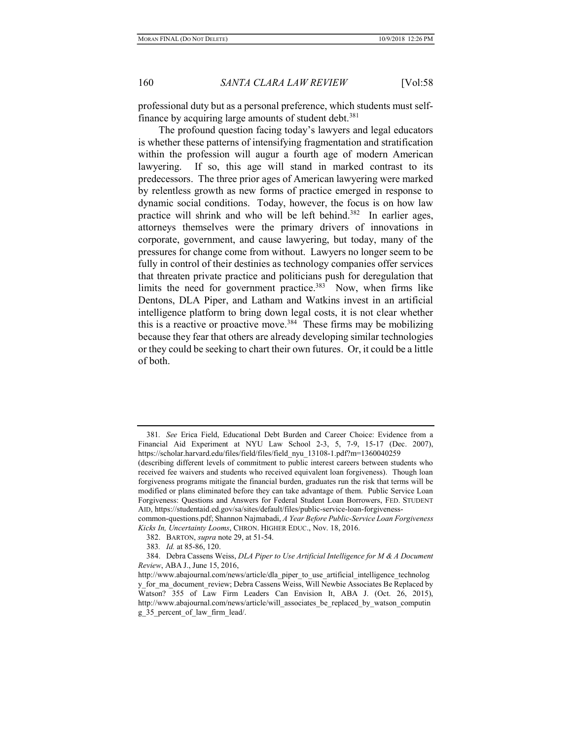professional duty but as a personal preference, which students must selffinance by acquiring large amounts of student debt.<sup>381</sup>

The profound question facing today's lawyers and legal educators is whether these patterns of intensifying fragmentation and stratification within the profession will augur a fourth age of modern American lawyering. If so, this age will stand in marked contrast to its predecessors. The three prior ages of American lawyering were marked by relentless growth as new forms of practice emerged in response to dynamic social conditions. Today, however, the focus is on how law practice will shrink and who will be left behind.<sup>382</sup> In earlier ages, attorneys themselves were the primary drivers of innovations in corporate, government, and cause lawyering, but today, many of the pressures for change come from without. Lawyers no longer seem to be fully in control of their destinies as technology companies offer services that threaten private practice and politicians push for deregulation that limits the need for government practice.<sup>383</sup> Now, when firms like Dentons, DLA Piper, and Latham and Watkins invest in an artificial intelligence platform to bring down legal costs, it is not clear whether this is a reactive or proactive move.<sup>384</sup> These firms may be mobilizing because they fear that others are already developing similar technologies or they could be seeking to chart their own futures. Or, it could be a little of both.

- 382. BARTON, supra note 29, at 51-54.
- 383. Id. at 85-86, 120.

<sup>381</sup>. See Erica Field, Educational Debt Burden and Career Choice: Evidence from a Financial Aid Experiment at NYU Law School 2-3, 5, 7-9, 15-17 (Dec. 2007), https://scholar.harvard.edu/files/field/files/field\_nyu\_13108-1.pdf?m=1360040259

<sup>(</sup>describing different levels of commitment to public interest careers between students who received fee waivers and students who received equivalent loan forgiveness). Though loan forgiveness programs mitigate the financial burden, graduates run the risk that terms will be modified or plans eliminated before they can take advantage of them. Public Service Loan Forgiveness: Questions and Answers for Federal Student Loan Borrowers, FED. STUDENT AID, https://studentaid.ed.gov/sa/sites/default/files/public-service-loan-forgiveness-

common-questions.pdf; Shannon Najmabadi, A Year Before Public-Service Loan Forgiveness Kicks In, Uncertainty Looms, CHRON. HIGHER EDUC., Nov. 18, 2016.

 <sup>384.</sup> Debra Cassens Weiss, DLA Piper to Use Artificial Intelligence for M & A Document Review, ABA J., June 15, 2016,

http://www.abajournal.com/news/article/dla\_piper\_to\_use\_artificial\_intelligence\_technolog y for ma document review; Debra Cassens Weiss, Will Newbie Associates Be Replaced by Watson? 355 of Law Firm Leaders Can Envision It, ABA J. (Oct. 26, 2015), http://www.abajournal.com/news/article/will\_associates\_be\_replaced\_by\_watson\_computin g\_35\_percent\_of\_law\_firm\_lead/.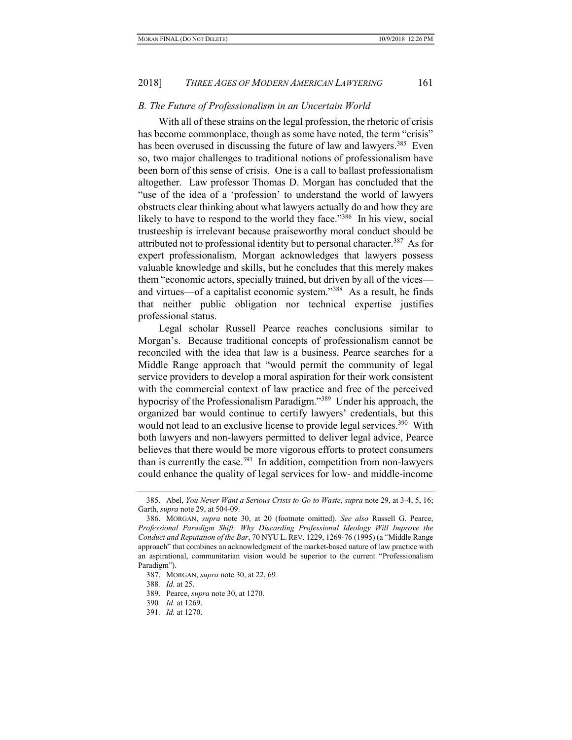#### B. The Future of Professionalism in an Uncertain World

With all of these strains on the legal profession, the rhetoric of crisis has become commonplace, though as some have noted, the term "crisis" has been overused in discussing the future of law and lawyers.<sup>385</sup> Even so, two major challenges to traditional notions of professionalism have been born of this sense of crisis. One is a call to ballast professionalism altogether. Law professor Thomas D. Morgan has concluded that the "use of the idea of a 'profession' to understand the world of lawyers obstructs clear thinking about what lawyers actually do and how they are likely to have to respond to the world they face."<sup>386</sup> In his view, social trusteeship is irrelevant because praiseworthy moral conduct should be attributed not to professional identity but to personal character.<sup>387</sup> As for expert professionalism, Morgan acknowledges that lawyers possess valuable knowledge and skills, but he concludes that this merely makes them "economic actors, specially trained, but driven by all of the vices and virtues—of a capitalist economic system."<sup>388</sup> As a result, he finds that neither public obligation nor technical expertise justifies professional status.

Legal scholar Russell Pearce reaches conclusions similar to Morgan's. Because traditional concepts of professionalism cannot be reconciled with the idea that law is a business, Pearce searches for a Middle Range approach that "would permit the community of legal service providers to develop a moral aspiration for their work consistent with the commercial context of law practice and free of the perceived hypocrisy of the Professionalism Paradigm."<sup>389</sup> Under his approach, the organized bar would continue to certify lawyers' credentials, but this would not lead to an exclusive license to provide legal services.<sup>390</sup> With both lawyers and non-lawyers permitted to deliver legal advice, Pearce believes that there would be more vigorous efforts to protect consumers than is currently the case.<sup>391</sup> In addition, competition from non-lawyers could enhance the quality of legal services for low- and middle-income

 <sup>385.</sup> Abel, You Never Want a Serious Crisis to Go to Waste, supra note 29, at 3-4, 5, 16; Garth, supra note 29, at 504-09.

 <sup>386.</sup> MORGAN, supra note 30, at 20 (footnote omitted). See also Russell G. Pearce, Professional Paradigm Shift: Why Discarding Professional Ideology Will Improve the Conduct and Reputation of the Bar, 70 NYU L. REV. 1229, 1269-76 (1995) (a "Middle Range approach" that combines an acknowledgment of the market-based nature of law practice with an aspirational, communitarian vision would be superior to the current "Professionalism Paradigm").

 <sup>387.</sup> MORGAN, supra note 30, at 22, 69.

<sup>388</sup>. Id. at 25.

 <sup>389.</sup> Pearce, supra note 30, at 1270.

<sup>390</sup>. Id. at 1269.

<sup>391</sup>. Id. at 1270.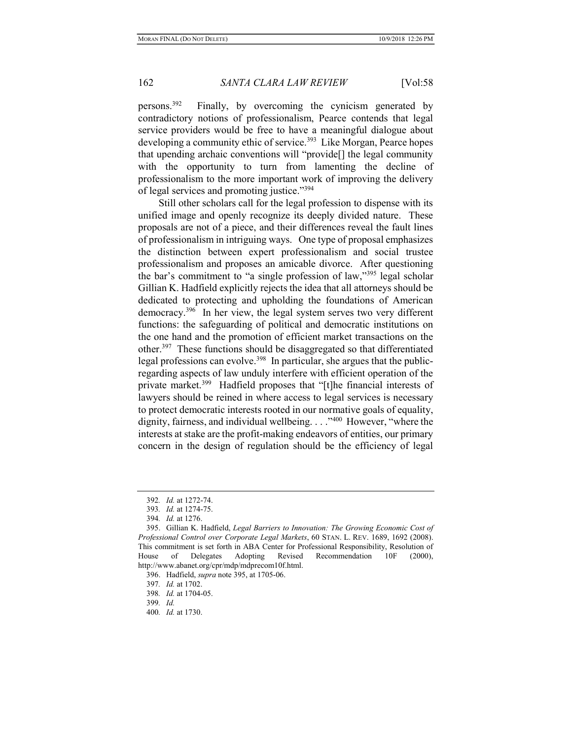persons.<sup>392</sup> Finally, by overcoming the cynicism generated by contradictory notions of professionalism, Pearce contends that legal service providers would be free to have a meaningful dialogue about developing a community ethic of service.<sup>393</sup> Like Morgan, Pearce hopes that upending archaic conventions will "provide[] the legal community with the opportunity to turn from lamenting the decline of professionalism to the more important work of improving the delivery of legal services and promoting justice."<sup>394</sup>

Still other scholars call for the legal profession to dispense with its unified image and openly recognize its deeply divided nature. These proposals are not of a piece, and their differences reveal the fault lines of professionalism in intriguing ways. One type of proposal emphasizes the distinction between expert professionalism and social trustee professionalism and proposes an amicable divorce. After questioning the bar's commitment to "a single profession of law,"<sup>395</sup> legal scholar Gillian K. Hadfield explicitly rejects the idea that all attorneys should be dedicated to protecting and upholding the foundations of American democracy.<sup>396</sup> In her view, the legal system serves two very different functions: the safeguarding of political and democratic institutions on the one hand and the promotion of efficient market transactions on the other.<sup>397</sup> These functions should be disaggregated so that differentiated legal professions can evolve.<sup>398</sup> In particular, she argues that the publicregarding aspects of law unduly interfere with efficient operation of the private market.<sup>399</sup> Hadfield proposes that "[t]he financial interests of lawyers should be reined in where access to legal services is necessary to protect democratic interests rooted in our normative goals of equality, dignity, fairness, and individual wellbeing. . . ."<sup>400</sup> However, "where the interests at stake are the profit-making endeavors of entities, our primary concern in the design of regulation should be the efficiency of legal

<sup>392</sup>. Id. at 1272-74.

<sup>393</sup>. Id. at 1274-75.

<sup>394</sup>. Id. at 1276.

 <sup>395.</sup> Gillian K. Hadfield, Legal Barriers to Innovation: The Growing Economic Cost of Professional Control over Corporate Legal Markets, 60 STAN. L. REV. 1689, 1692 (2008). This commitment is set forth in ABA Center for Professional Responsibility, Resolution of House of Delegates Adopting Revised Recommendation 10F (2000), http://www.abanet.org/cpr/mdp/mdprecom10f.html.

 <sup>396.</sup> Hadfield, supra note 395, at 1705-06.

<sup>397</sup>. Id. at 1702.

<sup>398</sup>. Id. at 1704-05.

<sup>399</sup>. Id.

<sup>400</sup>. Id. at 1730.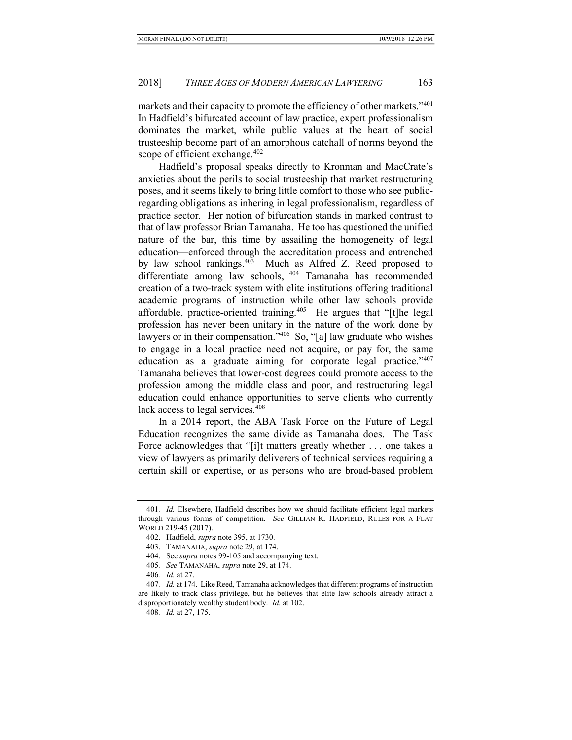markets and their capacity to promote the efficiency of other markets."<sup>401</sup> In Hadfield's bifurcated account of law practice, expert professionalism dominates the market, while public values at the heart of social trusteeship become part of an amorphous catchall of norms beyond the scope of efficient exchange.<sup>402</sup>

Hadfield's proposal speaks directly to Kronman and MacCrate's anxieties about the perils to social trusteeship that market restructuring poses, and it seems likely to bring little comfort to those who see publicregarding obligations as inhering in legal professionalism, regardless of practice sector. Her notion of bifurcation stands in marked contrast to that of law professor Brian Tamanaha. He too has questioned the unified nature of the bar, this time by assailing the homogeneity of legal education—enforced through the accreditation process and entrenched by law school rankings.<sup>403</sup> Much as Alfred Z. Reed proposed to differentiate among law schools, <sup>404</sup> Tamanaha has recommended creation of a two-track system with elite institutions offering traditional academic programs of instruction while other law schools provide affordable, practice-oriented training.<sup>405</sup> He argues that "[t]he legal profession has never been unitary in the nature of the work done by lawyers or in their compensation."<sup>406</sup> So, "[a] law graduate who wishes to engage in a local practice need not acquire, or pay for, the same education as a graduate aiming for corporate legal practice."<sup>407</sup> Tamanaha believes that lower-cost degrees could promote access to the profession among the middle class and poor, and restructuring legal education could enhance opportunities to serve clients who currently lack access to legal services.<sup>408</sup>

In a 2014 report, the ABA Task Force on the Future of Legal Education recognizes the same divide as Tamanaha does. The Task Force acknowledges that "[i]t matters greatly whether . . . one takes a view of lawyers as primarily deliverers of technical services requiring a certain skill or expertise, or as persons who are broad-based problem

<sup>401</sup>. Id. Elsewhere, Hadfield describes how we should facilitate efficient legal markets through various forms of competition. See GILLIAN K. HADFIELD, RULES FOR A FLAT WORLD 219-45 (2017).

 <sup>402.</sup> Hadfield, supra note 395, at 1730.

<sup>403.</sup> TAMANAHA, *supra* note 29, at 174.

 <sup>404.</sup> See supra notes 99-105 and accompanying text.

<sup>405</sup>. See TAMANAHA, supra note 29, at 174.

<sup>406</sup>. Id. at 27.

<sup>407.</sup> Id. at 174. Like Reed, Tamanaha acknowledges that different programs of instruction are likely to track class privilege, but he believes that elite law schools already attract a disproportionately wealthy student body. Id. at 102.

<sup>408</sup>. Id. at 27, 175.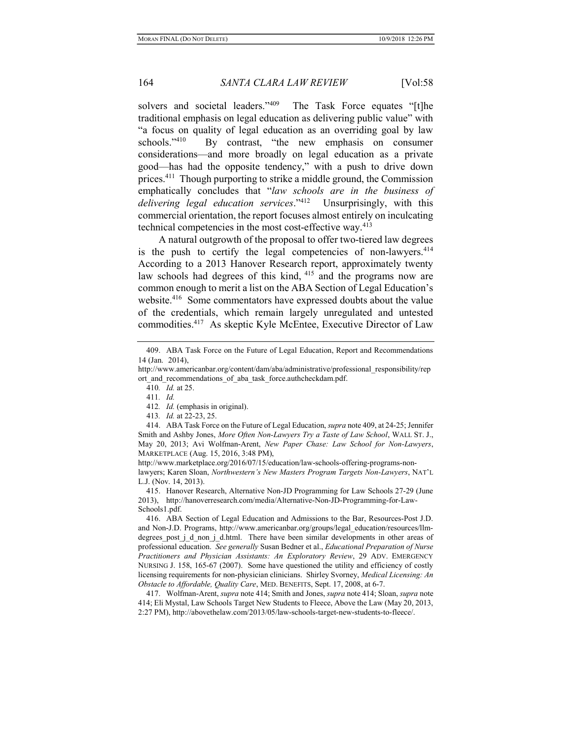solvers and societal leaders."<sup>409</sup> The Task Force equates "[t]he traditional emphasis on legal education as delivering public value" with "a focus on quality of legal education as an overriding goal by law schools."<sup>410</sup> By contrast, "the new emphasis on consumer considerations—and more broadly on legal education as a private good—has had the opposite tendency," with a push to drive down prices.<sup>411</sup> Though purporting to strike a middle ground, the Commission emphatically concludes that "law schools are in the business of delivering legal education services."<sup>412</sup> Unsurprisingly, with this commercial orientation, the report focuses almost entirely on inculcating technical competencies in the most cost-effective way.<sup>413</sup>

A natural outgrowth of the proposal to offer two-tiered law degrees is the push to certify the legal competencies of non-lawyers.<sup>414</sup> According to a 2013 Hanover Research report, approximately twenty law schools had degrees of this kind, <sup>415</sup> and the programs now are common enough to merit a list on the ABA Section of Legal Education's website.<sup>416</sup> Some commentators have expressed doubts about the value of the credentials, which remain largely unregulated and untested commodities.<sup>417</sup> As skeptic Kyle McEntee, Executive Director of Law

413. Id. at 22-23, 25.

 <sup>409.</sup> ABA Task Force on the Future of Legal Education, Report and Recommendations 14 (Jan. 2014),

http://www.americanbar.org/content/dam/aba/administrative/professional\_responsibility/rep ort and recommendations of aba task force.authcheckdam.pdf.

<sup>410</sup>. Id. at 25.

<sup>411</sup>. Id.

<sup>412</sup>. Id. (emphasis in original).

<sup>414.</sup> ABA Task Force on the Future of Legal Education, supra note 409, at 24-25; Jennifer Smith and Ashby Jones, More Often Non-Lawyers Try a Taste of Law School, WALL ST. J., May 20, 2013; Avi Wolfman-Arent, New Paper Chase: Law School for Non-Lawyers, MARKETPLACE (Aug. 15, 2016, 3:48 PM),

http://www.marketplace.org/2016/07/15/education/law-schools-offering-programs-nonlawyers; Karen Sloan, Northwestern's New Masters Program Targets Non-Lawyers, NAT'L L.J. (Nov. 14, 2013).

 <sup>415.</sup> Hanover Research, Alternative Non-JD Programming for Law Schools 27-29 (June 2013), http://hanoverresearch.com/media/Alternative-Non-JD-Programming-for-Law-Schools1.pdf.

 <sup>416.</sup> ABA Section of Legal Education and Admissions to the Bar, Resources-Post J.D. and Non-J.D. Programs, http://www.americanbar.org/groups/legal\_education/resources/llmdegrees post j d non j d.html. There have been similar developments in other areas of professional education. See generally Susan Bedner et al., Educational Preparation of Nurse Practitioners and Physician Assistants: An Exploratory Review, 29 ADV. EMERGENCY NURSING J. 158, 165-67 (2007). Some have questioned the utility and efficiency of costly licensing requirements for non-physician clinicians. Shirley Svorney, Medical Licensing: An Obstacle to Affordable, Quality Care, MED. BENEFITS, Sept. 17, 2008, at 6-7.

<sup>417.</sup> Wolfman-Arent, *supra* note 414; Smith and Jones, *supra* note 414; Sloan, *supra* note 414; Eli Mystal, Law Schools Target New Students to Fleece, Above the Law (May 20, 2013, 2:27 PM), http://abovethelaw.com/2013/05/law-schools-target-new-students-to-fleece/.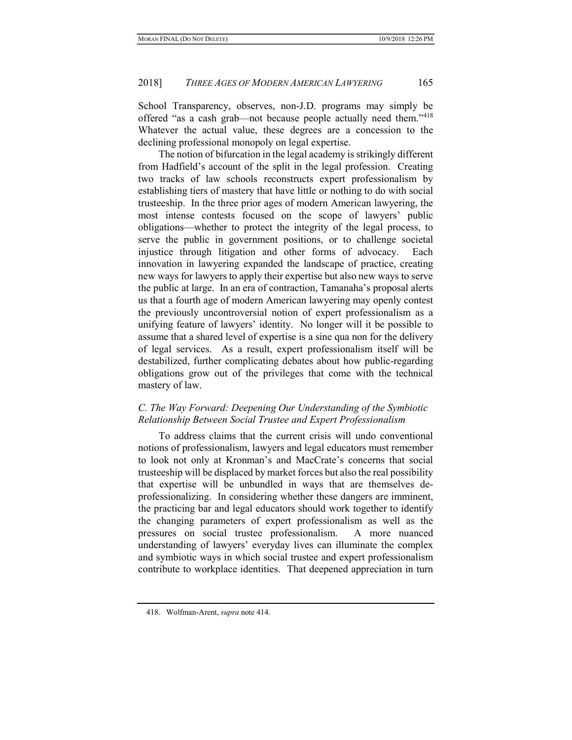School Transparency, observes, non-J.D. programs may simply be offered "as a cash grab—not because people actually need them."<sup>418</sup> Whatever the actual value, these degrees are a concession to the declining professional monopoly on legal expertise.

The notion of bifurcation in the legal academy is strikingly different from Hadfield's account of the split in the legal profession. Creating two tracks of law schools reconstructs expert professionalism by establishing tiers of mastery that have little or nothing to do with social trusteeship. In the three prior ages of modern American lawyering, the most intense contests focused on the scope of lawyers' public obligations—whether to protect the integrity of the legal process, to serve the public in government positions, or to challenge societal injustice through litigation and other forms of advocacy. Each innovation in lawyering expanded the landscape of practice, creating new ways for lawyers to apply their expertise but also new ways to serve the public at large. In an era of contraction, Tamanaha's proposal alerts us that a fourth age of modern American lawyering may openly contest the previously uncontroversial notion of expert professionalism as a unifying feature of lawyers' identity. No longer will it be possible to assume that a shared level of expertise is a sine qua non for the delivery of legal services. As a result, expert professionalism itself will be destabilized, further complicating debates about how public-regarding obligations grow out of the privileges that come with the technical mastery of law.

## C. The Way Forward: Deepening Our Understanding of the Symbiotic Relationship Between Social Trustee and Expert Professionalism

To address claims that the current crisis will undo conventional notions of professionalism, lawyers and legal educators must remember to look not only at Kronman's and MacCrate's concerns that social trusteeship will be displaced by market forces but also the real possibility that expertise will be unbundled in ways that are themselves deprofessionalizing. In considering whether these dangers are imminent, the practicing bar and legal educators should work together to identify the changing parameters of expert professionalism as well as the pressures on social trustee professionalism. A more nuanced understanding of lawyers' everyday lives can illuminate the complex and symbiotic ways in which social trustee and expert professionalism contribute to workplace identities. That deepened appreciation in turn

 <sup>418.</sup> Wolfman-Arent, supra note 414.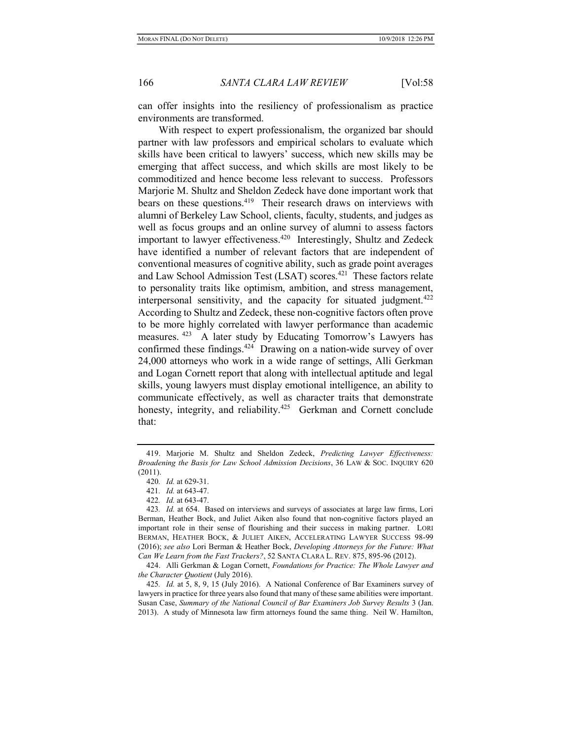can offer insights into the resiliency of professionalism as practice environments are transformed.

With respect to expert professionalism, the organized bar should partner with law professors and empirical scholars to evaluate which skills have been critical to lawyers' success, which new skills may be emerging that affect success, and which skills are most likely to be commoditized and hence become less relevant to success. Professors Marjorie M. Shultz and Sheldon Zedeck have done important work that bears on these questions.<sup>419</sup> Their research draws on interviews with alumni of Berkeley Law School, clients, faculty, students, and judges as well as focus groups and an online survey of alumni to assess factors important to lawyer effectiveness.<sup>420</sup> Interestingly, Shultz and Zedeck have identified a number of relevant factors that are independent of conventional measures of cognitive ability, such as grade point averages and Law School Admission Test (LSAT) scores.<sup>421</sup> These factors relate to personality traits like optimism, ambition, and stress management, interpersonal sensitivity, and the capacity for situated judgment.<sup>422</sup> According to Shultz and Zedeck, these non-cognitive factors often prove to be more highly correlated with lawyer performance than academic measures.<sup>423</sup> A later study by Educating Tomorrow's Lawyers has confirmed these findings.<sup>424</sup> Drawing on a nation-wide survey of over 24,000 attorneys who work in a wide range of settings, Alli Gerkman and Logan Cornett report that along with intellectual aptitude and legal skills, young lawyers must display emotional intelligence, an ability to communicate effectively, as well as character traits that demonstrate honesty, integrity, and reliability.<sup>425</sup> Gerkman and Cornett conclude that:

<sup>419.</sup> Marjorie M. Shultz and Sheldon Zedeck, Predicting Lawyer Effectiveness: Broadening the Basis for Law School Admission Decisions, 36 LAW & SOC. INQUIRY 620 (2011).

<sup>420</sup>. Id. at 629-31.

<sup>421</sup>. Id. at 643-47.

<sup>422</sup>. Id. at 643-47.

<sup>423</sup>. Id. at 654. Based on interviews and surveys of associates at large law firms, Lori Berman, Heather Bock, and Juliet Aiken also found that non-cognitive factors played an important role in their sense of flourishing and their success in making partner. LORI BERMAN, HEATHER BOCK, & JULIET AIKEN, ACCELERATING LAWYER SUCCESS 98-99 (2016); see also Lori Berman & Heather Bock, Developing Attorneys for the Future: What Can We Learn from the Fast Trackers?, 52 SANTA CLARA L. REV. 875, 895-96 (2012).

<sup>424.</sup> Alli Gerkman & Logan Cornett, Foundations for Practice: The Whole Lawyer and the Character Quotient (July 2016).

<sup>425</sup>. Id. at 5, 8, 9, 15 (July 2016). A National Conference of Bar Examiners survey of lawyers in practice for three years also found that many of these same abilities were important. Susan Case, Summary of the National Council of Bar Examiners Job Survey Results 3 (Jan. 2013). A study of Minnesota law firm attorneys found the same thing. Neil W. Hamilton,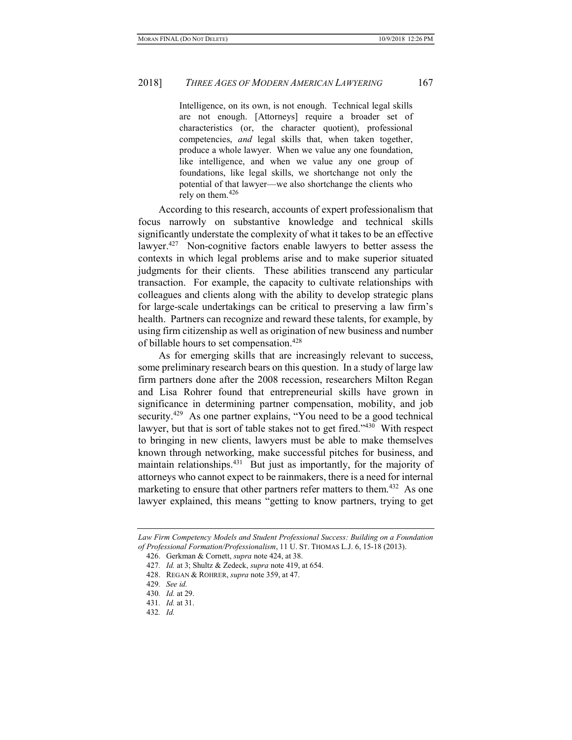Intelligence, on its own, is not enough. Technical legal skills are not enough. [Attorneys] require a broader set of characteristics (or, the character quotient), professional competencies, and legal skills that, when taken together, produce a whole lawyer. When we value any one foundation, like intelligence, and when we value any one group of foundations, like legal skills, we shortchange not only the potential of that lawyer—we also shortchange the clients who rely on them. $426$ 

According to this research, accounts of expert professionalism that focus narrowly on substantive knowledge and technical skills significantly understate the complexity of what it takes to be an effective lawyer.<sup>427</sup> Non-cognitive factors enable lawyers to better assess the contexts in which legal problems arise and to make superior situated judgments for their clients. These abilities transcend any particular transaction. For example, the capacity to cultivate relationships with colleagues and clients along with the ability to develop strategic plans for large-scale undertakings can be critical to preserving a law firm's health. Partners can recognize and reward these talents, for example, by using firm citizenship as well as origination of new business and number of billable hours to set compensation.<sup>428</sup>

As for emerging skills that are increasingly relevant to success, some preliminary research bears on this question. In a study of large law firm partners done after the 2008 recession, researchers Milton Regan and Lisa Rohrer found that entrepreneurial skills have grown in significance in determining partner compensation, mobility, and job security.<sup>429</sup> As one partner explains, "You need to be a good technical lawyer, but that is sort of table stakes not to get fired."<sup>430</sup> With respect to bringing in new clients, lawyers must be able to make themselves known through networking, make successful pitches for business, and maintain relationships.<sup>431</sup> But just as importantly, for the majority of attorneys who cannot expect to be rainmakers, there is a need for internal marketing to ensure that other partners refer matters to them.<sup>432</sup> As one lawyer explained, this means "getting to know partners, trying to get

Law Firm Competency Models and Student Professional Success: Building on a Foundation of Professional Formation/Professionalism, 11 U. ST. THOMAS L.J. 6, 15-18 (2013).

 <sup>426.</sup> Gerkman & Cornett, supra note 424, at 38.

<sup>427</sup>. Id. at 3; Shultz & Zedeck, supra note 419, at 654.

<sup>428.</sup> REGAN & ROHRER, *supra* note 359, at 47.

<sup>429</sup>. See id.

<sup>430</sup>. Id. at 29.

<sup>431</sup>. Id. at 31.

<sup>432</sup>. Id.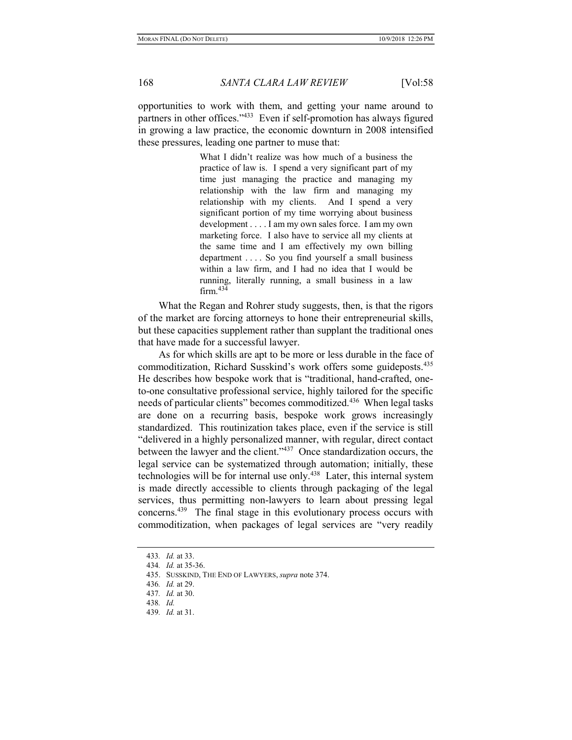opportunities to work with them, and getting your name around to partners in other offices."<sup>433</sup> Even if self-promotion has always figured in growing a law practice, the economic downturn in 2008 intensified these pressures, leading one partner to muse that:

> What I didn't realize was how much of a business the practice of law is. I spend a very significant part of my time just managing the practice and managing my relationship with the law firm and managing my relationship with my clients. And I spend a very significant portion of my time worrying about business development . . . . I am my own sales force. I am my own marketing force. I also have to service all my clients at the same time and I am effectively my own billing department . . . . So you find yourself a small business within a law firm, and I had no idea that I would be running, literally running, a small business in a law firm.  $434$

What the Regan and Rohrer study suggests, then, is that the rigors of the market are forcing attorneys to hone their entrepreneurial skills, but these capacities supplement rather than supplant the traditional ones that have made for a successful lawyer.

As for which skills are apt to be more or less durable in the face of commoditization, Richard Susskind's work offers some guideposts.<sup>435</sup> He describes how bespoke work that is "traditional, hand-crafted, oneto-one consultative professional service, highly tailored for the specific needs of particular clients" becomes commoditized.<sup>436</sup> When legal tasks are done on a recurring basis, bespoke work grows increasingly standardized. This routinization takes place, even if the service is still "delivered in a highly personalized manner, with regular, direct contact between the lawyer and the client."<sup>437</sup> Once standardization occurs, the legal service can be systematized through automation; initially, these technologies will be for internal use only.<sup>438</sup> Later, this internal system is made directly accessible to clients through packaging of the legal services, thus permitting non-lawyers to learn about pressing legal concerns.<sup>439</sup> The final stage in this evolutionary process occurs with commoditization, when packages of legal services are "very readily

<sup>433</sup>. Id. at 33.

<sup>434</sup>. Id. at 35-36.

<sup>435.</sup> SUSSKIND, THE END OF LAWYERS, *supra* note 374.

<sup>436</sup>. Id. at 29.

<sup>437</sup>. Id. at 30.

<sup>438</sup>. Id.

<sup>439</sup>. Id. at 31.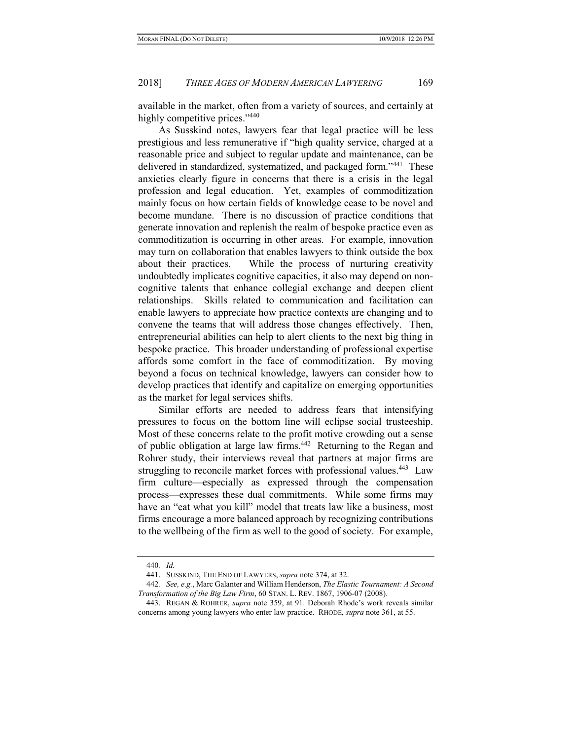available in the market, often from a variety of sources, and certainly at highly competitive prices."<sup>440</sup>

As Susskind notes, lawyers fear that legal practice will be less prestigious and less remunerative if "high quality service, charged at a reasonable price and subject to regular update and maintenance, can be delivered in standardized, systematized, and packaged form."<sup>441</sup> These anxieties clearly figure in concerns that there is a crisis in the legal profession and legal education. Yet, examples of commoditization mainly focus on how certain fields of knowledge cease to be novel and become mundane. There is no discussion of practice conditions that generate innovation and replenish the realm of bespoke practice even as commoditization is occurring in other areas. For example, innovation may turn on collaboration that enables lawyers to think outside the box about their practices. While the process of nurturing creativity undoubtedly implicates cognitive capacities, it also may depend on noncognitive talents that enhance collegial exchange and deepen client relationships. Skills related to communication and facilitation can enable lawyers to appreciate how practice contexts are changing and to convene the teams that will address those changes effectively. Then, entrepreneurial abilities can help to alert clients to the next big thing in bespoke practice. This broader understanding of professional expertise affords some comfort in the face of commoditization. By moving beyond a focus on technical knowledge, lawyers can consider how to develop practices that identify and capitalize on emerging opportunities as the market for legal services shifts.

Similar efforts are needed to address fears that intensifying pressures to focus on the bottom line will eclipse social trusteeship. Most of these concerns relate to the profit motive crowding out a sense of public obligation at large law firms.<sup>442</sup> Returning to the Regan and Rohrer study, their interviews reveal that partners at major firms are struggling to reconcile market forces with professional values.<sup>443</sup> Law firm culture—especially as expressed through the compensation process—expresses these dual commitments. While some firms may have an "eat what you kill" model that treats law like a business, most firms encourage a more balanced approach by recognizing contributions to the wellbeing of the firm as well to the good of society. For example,

<sup>440</sup>. Id.

<sup>441.</sup> SUSSKIND, THE END OF LAWYERS, *supra* note 374, at 32.

<sup>442.</sup> See, e.g., Marc Galanter and William Henderson, The Elastic Tournament: A Second Transformation of the Big Law Firm, 60 STAN. L. REV. 1867, 1906-07 (2008).

<sup>443.</sup> REGAN & ROHRER, *supra* note 359, at 91. Deborah Rhode's work reveals similar concerns among young lawyers who enter law practice. RHODE, supra note 361, at 55.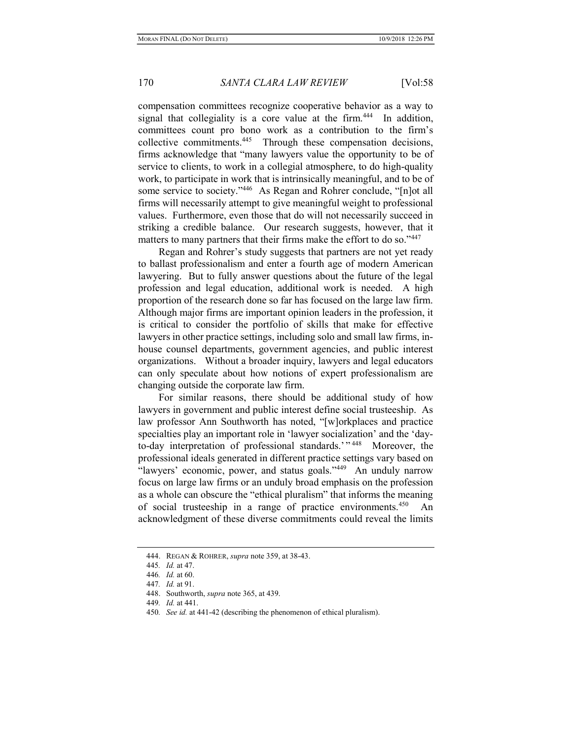compensation committees recognize cooperative behavior as a way to signal that collegiality is a core value at the firm.<sup>444</sup> In addition, committees count pro bono work as a contribution to the firm's collective commitments.<sup>445</sup> Through these compensation decisions, firms acknowledge that "many lawyers value the opportunity to be of service to clients, to work in a collegial atmosphere, to do high-quality work, to participate in work that is intrinsically meaningful, and to be of some service to society."<sup>446</sup> As Regan and Rohrer conclude, "[n]ot all firms will necessarily attempt to give meaningful weight to professional values. Furthermore, even those that do will not necessarily succeed in striking a credible balance. Our research suggests, however, that it matters to many partners that their firms make the effort to do so."447

Regan and Rohrer's study suggests that partners are not yet ready to ballast professionalism and enter a fourth age of modern American lawyering. But to fully answer questions about the future of the legal profession and legal education, additional work is needed. A high proportion of the research done so far has focused on the large law firm. Although major firms are important opinion leaders in the profession, it is critical to consider the portfolio of skills that make for effective lawyers in other practice settings, including solo and small law firms, inhouse counsel departments, government agencies, and public interest organizations. Without a broader inquiry, lawyers and legal educators can only speculate about how notions of expert professionalism are changing outside the corporate law firm.

For similar reasons, there should be additional study of how lawyers in government and public interest define social trusteeship. As law professor Ann Southworth has noted, "[w]orkplaces and practice specialties play an important role in 'lawyer socialization' and the 'dayto-day interpretation of professional standards.'"<sup>448</sup> Moreover, the professional ideals generated in different practice settings vary based on "lawyers' economic, power, and status goals."<sup>449</sup> An unduly narrow focus on large law firms or an unduly broad emphasis on the profession as a whole can obscure the "ethical pluralism" that informs the meaning of social trusteeship in a range of practice environments.<sup>450</sup> An acknowledgment of these diverse commitments could reveal the limits

<sup>444.</sup> REGAN & ROHRER, *supra* note 359, at 38-43.

<sup>445</sup>. Id. at 47.

<sup>446</sup>. Id. at 60.

<sup>447</sup>. Id. at 91.

 <sup>448.</sup> Southworth, supra note 365, at 439.

<sup>449</sup>. Id. at 441.

<sup>450.</sup> See id. at 441-42 (describing the phenomenon of ethical pluralism).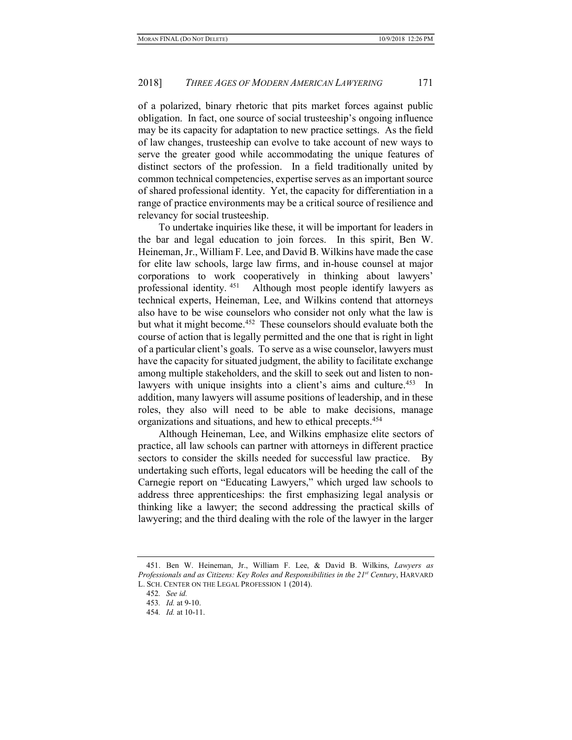of a polarized, binary rhetoric that pits market forces against public obligation. In fact, one source of social trusteeship's ongoing influence may be its capacity for adaptation to new practice settings. As the field of law changes, trusteeship can evolve to take account of new ways to serve the greater good while accommodating the unique features of distinct sectors of the profession. In a field traditionally united by common technical competencies, expertise serves as an important source of shared professional identity. Yet, the capacity for differentiation in a range of practice environments may be a critical source of resilience and relevancy for social trusteeship.

To undertake inquiries like these, it will be important for leaders in the bar and legal education to join forces. In this spirit, Ben W. Heineman, Jr., William F. Lee, and David B. Wilkins have made the case for elite law schools, large law firms, and in-house counsel at major corporations to work cooperatively in thinking about lawyers' professional identity.<sup>451</sup> Although most people identify lawyers as technical experts, Heineman, Lee, and Wilkins contend that attorneys also have to be wise counselors who consider not only what the law is but what it might become.<sup>452</sup> These counselors should evaluate both the course of action that is legally permitted and the one that is right in light of a particular client's goals. To serve as a wise counselor, lawyers must have the capacity for situated judgment, the ability to facilitate exchange among multiple stakeholders, and the skill to seek out and listen to nonlawyers with unique insights into a client's aims and culture.<sup>453</sup> In addition, many lawyers will assume positions of leadership, and in these roles, they also will need to be able to make decisions, manage organizations and situations, and hew to ethical precepts.<sup>454</sup>

Although Heineman, Lee, and Wilkins emphasize elite sectors of practice, all law schools can partner with attorneys in different practice sectors to consider the skills needed for successful law practice. By undertaking such efforts, legal educators will be heeding the call of the Carnegie report on "Educating Lawyers," which urged law schools to address three apprenticeships: the first emphasizing legal analysis or thinking like a lawyer; the second addressing the practical skills of lawyering; and the third dealing with the role of the lawyer in the larger

<sup>451.</sup> Ben W. Heineman, Jr., William F. Lee, & David B. Wilkins, Lawyers as Professionals and as Citizens: Key Roles and Responsibilities in the 21<sup>st</sup> Century, HARVARD L. SCH. CENTER ON THE LEGAL PROFESSION 1 (2014).

<sup>452</sup>. See id.

<sup>453</sup>. Id. at 9-10.

<sup>454</sup>. Id. at 10-11.